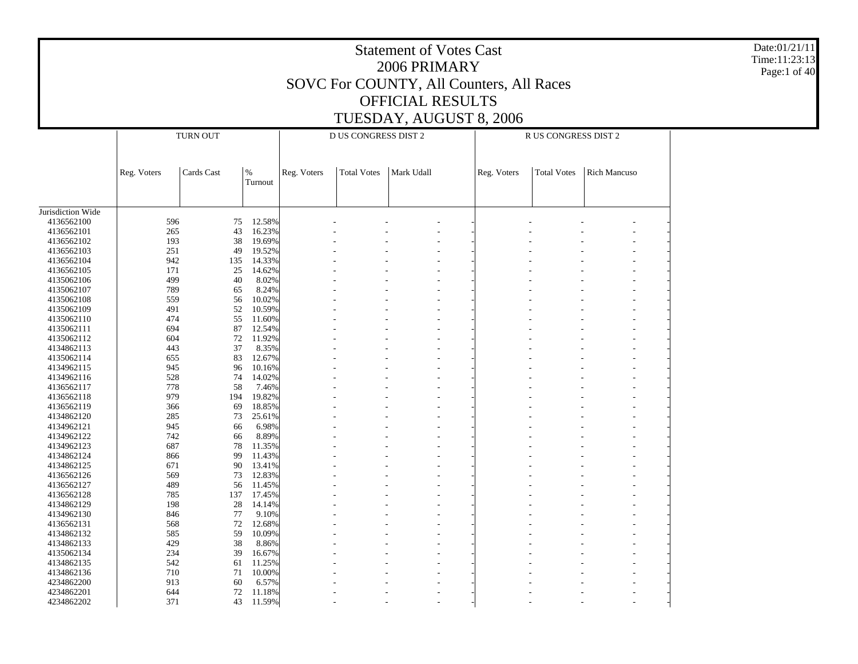Statement of Votes Cast2006 PRIMARYSOVC For COUNTY, All Counters, All Races OFFICIAL RESULTSTUESDAY, AUGUST 8, 2006 Date:01/21/11Time:11:23:13Page:1 of 40 Jurisdiction Wide 4136562100 4136562101 4136562102 4136562103 4136562104 4136562105 4135062106 4135062107 4135062108 4135062109 4135062110 4135062111 4135062112 4134862113 4135062114 4134962115 4134962116 4136562117 4136562118 4136562119 4134862120 4134962121 4134962122 4134962123 4134862124 4134862125 4136562126 4136562127 4136562128 4134862129 4134962130 4136562131 4134862132 4134862133 4135062134 4134862135 4134862136 4234862200 4234862201 4234862202 Reg. Voters  $\vert$  Cards Cast  $\vert\%$ Turnout TURN OUTReg. Voters | Total Votes | Mark Udall D US CONGRESS DIST 2Reg. Voters | Total Votes | Rich Mancuso R US CONGRESS DIST 2596 75 12.58% - - - - - - - - 265 43 16.23% - - - - - - - - 193 38 19.69% - - - - - - - - 251 49 19.52% - - - - - - - - 942 135 14.33% - - - - - - - - 171 25 14.62% - - - - - - - - 499 40 8.02% - - - - - - - - 789 65 8.24% - - - - - - - - 559 56 10.02% - - - - - - - - 491 52 10.59% - - - - - - - - 474 55 11.60% - - - - - - - - 694 87 12.54% - - - - - - - - 604 72 11.92% - - - - - - - - 443 37 8.35% - - - - - - - - 655 83 12.67% - - - - - - - - 945 96 10.16% - - - - - - - - 528 74 14.02% - - - - - - - - 778 58 7.46% - - - - - - - - 979 194 19.82% - - - - - - - - 366 69 18.85% - - - - - - - - 285 73 25.61% - - - - - - - - 945 66 6.98% - - - - - - - - 742 66 8.89% - - - - - - - - 687 78 11.35% - - - - - - - - 866 99 11.43% - - - - - - - - 671 90 13.41% - - - - - - - - 569 73 12.83% - - - - - - - - 489 56 11.45% - - - - - - - - 785 137 17.45% - - - - - - - - 198 28 14.14% - - - - - - - - 846 77 9.10% - - - - - - - - 568 72 12.68% - - - - - - - - 585 59 10.09% - - - - - - - - 429 38 8.86% - - - - - - - - 234 39 16.67% - - - - - - - - 542 61 11.25% - - - - - - - - 710 71 10.00% - - - - - - - - 913 60 6.57% - - - - - - - - 644 72 11.18% - - - - - - - - 371 43 11.59%- - - - - - - -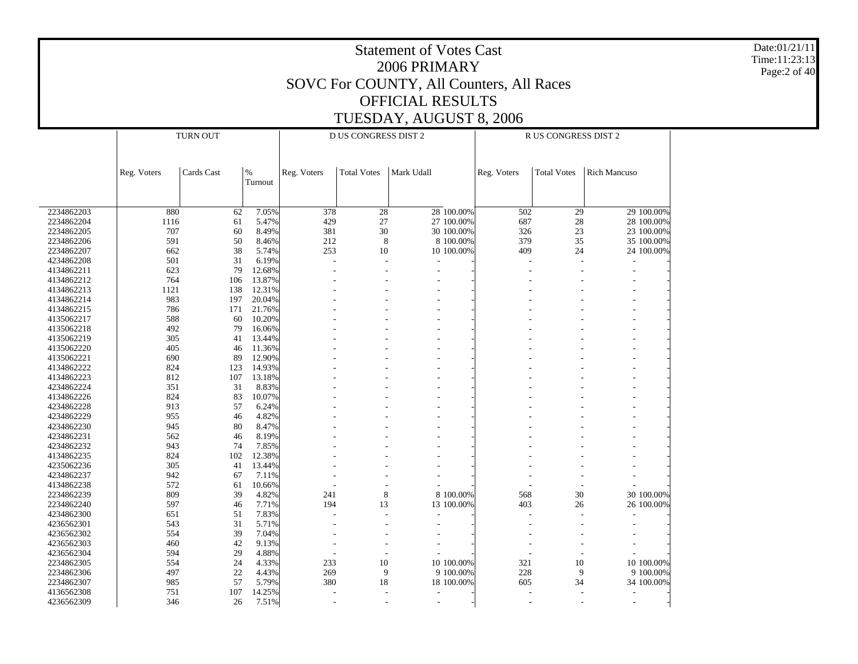Date:01/21/11 Time:11:23:13 Page:2 of 40

|            | <b>TURN OUT</b> |            |         |                | D US CONGRESS DIST 2 |                          |            | R US CONGRESS DIST 2 |                    |                          |            |
|------------|-----------------|------------|---------|----------------|----------------------|--------------------------|------------|----------------------|--------------------|--------------------------|------------|
|            |                 |            |         |                |                      |                          |            |                      |                    |                          |            |
|            |                 |            |         |                |                      |                          |            |                      |                    |                          |            |
|            | Reg. Voters     | Cards Cast | $\%$    | Reg. Voters    | <b>Total Votes</b>   | Mark Udall               |            |                      | <b>Total Votes</b> | <b>Rich Mancuso</b>      |            |
|            |                 |            | Turnout |                |                      |                          |            | Reg. Voters          |                    |                          |            |
|            |                 |            |         |                |                      |                          |            |                      |                    |                          |            |
|            |                 |            |         |                |                      |                          |            |                      |                    |                          |            |
| 2234862203 | 880             | 62         | 7.05%   | 378            | 28                   |                          | 28 100.00% | 502                  | 29                 |                          | 29 100.00% |
| 2234862204 | 1116            | 61         | 5.47%   | 429            | 27                   |                          | 27 100.00% | 687                  | 28                 |                          | 28 100.00% |
| 2234862205 | 707             | 60         | 8.49%   | 381            | 30                   |                          | 30 100.00% | 326                  | 23                 |                          | 23 100.00% |
| 2234862206 | 591             | 50         | 8.46%   | 212            | $\,8\,$              |                          | 8 100.00%  | 379                  | 35                 |                          | 35 100.00% |
| 2234862207 | 662             | 38         | 5.74%   | 253            | 10                   |                          | 10 100.00% | 409                  | 24                 |                          | 24 100.00% |
| 4234862208 | 501             | 31         | 6.19%   |                |                      |                          |            | Ĭ.                   |                    | Ĭ.                       |            |
| 4134862211 | 623             | 79         | 12.68%  |                |                      |                          |            |                      |                    | $\overline{\phantom{a}}$ |            |
| 4134862212 | 764             | 106        | 13.87%  |                |                      |                          |            |                      |                    | $\overline{\phantom{a}}$ |            |
| 4134862213 | 1121            | 138        | 12.31%  |                |                      |                          |            |                      |                    |                          |            |
| 4134862214 | 983             | 197        | 20.04%  |                |                      |                          |            |                      |                    | ÷                        |            |
| 4134862215 | 786             | 171        | 21.76%  |                |                      |                          |            |                      |                    |                          |            |
| 4135062217 | 588             | 60         | 10.20%  |                |                      |                          |            |                      |                    |                          |            |
| 4135062218 | 492             | 79         | 16.06%  |                |                      |                          |            |                      |                    |                          |            |
| 4135062219 | 305             | 41         | 13.44%  |                |                      |                          |            |                      |                    |                          |            |
| 4135062220 | 405             | 46         | 11.36%  |                |                      |                          |            |                      |                    |                          |            |
| 4135062221 | 690             | 89         | 12.90%  |                |                      |                          |            |                      |                    |                          |            |
| 4134862222 | 824             | 123        | 14.93%  |                |                      |                          |            |                      |                    |                          |            |
| 4134862223 | 812             | 107        | 13.18%  |                |                      |                          |            |                      |                    |                          |            |
| 4234862224 | 351             | 31         | 8.83%   |                |                      |                          |            |                      |                    | ٠                        |            |
| 4134862226 | 824             | 83         | 10.07%  |                |                      |                          |            |                      |                    | L.                       |            |
| 4234862228 | 913             | 57         | 6.24%   |                |                      |                          |            |                      |                    | ÷,                       |            |
| 4234862229 | 955             | 46         | 4.82%   |                |                      |                          |            |                      |                    |                          |            |
| 4234862230 | 945             | 80         | 8.47%   |                |                      |                          |            |                      |                    | L,                       |            |
| 4234862231 | 562             | 46         | 8.19%   |                |                      |                          |            |                      |                    |                          |            |
| 4234862232 | 943             | 74         | 7.85%   |                |                      |                          |            |                      |                    | L,                       |            |
| 4134862235 | 824             | 102        | 12.38%  |                |                      |                          |            |                      |                    |                          |            |
| 4235062236 | 305             | 41         | 13.44%  |                |                      |                          |            |                      |                    |                          |            |
| 4234862237 | 942             | 67         | 7.11%   |                |                      |                          |            |                      |                    |                          |            |
| 4134862238 | 572             | 61         | 10.66%  |                |                      |                          |            |                      |                    |                          |            |
| 2234862239 | 809             | 39         | 4.82%   | 241            | 8                    |                          | 8 100.00%  | 568                  | 30                 |                          | 30 100.00% |
| 2234862240 | 597             | 46         | 7.71%   | 194            | 13                   |                          | 13 100.00% | 403                  | 26                 |                          | 26 100.00% |
| 4234862300 | 651             | 51         | 7.83%   |                |                      |                          |            |                      |                    |                          |            |
| 4236562301 | 543             | 31         | 5.71%   |                |                      |                          |            |                      |                    |                          |            |
| 4236562302 | 554             | 39         | 7.04%   |                |                      |                          |            |                      |                    |                          |            |
| 4236562303 | 460             | 42         | 9.13%   |                |                      |                          |            |                      |                    |                          |            |
| 4236562304 | 594             | 29         | 4.88%   |                |                      |                          |            | L,                   |                    |                          |            |
| 2234862305 | 554             | 24         | 4.33%   | 233            | 10                   |                          | 10 100.00% | 321                  | 10                 |                          | 10 100.00% |
| 2234862306 | 497             | 22         | 4.43%   | 269            | 9                    |                          | 9 100.00%  | 228                  | 9                  |                          | 9 100.00%  |
| 2234862307 | 985             | 57         | 5.79%   | 380            | 18                   |                          | 18 100.00% | 605                  | 34                 |                          | 34 100.00% |
| 4136562308 | 751             | 107        | 14.25%  |                | ÷,                   |                          |            |                      |                    |                          |            |
| 4236562309 | 346             | 26         | 7.51%   | $\overline{a}$ | $\overline{a}$       | $\overline{\phantom{a}}$ |            | $\overline{a}$       |                    | $\overline{a}$           |            |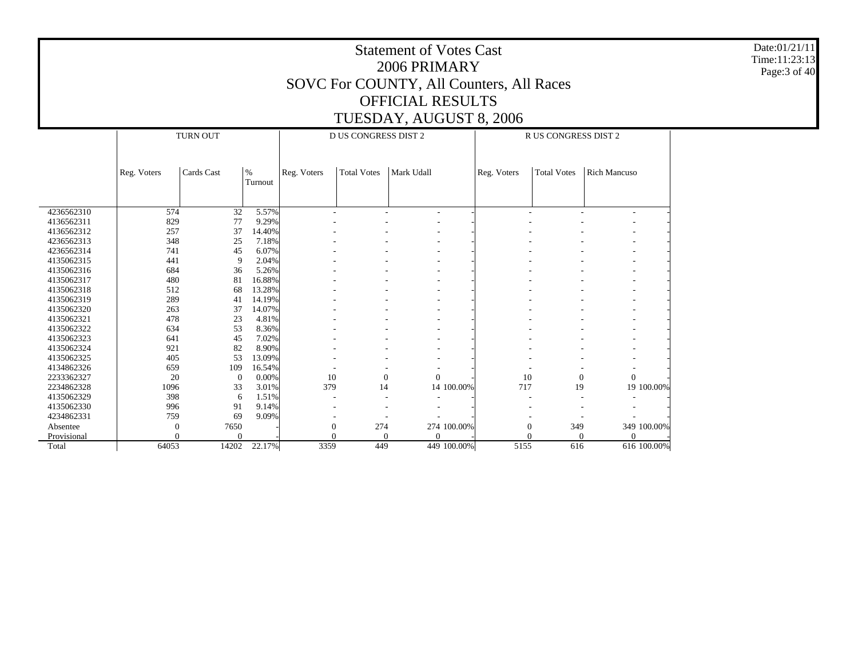Date:01/21/11 Time:11:23:13 Page:3 of 40

|             |             | <b>TURN OUT</b> |         |                | <b>D US CONGRESS DIST 2</b> |            |             | R US CONGRESS DIST 2 |                    |                     |  |
|-------------|-------------|-----------------|---------|----------------|-----------------------------|------------|-------------|----------------------|--------------------|---------------------|--|
|             |             |                 |         |                |                             |            |             |                      |                    |                     |  |
|             |             |                 |         |                |                             |            |             |                      |                    |                     |  |
|             | Reg. Voters | Cards Cast      | $\%$    | Reg. Voters    | <b>Total Votes</b>          | Mark Udall |             | Reg. Voters          | <b>Total Votes</b> | <b>Rich Mancuso</b> |  |
|             |             |                 | Turnout |                |                             |            |             |                      |                    |                     |  |
|             |             |                 |         |                |                             |            |             |                      |                    |                     |  |
|             |             |                 |         |                |                             |            |             |                      |                    |                     |  |
| 4236562310  | 574         | 32              | 5.57%   | ÷              |                             | ٠          |             |                      |                    |                     |  |
| 4136562311  | 829         | 77              | 9.29%   |                |                             |            |             |                      |                    |                     |  |
| 4136562312  | 257         | 37              | 14.40%  |                |                             |            |             |                      |                    |                     |  |
| 4236562313  | 348         | 25              | 7.18%   |                |                             |            |             |                      |                    |                     |  |
| 4236562314  | 741         | 45              | 6.07%   |                |                             |            |             |                      |                    |                     |  |
| 4135062315  | 441         | 9               | 2.04%   |                |                             |            |             |                      |                    |                     |  |
| 4135062316  | 684         | 36              | 5.26%   |                |                             |            |             |                      |                    |                     |  |
| 4135062317  | 480         | 81              | 16.88%  |                |                             |            |             |                      |                    |                     |  |
| 4135062318  | 512         | 68              | 13.28%  |                |                             |            |             |                      |                    |                     |  |
| 4135062319  | 289         | 41              | 14.19%  |                |                             |            |             |                      |                    |                     |  |
| 4135062320  | 263         | 37              | 14.07%  |                |                             |            |             |                      |                    |                     |  |
| 4135062321  | 478         | 23              | 4.81%   |                |                             |            |             |                      |                    |                     |  |
| 4135062322  | 634         | 53              | 8.36%   |                |                             |            |             |                      |                    |                     |  |
| 4135062323  | 641         | 45              | 7.02%   |                |                             |            |             |                      |                    |                     |  |
| 4135062324  | 921         | 82              | 8.90%   |                |                             |            |             |                      |                    |                     |  |
| 4135062325  | 405         | 53              | 13.09%  |                |                             |            |             |                      |                    |                     |  |
| 4134862326  | 659         | 109             | 16.54%  |                |                             |            |             |                      |                    |                     |  |
| 2233362327  | 20          | $\theta$        | 0.00%   | 10             | $\mathbf{0}$                | $\Omega$   |             | 10                   | $\theta$           | $\Omega$            |  |
| 2234862328  | 1096        | 33              | 3.01%   | 379            | 14                          |            | 14 100.00%  | 717                  | 19                 | 19 100.00%          |  |
| 4135062329  | 398         | 6               | 1.51%   |                |                             |            |             |                      |                    |                     |  |
| 4135062330  | 996         | 91              | 9.14%   |                |                             |            |             |                      |                    |                     |  |
| 4234862331  | 759         | 69              | 9.09%   |                |                             |            |             |                      |                    |                     |  |
| Absentee    | $\theta$    | 7650            |         | $\overline{0}$ | 274                         |            | 274 100.00% | $\boldsymbol{0}$     | 349                | 349 100.00%         |  |
| Provisional |             | $\Omega$        |         |                | $\theta$                    |            |             |                      |                    | ∩                   |  |
| Total       | 64053       | 14202           | 22.17%  | 3359           | 449                         |            | 449 100.00% | 5155                 | 616                | 616 100.00%         |  |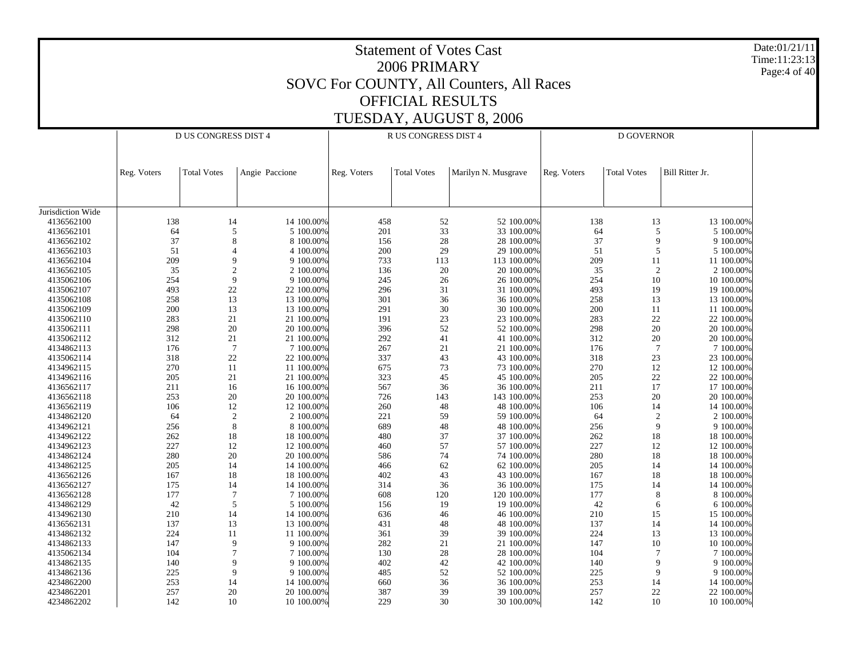| Date:01/21/11<br><b>Statement of Votes Cast</b><br>Time:11:23:13<br>2006 PRIMARY<br>Page:4 of 40<br>SOVC For COUNTY, All Counters, All Races |             |                             |                             |             |                         |                          |             |                    |                          |  |  |
|----------------------------------------------------------------------------------------------------------------------------------------------|-------------|-----------------------------|-----------------------------|-------------|-------------------------|--------------------------|-------------|--------------------|--------------------------|--|--|
|                                                                                                                                              |             |                             |                             |             | <b>OFFICIAL RESULTS</b> |                          |             |                    |                          |  |  |
|                                                                                                                                              |             |                             |                             |             |                         |                          |             |                    |                          |  |  |
|                                                                                                                                              |             |                             |                             |             |                         | TUESDAY, AUGUST 8, 2006  |             |                    |                          |  |  |
|                                                                                                                                              |             | <b>D US CONGRESS DIST 4</b> |                             |             | R US CONGRESS DIST 4    |                          |             | D GOVERNOR         |                          |  |  |
|                                                                                                                                              |             |                             |                             |             |                         |                          |             |                    |                          |  |  |
|                                                                                                                                              |             |                             |                             |             |                         |                          |             |                    |                          |  |  |
|                                                                                                                                              | Reg. Voters | <b>Total Votes</b>          | Angie Paccione              | Reg. Voters | <b>Total Votes</b>      | Marilyn N. Musgrave      | Reg. Voters | <b>Total Votes</b> | Bill Ritter Jr.          |  |  |
|                                                                                                                                              |             |                             |                             |             |                         |                          |             |                    |                          |  |  |
|                                                                                                                                              |             |                             |                             |             |                         |                          |             |                    |                          |  |  |
| Jurisdiction Wide                                                                                                                            |             |                             |                             |             |                         |                          |             |                    |                          |  |  |
| 4136562100                                                                                                                                   | 138         | 14                          | 14 100.00%                  | 458         | 52                      | 52 100.00%               | 138         | 13                 | 13 100.00%               |  |  |
| 4136562101                                                                                                                                   | 64          | 5                           | 5 100.00%                   | 201         | 33                      | 33 100.00%               | 64          | 5                  | 5 100.00%                |  |  |
| 4136562102                                                                                                                                   | 37          | 8                           | 8 100.00%                   | 156         | 28                      | 28 100.00%               | 37          | 9                  | 9 100.00%                |  |  |
| 4136562103                                                                                                                                   | 51          | $\overline{4}$              | 4 100.00%                   | 200         | 29                      | 29 100.00%               | 51          | 5                  | 5 100.00%                |  |  |
| 4136562104                                                                                                                                   | 209         | 9                           | 9 100.00%                   | 733         | 113                     | 113 100.00%              | 209         | 11                 | 11 100.00%               |  |  |
| 4136562105                                                                                                                                   | 35          |                             | $\mathfrak{2}$<br>2 100.00% | 136         | 20                      | 20 100.00%               | 35          | $\overline{2}$     | 2 100.00%                |  |  |
| 4135062106                                                                                                                                   | 254         | 9                           | 9 100.00%                   | 245         | 26                      | 26 100.00%               | 254         | 10                 | 10 100.00%               |  |  |
| 4135062107                                                                                                                                   | 493         | 22                          | 22 100.00%                  | 296         | 31                      | 31 100.00%               | 493         | 19                 | 19 100.00%               |  |  |
| 4135062108                                                                                                                                   | 258<br>200  | 13                          | 13 100.00%                  | 301<br>291  | 36                      | 36 100.00%<br>30 100.00% | 258<br>200  | 13                 | 13 100.00%               |  |  |
| 4135062109<br>4135062110                                                                                                                     | 283         | 13<br>21                    | 13 100.00%<br>21 100.00%    | 191         | 30<br>23                | 23 100.00%               | 283         | 11<br>22           | 11 100.00%<br>22 100.00% |  |  |
| 4135062111                                                                                                                                   | 298         | 20                          | 20 100.00%                  | 396         | 52                      | 52 100.00%               | 298         | 20                 | 20 100.00%               |  |  |
| 4135062112                                                                                                                                   | 312         | 21                          | 21 100.00%                  | 292         | 41                      | 41 100.00%               | 312         | 20                 | 20 100.00%               |  |  |
| 4134862113                                                                                                                                   | 176         | $7\phantom{.0}$             | 7 100.00%                   | 267         | 21                      | 21 100.00%               | 176         | $7\phantom{.0}$    | 7 100.00%                |  |  |
| 4135062114                                                                                                                                   | 318         | 22                          | 22 100.00%                  | 337         | 43                      | 43 100.00%               | 318         | 23                 | 23 100.00%               |  |  |
| 4134962115                                                                                                                                   | 270         | 11                          | 11 100.00%                  | 675         | 73                      | 73 100.00%               | 270         | 12                 | 12 100.00%               |  |  |
| 4134962116                                                                                                                                   | 205         | 21                          | 21 100.00%                  | 323         | 45                      | 45 100.00%               | 205         | 22                 | 22 100.00%               |  |  |
| 4136562117                                                                                                                                   | 211         | 16                          | 16 100.00%                  | 567         | 36                      | 36 100.00%               | 211         | 17                 | 17 100.00%               |  |  |
| 4136562118                                                                                                                                   | 253         | 20                          | 20 100.00%                  | 726         | 143                     | 143 100.00%              | 253         | 20                 | 20 100.00%               |  |  |
| 4136562119                                                                                                                                   | 106         | 12                          | 12 100.00%                  | 260         | 48                      | 48 100.00%               | 106         | 14                 | 14 100.00%               |  |  |
| 4134862120                                                                                                                                   | 64          | $\overline{2}$              | 2 100.00%                   | 221         | 59                      | 59 100.00%               | 64          | $\overline{2}$     | 2 100.00%                |  |  |
| 4134962121                                                                                                                                   | 256         | 8                           | 8 100.00%                   | 689         | 48                      | 48 100.00%               | 256         | 9                  | 9 100.00%                |  |  |
| 4134962122                                                                                                                                   | 262         | 18                          | 18 100.00%                  | 480         | 37                      | 37 100.00%               | 262         | 18                 | 18 100.00%               |  |  |
| 4134962123                                                                                                                                   | 227         | 12                          | 12 100.00%                  | 460         | 57                      | 57 100.00%               | 227         | 12                 | 12 100.00%               |  |  |
| 4134862124                                                                                                                                   | 280         | 20                          | 20 100,00%                  | 586         | 74                      | 74 100.00%               | 280         | 18                 | 18 100,00%               |  |  |
| 4134862125                                                                                                                                   | 205         | 14                          | 14 100.00%                  | 466         | 62                      | 62 100.00%               | 205         | 14                 | 14 100.00%               |  |  |
| 4136562126                                                                                                                                   | 167         | 18                          | 18 100.00%                  | 402         | 43                      | 43 100.00%               | 167         | 18                 | 18 100.00%               |  |  |
| 4136562127                                                                                                                                   | 175         | 14                          | 14 100.00%                  | 314         | 36                      | 36 100.00%               | 175         | 14                 | 14 100.00%               |  |  |
| 4136562128                                                                                                                                   | 177         | 7                           | 7 100.00%                   | 608         | 120                     | 120 100.00%              | 177         | 8                  | 8 100.00%                |  |  |
| 4134862129                                                                                                                                   | 42          | 5                           | 5 100.00%                   | 156         | 19                      | 19 100.00%               | 42          | 6                  | 6 100.00%                |  |  |
| 4134962130                                                                                                                                   | 210         | 14                          | 14 100.00%                  | 636         | 46                      | 46 100.00%               | 210         | 15                 | 15 100.00%               |  |  |
| 4136562131                                                                                                                                   | 137         | 13                          | 13 100.00%                  | 431         | 48                      | 48 100.00%<br>39 100.00% | 137         | 14                 | 14 100.00%<br>13 100.00% |  |  |
| 4134862132<br>4134862133                                                                                                                     | 224<br>147  | 11<br>9                     | 11 100.00%<br>9 100.00%     | 361<br>282  | 39<br>21                | 21 100.00%               | 224<br>147  | 13                 | 10 100.00%               |  |  |
| 4135062134                                                                                                                                   | 104         | 7                           | 7 100.00%                   | 130         | 28                      | 28 100.00%               | 104         | 10<br>7            | 7 100.00%                |  |  |
| 4134862135                                                                                                                                   | 140         | 9                           | 9 100.00%                   | 402         | 42                      | 42 100.00%               | 140         | 9                  | 9 100.00%                |  |  |
| 4134862136                                                                                                                                   | 225         | 9                           | 9 100.00%                   | 485         | 52                      | 52 100.00%               | 225         | 9                  | 9 100.00%                |  |  |
| 4234862200                                                                                                                                   | 253         | 14                          | 14 100.00%                  | 660         | 36                      | 36 100.00%               | 253         | 14                 | 14 100.00%               |  |  |
| 4234862201                                                                                                                                   | 257         | 20                          | 20 100.00%                  | 387         | 39                      | 39 100.00%               | 257         | $22\,$             | 22 100.00%               |  |  |
| 4234862202                                                                                                                                   | 142         | 10                          | 10 100.00%                  | 229         | 30                      | 30 100.00%               | 142         | 10                 | 10 100.00%               |  |  |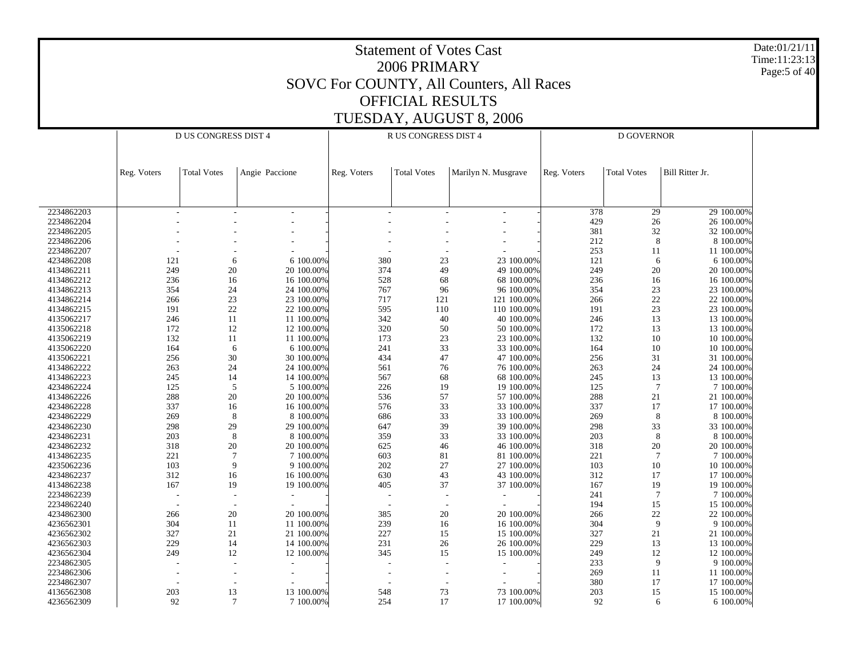|                          |             |                                    |                          |             | <b>Statement of Votes Cast</b><br>2006 PRIMARY | SOVC For COUNTY, All Counters, All Races |             |                    |                              | Date:01/21/11<br>Time:11:23:13<br>Page:5 of 40 |  |
|--------------------------|-------------|------------------------------------|--------------------------|-------------|------------------------------------------------|------------------------------------------|-------------|--------------------|------------------------------|------------------------------------------------|--|
|                          |             |                                    |                          |             |                                                |                                          |             |                    |                              |                                                |  |
|                          |             |                                    |                          |             | <b>OFFICIAL RESULTS</b>                        |                                          |             |                    |                              |                                                |  |
|                          |             |                                    |                          |             |                                                | TUESDAY, AUGUST 8, 2006                  |             |                    |                              |                                                |  |
|                          |             | D US CONGRESS DIST 4               |                          |             | R US CONGRESS DIST 4                           |                                          |             |                    |                              |                                                |  |
|                          |             |                                    |                          |             |                                                |                                          |             | D GOVERNOR         |                              |                                                |  |
|                          | Reg. Voters | <b>Total Votes</b>                 | Angie Paccione           | Reg. Voters | <b>Total Votes</b>                             | Marilyn N. Musgrave                      | Reg. Voters | <b>Total Votes</b> | Bill Ritter Jr.              |                                                |  |
|                          |             |                                    |                          |             |                                                |                                          |             |                    |                              |                                                |  |
| 2234862203               |             |                                    |                          |             |                                                |                                          | 378         | 29                 | 29 100.00%                   |                                                |  |
| 2234862204               |             |                                    |                          |             |                                                |                                          | 429         | 26                 | 26 100.00%                   |                                                |  |
| 2234862205               |             |                                    |                          |             |                                                |                                          | 381         | 32                 | 32 100.00%                   |                                                |  |
| 2234862206               |             |                                    |                          |             |                                                |                                          | 212         |                    | 8<br>8 100.00%               |                                                |  |
| 2234862207               |             |                                    |                          |             |                                                |                                          | 253         | 11                 | 11 100.00%                   |                                                |  |
| 4234862208<br>4134862211 | 121<br>249  | 6<br>20                            | 6 100.00%<br>20 100.00%  | 380<br>374  | 23<br>49                                       | 23 100.00%<br>49 100.00%                 | 121<br>249  | 20                 | 6 100.00%<br>6<br>20 100.00% |                                                |  |
| 4134862212               | 236         | 16                                 | 16 100.00%               | 528         | 68                                             | 68 100.00%                               | 236         | 16                 | 16 100.00%                   |                                                |  |
| 4134862213               | 354         | 24                                 | 24 100.00%               | 767         | 96                                             | 96 100.00%                               | 354         | 23                 | 23 100.00%                   |                                                |  |
| 4134862214               | 266         | 23                                 | 23 100.00%               | 717         | 121                                            | 121 100.00%                              | 266         | 22                 | 22 100.00%                   |                                                |  |
| 4134862215               | 191         | $22\,$                             | 22 100.00%               | 595         | 110                                            | 110 100.00%                              | 191         | 23                 | 23 100.00%                   |                                                |  |
| 4135062217               | 246         | 11                                 | 11 100.00%               | 342         | 40                                             | 40 100.00%                               | 246         | 13                 | 13 100.00%                   |                                                |  |
| 4135062218               | 172         | 12                                 | 12 100.00%               | 320         | 50                                             | 50 100.00%                               | 172         | 13                 | 13 100.00%                   |                                                |  |
| 4135062219               | 132         | 11                                 | 11 100.00%               | 173         | 23                                             | 23 100.00%                               | 132         | 10                 | 10 100.00%                   |                                                |  |
| 4135062220               | 164         | 6                                  | 6 100.00%                | 241         | 33                                             | 33 100.00%                               | 164         | 10                 | 10 100.00%                   |                                                |  |
| 4135062221               | 256         | 30                                 | 30 100.00%               | 434         | 47                                             | 47 100.00%                               | 256         | 31                 | 31 100.00%                   |                                                |  |
| 4134862222               | 263         | 24                                 | 24 100.00%               | 561         | 76                                             | 76 100.00%                               | 263         | 24                 | 24 100.00%                   |                                                |  |
| 4134862223               | 245         | 14                                 | 14 100.00%               | 567         | 68                                             | 68 100.00%                               | 245         | 13                 | 13 100.00%                   |                                                |  |
| 4234862224               | 125         | 5                                  | 5 100.00%                | 226         | 19                                             | 19 100.00%                               | 125         |                    | $\overline{7}$<br>7 100.00%  |                                                |  |
| 4134862226               | 288         | 20                                 | 20 100.00%               | 536         | 57                                             | 57 100.00%                               | 288         | 21                 | 21 100.00%                   |                                                |  |
| 4234862228               | 337         | 16                                 | 16 100.00%               | 576         | 33                                             | 33 100.00%                               | 337         | 17                 | 17 100.00%                   |                                                |  |
| 4234862229               | 269         | 8                                  | 8 100.00%                | 686         | 33                                             | 33 100.00%                               | 269         |                    | 8<br>8 100.00%               |                                                |  |
| 4234862230               | 298         | 29                                 | 29 100.00%               | 647         | 39                                             | 39 100.00%                               | 298         | 33                 | 33 100.00%                   |                                                |  |
| 4234862231               | 203         | 8                                  | 8 100.00%                | 359         | 33                                             | 33 100.00%                               | 203         |                    | 8 100.00%<br>8               |                                                |  |
| 4234862232               | 318         | 20                                 | 20 100.00%               | 625         | 46                                             | 46 100.00%                               | 318         | 20                 | 20 100.00%                   |                                                |  |
| 4134862235               | 221         |                                    | 7 100.00%                | 603         | 81                                             | 81 100.00%                               | 221         |                    | 7 100.00%                    |                                                |  |
| 4235062236               | 103         | 9                                  | 9 100.00%                | 202         | 27                                             | 27 100.00%                               | 103         | 10                 | 10 100.00%                   |                                                |  |
| 4234862237               | 312         | 16                                 | 16 100.00%               | 630         | 43                                             | 43 100.00%                               | 312         | 17                 | 17 100.00%                   |                                                |  |
| 4134862238               | 167         | 19                                 | 19 100.00%               | 405         | 37                                             | 37 100.00%                               | 167         | 19                 | 19 100.00%                   |                                                |  |
| 2234862239               |             |                                    |                          |             |                                                |                                          | 241         |                    | 7 100.00%<br>7               |                                                |  |
| 2234862240               |             |                                    |                          |             |                                                |                                          | 194         | 15                 | 15 100.00%                   |                                                |  |
| 4234862300               | 266         | 20                                 | 20 100.00%               | 385         | 20                                             | 20 100.00%                               | 266         | 22                 | 22 100.00%                   |                                                |  |
| 4236562301               | 304         | 11                                 | 11 100.00%               | 239         | 16                                             | 16 100.00%                               | 304         |                    | 9 100.00%<br>9               |                                                |  |
| 4236562302               | 327         | 21                                 | 21 100.00%               | 227         | 15                                             | 15 100.00%                               | 327         | 21                 | 21 100.00%                   |                                                |  |
| 4236562303               | 229         | 14                                 | 14 100.00%               | 231         | 26                                             | 26 100.00%                               | 229         | 13                 | 13 100.00%                   |                                                |  |
| 4236562304<br>2234862305 | 249         | 12                                 | 12 100.00%               | 345         | 15                                             | 15 100.00%                               | 249         | 12                 | 12 100.00%<br>9 100.00%      |                                                |  |
| 2234862306               |             | $\sim$<br>$\overline{\phantom{a}}$ | $\overline{\phantom{a}}$ |             |                                                |                                          | 233<br>269  | 11                 | 9<br>11 100.00%              |                                                |  |
| 2234862307               |             |                                    |                          |             | $\overline{\phantom{a}}$                       |                                          | 380         | 17                 | 17 100.00%                   |                                                |  |
| 4136562308               | 203         | $\overline{\phantom{a}}$           | 13 100.00%               | 548         | $\overline{\phantom{a}}$                       | 73 100.00%                               | 203         |                    | 15 100.00%                   |                                                |  |
| 4236562309               | 92          | 13<br>$\tau$                       | 7 100.00%                | 254         | 73<br>17                                       | 17 100.00%                               | 92          | 15                 | 6<br>6 100.00%               |                                                |  |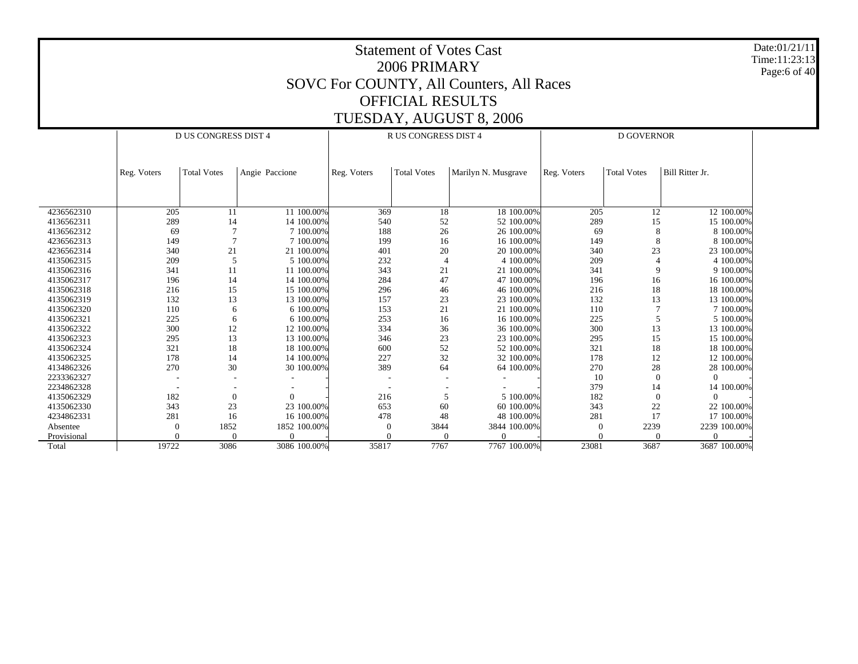Date:01/21/11 Time:11:23:13 Page:6 of 40

|             |             | <b>D US CONGRESS DIST 4</b> |                |             | <b>R US CONGRESS DIST 4</b> |                     | <b>D GOVERNOR</b> |                    |                 |
|-------------|-------------|-----------------------------|----------------|-------------|-----------------------------|---------------------|-------------------|--------------------|-----------------|
|             |             |                             |                |             |                             |                     |                   |                    |                 |
|             |             |                             |                |             |                             |                     |                   |                    |                 |
|             | Reg. Voters | <b>Total Votes</b>          | Angie Paccione | Reg. Voters | <b>Total Votes</b>          | Marilyn N. Musgrave | Reg. Voters       | <b>Total Votes</b> | Bill Ritter Jr. |
|             |             |                             |                |             |                             |                     |                   |                    |                 |
|             |             |                             |                |             |                             |                     |                   |                    |                 |
|             |             |                             |                |             |                             |                     |                   |                    |                 |
| 4236562310  | 205         | 11                          | 11 100.00%     | 369         | 18                          | 18 100.00%          | 205               | 12                 | 12 100.00%      |
| 4136562311  | 289         | 14                          | 14 100.00%     | 540         | 52                          | 52 100.00%          | 289               | 15                 | 15 100.00%      |
| 4136562312  | 69          |                             | 7 100,00%      | 188         | 26                          | 26 100,00%          | 69                | 8                  | 8 100.00%       |
| 4236562313  | 149         |                             | 7 100,00%      | 199         | 16                          | 16 100.00%          | 149               | 8                  | 8 100.00%       |
| 4236562314  | 340         | 21                          | 21 100.00%     | 401         | 20                          | 20 100.00%          | 340               | 23                 | 23 100.00%      |
| 4135062315  | 209         | 5                           | 5 100.00%      | 232         | $\Delta$                    | 4 100,00%           | 209               |                    | 4 100.00%       |
| 4135062316  | 341         | 11                          | 11 100.00%     | 343         | 21                          | 21 100,00%          | 341               | 9                  | 9 100,00%       |
| 4135062317  | 196         | 14                          | 14 100.00%     | 284         | 47                          | 47 100,00%          | 196               | 16                 | 16 100.00%      |
| 4135062318  | 216         | 15                          | 15 100.00%     | 296         | 46                          | 46 100,00%          | 216               | 18                 | 18 100,00%      |
| 4135062319  | 132         | 13                          | 13 100.00%     | 157         | 23                          | 23 100,00%          | 132               | 13                 | 13 100.00%      |
| 4135062320  | 110         | 6                           | 6 100.00%      | 153         | 21                          | 21 100,00%          | 110               |                    | 7 100.00%       |
| 4135062321  | 225         | 6                           | 6 100.00%      | 253         | 16                          | 16 100.00%          | 225               |                    | 5 100.00%       |
| 4135062322  | 300         | 12                          | 12 100.00%     | 334         | 36                          | 36 100.00%          | 300               | 13                 | 13 100,00%      |
| 4135062323  | 295         | 13                          | 13 100.00%     | 346         | 23                          | 23 100,00%          | 295               | 15                 | 15 100.00%      |
| 4135062324  | 321         | 18                          | 18 100.00%     | 600         | 52                          | 52 100,00%          | 321               | 18                 | 18 100.00%      |
| 4135062325  | 178         | 14                          | 14 100.00%     | 227         | 32                          | 32 100.00%          | 178               | 12                 | 12 100.00%      |
| 4134862326  | 270         | 30                          | 30 100.00%     | 389         | 64                          | 64 100.00%          | 270               | 28                 | 28 100.00%      |
| 2233362327  |             |                             |                |             |                             |                     | 10                | $\Omega$           | $\Omega$        |
| 2234862328  |             |                             |                |             |                             |                     | 379               | 14                 | 14 100.00%      |
| 4135062329  | 182         | $\mathbf{0}$                |                | 216         | 5                           | 5 100.00%           | 182               | $\mathbf{0}$       | $\Omega$        |
| 4135062330  | 343         | 23                          | 23 100.00%     | 653         | 60                          | 60 100,00%          | 343               | 22                 | 22 100.00%      |
| 4234862331  | 281         | 16                          | 16 100.00%     | 478         | 48                          | 48 100.00%          | 281               | 17                 | 17 100.00%      |
| Absentee    | 0           | 1852                        | 1852 100.00%   | $\Omega$    | 3844                        | 3844 100.00%        | $\Omega$          | 2239               | 2239 100.00%    |
| Provisional |             |                             |                |             |                             |                     |                   |                    | $\Omega$        |
| Total       | 19722       | 3086                        | 3086 100.00%   | 35817       | 7767                        | 7767 100.00%        | 23081             | 3687               | 3687 100.00%    |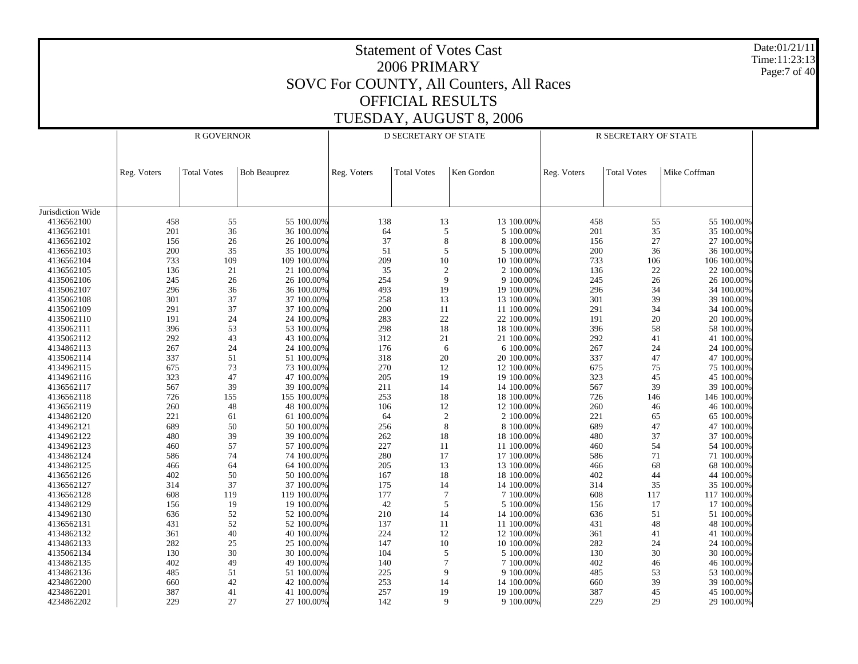Statement of Votes Cast2006 PRIMARYSOVC For COUNTY, All Counters, All Races OFFICIAL RESULTSTUESDAY, AUGUST 8, 2006 Date:01/21/11Time:11:23:13Page:7 of 40 Jurisdiction Wide 4136562100 4136562101 4136562102 4136562103 4136562104 4136562105 4135062106 4135062107 4135062108 4135062109 4135062110 4135062111 4135062112 4134862113 4135062114 4134962115 4134962116 4136562117 4136562118 4136562119 4134862120 4134962121 4134962122 4134962123 4134862124 4134862125 4136562126 4136562127 4136562128 4134862129 4134962130 4136562131 4134862132 4134862133 4135062134 4134862135 4134862136 4234862200 4234862201 4234862202Reg. Voters | Total Votes | Bob Beauprez R GOVERNORReg. Voters | Total Votes | Ken Gordon D SECRETARY OF STATEReg. Voters | Total Votes | Mike Coffman R SECRETARY OF STATE458 55 55 100.00%% 138 13 100.00% 458 55 55 100.00% 201 36 36 100.00% $\%$  64 5 5 100.00% 201 35 35 100.00% 156 26 26 100.00% $\%$  37 8 8 100.00% 156 27 27 100.00% 200 35 35 100.00% $\%$  51 5 5100.00% 200 36 36 100.00% 733 109 109 100.00% 209 10 10 100.00% 733 106 106 100.00% 136 21 21 100.00% $\%$  35 2 2 100.00% 136 22 2 100.00% 245 26 26 100.00% 254 9 9 100.00% 245 26 26 100.00% 296 36 36 100.00% 493 19 19 100.00% 296 34 34 100.00% 301 37 37 100.00%% 258 13 100.00% 301 39 39 100.00% 291 37 37 100.00%% 200 11 11 100.00% 291 34 34 100.00% 191 24 24 100.00% $\%$  283 22 22 100.00% 191 20 20 100.00% 396 53 53 100.00% 298 18 18 100.00% 396 58 58 100.00% 292 43 43 100.00% $\%$  312 21 21 100.00% 292 41 41 100.00% 267 24 24 100.00% $\%$  176 6 6 100.00% 267 24 24 100.00% 337 51 51 100.00% 318 20 20 100.00% 337 47 47 100.00% 675 73 73 100.00% 270 12 12 100.00% 675 75 75 100.00% 323 47 47 100.00% 205 19 19 100.00% 323 45 45 100.00% 567 39 39 100.00% $\%$  211 14 100.00% 567 39 39 100.00% 726 155 155 100.00% 253 18 18 100.00% 726 146 146 100.00% 260 48 48 100.00%% 106 12 12 100.00% 260 46 46 100.00% 221 61 61 100.00% $\%$  64 2 2 100.00% 221 65 65 100.00% 689 50 50 100.00% 256 8 8 100.00% 689 47 47 100.00% 480 39 39 100.00% 262 18 18 100.00% 480 37 37 100.00% 460 57 57 100.00% $\%$  227 11 11 100.00% 460 54 54 100.00% 586 74 74 100.00% 280 17 17 100.00% 586 71 71 100.00% 466 64 64 100.00% $\%$  205 13 1300.00% 466 68 68 100.00% 402 50 50 100.00% $\%$  167 18 18 100.00% 402 44 4100.00% 314 37 37 100.00%% 175 14 100.00% 314 35 35 100.00% 608 119 119 100.00% $\%$  177 7 7 100.00% 608 117 117 100.00% 156 19 19 100.00% $\%$  42 5 5 100.00% 156 17 17 100.00% 636 52 52 100.00% 210 14 14 100.00% 636 51 51 100.00% 431 52 52 100.00%% 137 11 11 100.00% 431 48 48 100.00% 361 40 40 100.00%% 224 12 12 100.00% 361 41 41 100.00% 282 25 25 100.00%% 147 10 10 100.00% 282 24 24 100.00% 130 30 30 100.00%% 104 5 5 100.00% 130 30 30 30 30 30 30 30 5 100.00 % 402 49 49 100.00% $\%$  140 7 7 100.00% 402 46 46 100.00% 485 51 51 100.00% 225 9 9 100.00% 485 53 53 100.00% 660 42 42 100.00% 253 14 14 100.00% 660 39 39 100.00% 387 41 41 100.00% 257 19 19 100.00% 387 45 45 100.00% 229 27 27 100.00%142 9 9 100.00% 229 29 29 100.00%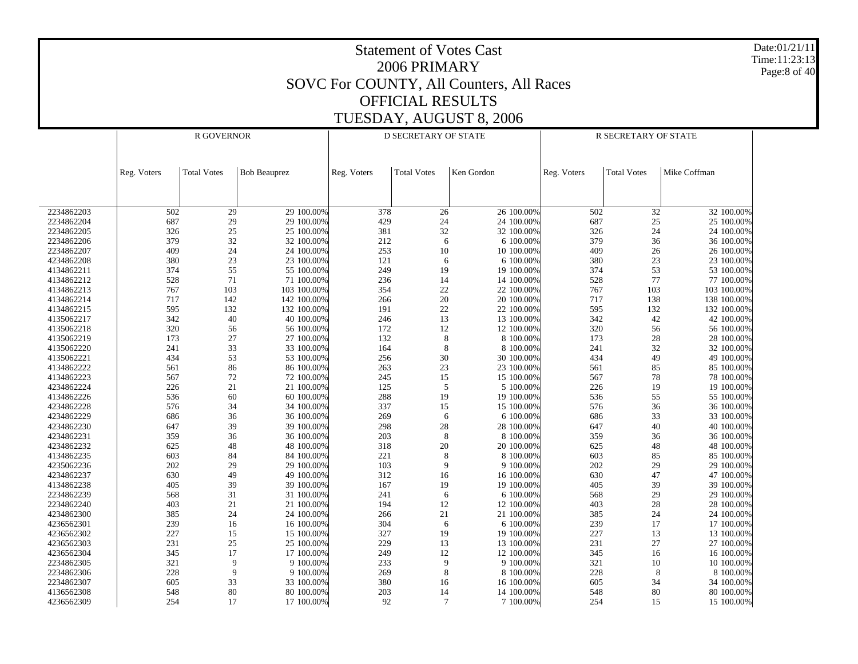Date:01/21/11 Time:11:23:13 Page:8 of 40

|            | <b>R GOVERNOR</b> |                    |                     | <b>D SECRETARY OF STATE</b> |                    | R SECRETARY OF STATE |             |                    |              |
|------------|-------------------|--------------------|---------------------|-----------------------------|--------------------|----------------------|-------------|--------------------|--------------|
|            |                   |                    |                     |                             |                    |                      |             |                    |              |
|            | Reg. Voters       | <b>Total Votes</b> | <b>Bob Beauprez</b> | Reg. Voters                 | <b>Total Votes</b> | Ken Gordon           | Reg. Voters | <b>Total Votes</b> | Mike Coffman |
|            |                   |                    |                     |                             |                    |                      |             |                    |              |
| 2234862203 | 502               | 29                 | 29 100.00%          | 378                         | 26                 | 26 100.00%           | 502         | 32                 | 32 100.00%   |
| 2234862204 | 687               | 29                 | 29 100.00%          | 429                         | 24                 | 24 100.00%           | 687         | 25                 | 25 100.00%   |
| 2234862205 | 326               | $25\,$             | 25 100.00%          | 381                         | 32                 | 32 100.00%           | 326         | 24                 | 24 100.00%   |
| 2234862206 | 379               | 32                 | 32 100.00%          | 212                         | 6                  | 6 100.00%            | 379         | 36                 | 36 100.00%   |
| 2234862207 | 409               | 24                 | 24 100.00%          | 253                         | $10\,$             | 10 100.00%           | 409         | $26\,$             | 26 100.00%   |
| 4234862208 | 380               | 23                 | 23 100.00%          | 121                         | 6                  | 6 100.00%            | 380         | $23\,$             | 23 100.00%   |
| 4134862211 | 374               | 55                 | 55 100.00%          | 249                         | 19                 | 19 100.00%           | 374         | 53                 | 53 100.00%   |
| 4134862212 | 528               | 71                 | 71 100.00%          | 236                         | 14                 | 14 100.00%           | 528         | $77$               | 77 100.00%   |
| 4134862213 | 767               | 103                | 103 100.00%         | 354                         | $22\,$             | 22 100.00%           | 767         | 103                | 103 100.00%  |
| 4134862214 | 717               | 142                | 142 100.00%         | 266                         | 20                 | 20 100.00%           | 717         | 138                | 138 100.00%  |
| 4134862215 | 595               | 132                | 132 100.00%         | 191                         | $22\,$             | 22 100.00%           | 595         | 132                | 132 100.00%  |
| 4135062217 | 342               | 40                 | 40 100.00%          | 246                         | 13                 | 13 100.00%           | 342         | $42\,$             | 42 100.00%   |
| 4135062218 | 320               | 56                 | 56 100.00%          | 172                         | 12                 | 12 100.00%           | 320         | 56                 | 56 100.00%   |
| 4135062219 | 173               | 27                 | 27 100.00%          | 132                         | $\,8\,$            | 8 100.00%            | 173         | $28\,$             | 28 100.00%   |
| 4135062220 | 241               | 33                 | 33 100.00%          | 164                         | $\,8\,$            | 8 100.00%            | 241         | 32                 | 32 100.00%   |
| 4135062221 | 434               | 53                 | 53 100.00%          | 256                         | $30\,$             | 30 100.00%           | 434         | 49                 | 49 100.00%   |
| 4134862222 | 561               | 86                 | 86 100.00%          | 263                         | $23\,$             | 23 100.00%           | 561         | 85                 | 85 100.00%   |
| 4134862223 | 567               | $72\,$             | 72 100.00%          | 245                         | 15                 | 15 100.00%           | 567         | 78                 | 78 100.00%   |
| 4234862224 | 226               | 21                 | 21 100.00%          | 125                         | $\sqrt{5}$         | 5 100.00%            | 226         | 19                 | 19 100.00%   |
| 4134862226 | 536               | 60                 | 60 100.00%          | 288                         | 19                 | 19 100.00%           | 536         | 55                 | 55 100.00%   |
| 4234862228 | 576               | 34                 | 34 100.00%          | 337                         | 15                 | 15 100.00%           | 576         | 36                 | 36 100.00%   |
| 4234862229 | 686               | 36                 | 36 100.00%          | 269                         | $\sqrt{6}$         | 6 100.00%            | 686         | 33                 | 33 100.00%   |
| 4234862230 | 647               | 39                 | 39 100.00%          | 298                         | $28\,$             | 28 100.00%           | 647         | 40                 | 40 100.00%   |
| 4234862231 | 359               | 36                 | 36 100.00%          | 203                         | $\,8\,$            | 8 100.00%            | 359         | 36                 | 36 100.00%   |
| 4234862232 |                   |                    | 48 100.00%          |                             |                    | 20 100.00%           |             |                    | 48 100.00%   |
|            | 625<br>603        | 48                 |                     | 318                         | $20\,$<br>8        |                      | 625<br>603  | 48                 |              |
| 4134862235 |                   | 84                 | 84 100.00%          | 221                         | 9                  | 8 100.00%            |             | 85                 | 85 100.00%   |
| 4235062236 | 202               | 29                 | 29 100.00%          | 103                         |                    | 9 100.00%            | 202         | 29                 | 29 100.00%   |
| 4234862237 | 630               | 49                 | 49 100.00%          | 312                         | 16                 | 16 100.00%           | 630         | $47\,$             | 47 100.00%   |
| 4134862238 | 405               | 39                 | 39 100.00%          | 167                         | 19                 | 19 100.00%           | 405         | 39                 | 39 100.00%   |
| 2234862239 | 568               | 31                 | 31 100.00%          | 241                         | 6                  | 6 100.00%            | 568         | 29                 | 29 100.00%   |
| 2234862240 | 403               | 21                 | 21 100.00%          | 194                         | 12                 | 12 100.00%           | 403         | $28\,$             | 28 100.00%   |
| 4234862300 | 385               | 24                 | 24 100.00%          | 266                         | 21                 | 21 100.00%           | 385         | 24                 | 24 100.00%   |
| 4236562301 | 239               | 16                 | 16 100.00%          | 304                         | 6                  | 6 100.00%            | 239         | 17                 | 17 100.00%   |
| 4236562302 | 227               | 15                 | 15 100.00%          | 327                         | 19                 | 19 100.00%           | 227         | 13                 | 13 100.00%   |
| 4236562303 | 231               | $25\,$             | 25 100.00%          | 229                         | 13                 | 13 100.00%           | 231         | $27\,$             | 27 100.00%   |
| 4236562304 | 345               | 17                 | 17 100.00%          | 249                         | 12                 | 12 100.00%           | 345         | 16                 | 16 100.00%   |
| 2234862305 | 321               | 9                  | 9 100.00%           | 233                         | $\overline{9}$     | 9 100.00%            | 321         | $10\,$             | 10 100.00%   |
| 2234862306 | 228               | 9                  | 9 100.00%           | 269                         | $\,$ 8 $\,$        | 8 100.00%            | 228         | 8                  | 8 100.00%    |
| 2234862307 | 605               | 33                 | 33 100.00%          | 380                         | 16                 | 16 100.00%           | 605         | 34                 | 34 100.00%   |
| 4136562308 | 548               | 80                 | 80 100.00%          | 203                         | 14                 | 14 100.00%           | 548         | 80                 | 80 100.00%   |
| 4236562309 | 254               | 17                 | 17 100.00%          | 92                          | $\overline{7}$     | 7 100.00%            | 254         | 15                 | 15 100.00%   |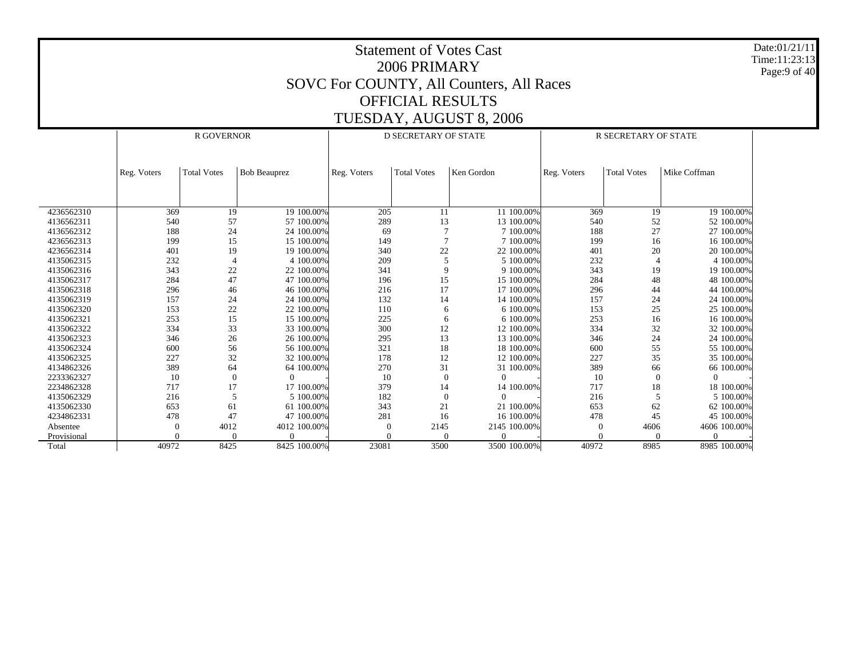Date:01/21/11 Time:11:23:13 Page:9 of 40

|             |             | <b>R GOVERNOR</b>  |                     |             | <b>D SECRETARY OF STATE</b> |              | <b>R SECRETARY OF STATE</b> |                    |              |  |
|-------------|-------------|--------------------|---------------------|-------------|-----------------------------|--------------|-----------------------------|--------------------|--------------|--|
|             |             |                    |                     |             |                             |              |                             |                    |              |  |
|             |             |                    |                     |             |                             |              |                             |                    |              |  |
|             | Reg. Voters | <b>Total Votes</b> | <b>Bob Beauprez</b> | Reg. Voters | <b>Total Votes</b>          | Ken Gordon   | Reg. Voters                 | <b>Total Votes</b> | Mike Coffman |  |
|             |             |                    |                     |             |                             |              |                             |                    |              |  |
|             |             |                    |                     |             |                             |              |                             |                    |              |  |
|             |             |                    |                     |             |                             |              |                             |                    |              |  |
| 4236562310  | 369         | 19                 | 19 100.00%          | 205         | 11                          | 11 100.00%   | 369                         | 19                 | 19 100,00%   |  |
| 4136562311  | 540         | 57                 | 57 100.00%          | 289         | 13                          | 13 100.00%   | 540                         | 52                 | 52 100.00%   |  |
| 4136562312  | 188         | 24                 | 24 100.00%          | 69          |                             | 7 100.00%    | 188                         | 27                 | 27 100.00%   |  |
| 4236562313  | 199         | 15                 | 15 100.00%          | 149         | 7                           | 7 100,00%    | 199                         | 16                 | 16 100.00%   |  |
| 4236562314  | 401         | 19                 | 19 100.00%          | 340         | 22                          | 22 100.00%   | 401                         | 20                 | 20 100.00%   |  |
| 4135062315  | 232         | $\overline{4}$     | 4 100,00%           | 209         | 5                           | 5 100,00%    | 232                         |                    | 4 100.00%    |  |
| 4135062316  | 343         | 22                 | 22 100.00%          | 341         | 9                           | 9 100.00%    | 343                         | 19                 | 19 100.00%   |  |
| 4135062317  | 284         | 47                 | 47 100,00%          | 196         | 15                          | 15 100.00%   | 284                         | 48                 | 48 100.00%   |  |
| 4135062318  | 296         | 46                 | 46 100.00%          | 216         | 17                          | 17 100.00%   | 296                         | 44                 | 44 100.00%   |  |
| 4135062319  | 157         | 24                 | 24 100.00%          | 132         | 14                          | 14 100.00%   | 157                         | 24                 | 24 100.00%   |  |
| 4135062320  | 153         | 22                 | 22 100.00%          | 110         | 6                           | 6 100.00%    | 153                         | 25                 | 25 100.00%   |  |
| 4135062321  | 253         | 15                 | 15 100,00%          | 225         | 6                           | 6 100,00%    | 253                         | 16                 | 16 100,00%   |  |
| 4135062322  | 334         | 33                 | 33 100.00%          | 300         | 12                          | 12 100.00%   | 334                         | 32                 | 32 100.00%   |  |
| 4135062323  | 346         | 26                 | 26 100.00%          | 295         | 13                          | 13 100.00%   | 346                         | 24                 | 24 100.00%   |  |
| 4135062324  | 600         | 56                 | 56 100.00%          | 321         | 18                          | 18 100.00%   | 600                         | 55                 | 55 100.00%   |  |
| 4135062325  | 227         | 32                 | 32 100.00%          | 178         | 12                          | 12 100.00%   | 227                         | 35                 | 35 100,00%   |  |
| 4134862326  | 389         | 64                 | 64 100.00%          | 270         | 31                          | 31 100.00%   | 389                         | 66                 | 66 100.00%   |  |
| 2233362327  | 10          | $\mathbf{0}$       | $\Omega$            | 10          | $\boldsymbol{0}$            | $\Omega$     | 10                          | $\mathbf{0}$       | $\Omega$     |  |
| 2234862328  | 717         | 17                 | 17 100.00%          | 379         | 14                          | 14 100.00%   | 717                         | 18                 | 18 100.00%   |  |
| 4135062329  | 216         | 5                  | 5 100,00%           | 182         | $\theta$                    | $\Omega$     | 216                         | 5                  | 5 100,00%    |  |
| 4135062330  | 653         | 61                 | 61 100.00%          | 343         | 21                          | 21 100.00%   | 653                         | 62                 | 62 100.00%   |  |
| 4234862331  | 478         | 47                 | 47 100.00%          | 281         | 16                          | 16 100.00%   | 478                         | 45                 | 45 100.00%   |  |
| Absentee    | $\sqrt{ }$  | 4012               | 4012 100.00%        | $\theta$    | 2145                        | 2145 100.00% | $\theta$                    | 4606               | 4606 100.00% |  |
| Provisional | $\Omega$    | $\Omega$           | $\Omega$            | $\Omega$    | $\Omega$                    | $\Omega$     | $\Omega$                    | $\Omega$           | $\Omega$     |  |
| Total       | 40972       | 8425               | 8425 100.00%        | 23081       | 3500                        | 3500 100.00% | 40972                       | 8985               | 8985 100.00% |  |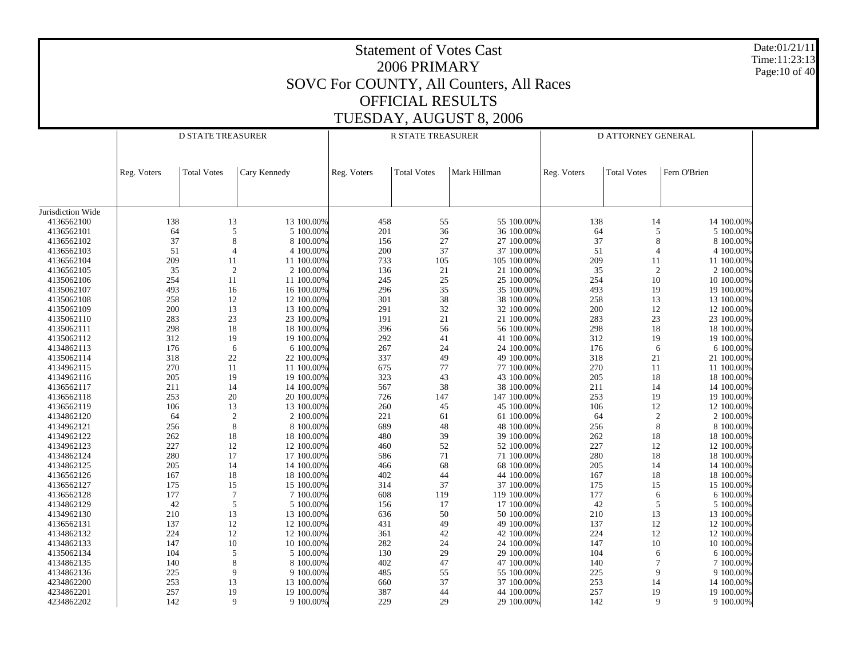|                          |             |                          |                                               |             | 2006 PRIMARY             | <b>Statement of Votes Cast</b><br>SOVC For COUNTY, All Counters, All Races |             |                    |                          | Date:01/21/11<br>Time:11:23:13<br>Page: 10 of 40 |
|--------------------------|-------------|--------------------------|-----------------------------------------------|-------------|--------------------------|----------------------------------------------------------------------------|-------------|--------------------|--------------------------|--------------------------------------------------|
|                          |             |                          |                                               |             | <b>OFFICIAL RESULTS</b>  |                                                                            |             |                    |                          |                                                  |
|                          |             |                          |                                               |             |                          |                                                                            |             |                    |                          |                                                  |
|                          |             |                          |                                               |             |                          | TUESDAY, AUGUST 8, 2006                                                    |             |                    |                          |                                                  |
|                          |             | <b>D STATE TREASURER</b> |                                               |             | <b>R STATE TREASURER</b> |                                                                            |             | D ATTORNEY GENERAL |                          |                                                  |
|                          |             |                          |                                               |             |                          |                                                                            |             |                    |                          |                                                  |
|                          | Reg. Voters | <b>Total Votes</b>       | Cary Kennedy                                  | Reg. Voters | <b>Total Votes</b>       | Mark Hillman                                                               | Reg. Voters | <b>Total Votes</b> | Fern O'Brien             |                                                  |
|                          |             |                          |                                               |             |                          |                                                                            |             |                    |                          |                                                  |
| Jurisdiction Wide        |             |                          |                                               |             |                          |                                                                            |             |                    |                          |                                                  |
| 4136562100               |             | 138                      | 13<br>13 100.00%                              | 458         | 55                       | 55 100.00%                                                                 | 138         | 14                 | 14 100.00%               |                                                  |
| 4136562101               |             | 64                       | 5<br>5 100.00%                                | 201         | 36                       | 36 100.00%                                                                 | 64          | 5                  | 5 100.00%                |                                                  |
| 4136562102<br>4136562103 |             | 37<br>51                 | 8<br>8 100.00%<br>4 100.00%<br>$\overline{4}$ | 156<br>200  | 27<br>37                 | 27 100.00%<br>37 100.00%                                                   | 37<br>51    |                    | 8 100.00%<br>4 100.00%   |                                                  |
| 4136562104               |             | 209                      | 11 100.00%<br>11                              | 733         | 105                      | 105 100.00%                                                                | 209         | 11                 | 11 100.00%               |                                                  |
| 4136562105               |             | 35                       | $\overline{2}$<br>2 100.00%                   | 136         | 21                       | 21 100.00%                                                                 | 35          | 2                  | 2 100.00%                |                                                  |
| 4135062106               | 254         |                          | 11<br>11 100.00%                              | 245         | 25                       | 25 100.00%                                                                 | 254         | 10                 | 10 100.00%               |                                                  |
| 4135062107               |             | 493                      | 16<br>16 100.00%                              | 296         | 35                       | 35 100.00%                                                                 | 493         | 19                 | 19 100.00%               |                                                  |
| 4135062108               |             | 258                      | 12<br>12 100.00%                              | 301         | 38                       | 38 100.00%                                                                 | 258         | 13                 | 13 100.00%               |                                                  |
| 4135062109               |             | 200                      | 13<br>13 100.00%                              | 291         | $32\,$                   | 32 100.00%                                                                 | 200         | 12                 | 12 100.00%               |                                                  |
| 4135062110               |             | 283                      | 23<br>23 100.00%                              | 191         | 21                       | 21 100.00%                                                                 | 283         | 23                 | 23 100.00%               |                                                  |
| 4135062111               |             | 298                      | 18<br>18 100.00%                              | 396         | 56                       | 56 100.00%                                                                 | 298         | 18                 | 18 100.00%               |                                                  |
| 4135062112               |             | 312                      | 19<br>19 100.00%                              | 292         | 41                       | 41 100.00%                                                                 | 312         | 19                 | 19 100.00%               |                                                  |
| 4134862113               |             | 176                      | 6 100.00%<br>6                                | 267         | 24                       | 24 100.00%                                                                 | 176         | 6                  | 6 100.00%                |                                                  |
| 4135062114               |             | 318                      | 22<br>22 100.00%                              | 337         | 49                       | 49 100.00%                                                                 | 318         | 21                 | 21 100.00%               |                                                  |
| 4134962115               |             | 270                      | 11<br>11 100.00%                              | 675         | 77                       | 77 100.00%                                                                 | 270         | 11                 | 11 100.00%               |                                                  |
| 4134962116               |             | 205                      | 19<br>19 100.00%                              | 323         | 43                       | 43 100.00%                                                                 | 205         | 18                 | 18 100.00%               |                                                  |
| 4136562117               | 211         |                          | 14<br>14 100.00%                              | 567         | 38                       | 38 100.00%                                                                 | 211         | 14                 | 14 100.00%               |                                                  |
| 4136562118               |             | 253                      | 20<br>20 100.00%                              | 726         | 147                      | 147 100.00%                                                                | 253         | 19                 | 19 100.00%               |                                                  |
| 4136562119               |             | 106                      | 13<br>13 100.00%                              | 260         | 45                       | 45 100.00%                                                                 | 106         | 12                 | 12 100.00%               |                                                  |
| 4134862120               |             | 64                       | $\overline{2}$<br>2 100.00%                   | 221         | 61                       | 61 100.00%                                                                 | 64          | $\overline{2}$     | 2 100.00%                |                                                  |
| 4134962121               |             | 256                      | 8<br>8 100.00%                                | 689         | 48                       | 48 100.00%                                                                 | 256         | 8                  | 8 100.00%                |                                                  |
| 4134962122               |             | 262                      | 18<br>18 100.00%                              | 480         | 39                       | 39 100.00%                                                                 | 262         | 18                 | 18 100.00%               |                                                  |
| 4134962123<br>4134862124 | 227         | 280                      | 12<br>12 100.00%<br>17<br>17 100.00%          | 460<br>586  | 52<br>71                 | 52 100.00%<br>71 100.00%                                                   | 227<br>280  | 12<br>18           | 12 100.00%<br>18 100.00% |                                                  |
| 4134862125               |             | 205                      | 14<br>14 100.00%                              | 466         | 68                       | 68 100.00%                                                                 | 205         | 14                 | 14 100.00%               |                                                  |
| 4136562126               |             | 167                      | 18<br>18 100.00%                              | 402         | 44                       | 44 100.00%                                                                 | 167         | 18                 | 18 100.00%               |                                                  |
| 4136562127               |             | 175                      | 15<br>15 100.00%                              | 314         | 37                       | 37 100.00%                                                                 | 175         | 15                 | 15 100.00%               |                                                  |
| 4136562128               |             | 177                      | 7 100.00%                                     | 608         | 119                      | 119 100.00%                                                                | 177         | 6                  | 6 100.00%                |                                                  |
| 4134862129               |             | 42                       | 5<br>5 100.00%                                | 156         | 17                       | 17 100.00%                                                                 | 42          | 5                  | 5 100.00%                |                                                  |
| 4134962130               |             | 210                      | 13<br>13 100.00%                              | 636         | 50                       | 50 100.00%                                                                 | 210         | 13                 | 13 100.00%               |                                                  |
| 4136562131               |             | 137                      | 12<br>12 100.00%                              | 431         | 49                       | 49 100.00%                                                                 | 137         | 12                 | 12 100.00%               |                                                  |
| 4134862132               |             | 224                      | 12<br>12 100.00%                              | 361         | 42                       | 42 100.00%                                                                 | 224         | 12                 | 12 100.00%               |                                                  |
| 4134862133               | 147         |                          | 10<br>10 100.00%                              | 282         | 24                       | 24 100.00%                                                                 | 147         | 10                 | 10 100.00%               |                                                  |
| 4135062134               | 104         |                          | 5<br>5 100.00%                                | 130         | 29                       | 29 100.00%                                                                 | 104         | 6                  | 6 100.00%                |                                                  |
| 4134862135               |             | 140                      | 8<br>8 100.00%                                | 402         | 47                       | 47 100.00%                                                                 | 140         | 7                  | 7 100.00%                |                                                  |
| 4134862136               |             | 225                      | 9 100.00%<br>9                                | 485         | 55                       | 55 100.00%                                                                 | 225         | 9                  | 9 100.00%                |                                                  |
| 4234862200               |             | 253                      | 13<br>13 100.00%                              | 660         | 37                       | 37 100.00%                                                                 | 253         | 14                 | 14 100.00%               |                                                  |
| 4234862201               | 257         |                          | 19<br>19 100.00%                              | 387         | 44                       | 44 100.00%                                                                 | 257         | 19                 | 19 100.00%               |                                                  |
| 4234862202               |             | 142                      | 9<br>9 100.00%                                | 229         | 29                       | 29 100.00%                                                                 | 142         | 9                  | 9 100.00%                |                                                  |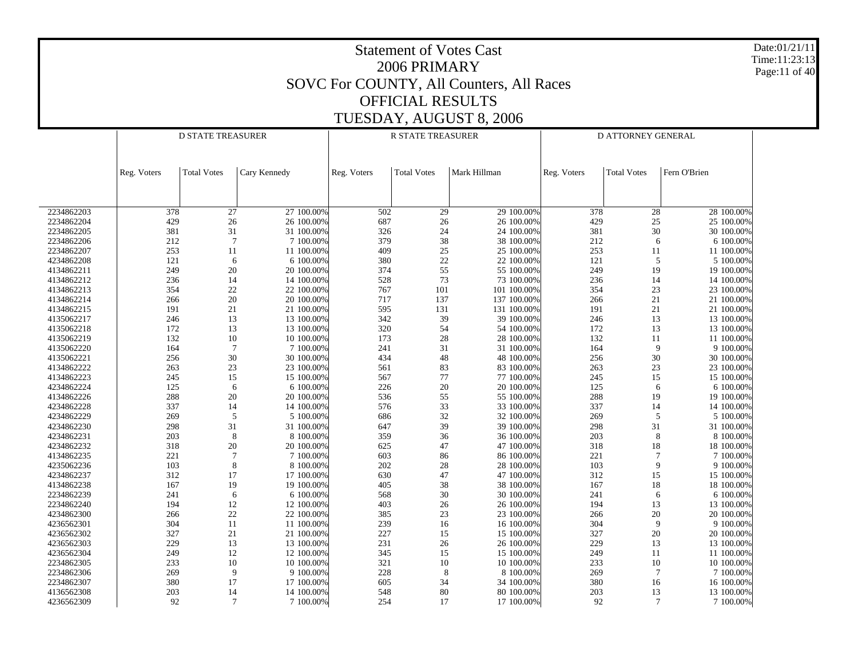Date:01/21/11 Time:11:23:13 Page:11 of 40

|            | <b>D STATE TREASURER</b> |                    |              | R STATE TREASURER |                    | D ATTORNEY GENERAL |             |                    |              |
|------------|--------------------------|--------------------|--------------|-------------------|--------------------|--------------------|-------------|--------------------|--------------|
|            | Reg. Voters              | <b>Total Votes</b> | Cary Kennedy | Reg. Voters       | <b>Total Votes</b> | Mark Hillman       | Reg. Voters | <b>Total Votes</b> | Fern O'Brien |
|            |                          |                    |              |                   |                    |                    |             |                    |              |
| 2234862203 | 378                      | 27                 | 27 100.00%   | 502               | 29                 | 29 100.00%         | 378         | 28                 | 28 100.00%   |
| 2234862204 | 429                      | 26                 | 26 100.00%   | 687               | 26                 | 26 100.00%         | 429         | 25                 | 25 100.00%   |
| 2234862205 | 381                      | 31                 | 31 100.00%   | 326               | 24                 | 24 100.00%         | 381         | 30                 | 30 100.00%   |
| 2234862206 | 212                      | $\overline{7}$     | 7 100.00%    | 379               | 38                 | 38 100.00%         | 212         | 6                  | 6 100.00%    |
| 2234862207 | 253                      | 11                 | 11 100.00%   | 409               | 25                 | 25 100.00%         | 253         | 11                 | 11 100.00%   |
| 4234862208 | 121                      | 6                  | 6 100.00%    | 380               | 22                 | 22 100.00%         | 121         | 5                  | 5 100.00%    |
| 4134862211 | 249                      | 20                 | 20 100.00%   | 374               | 55                 | 55 100.00%         | 249         | 19                 | 19 100.00%   |
| 4134862212 | 236                      | 14                 | 14 100.00%   | 528               | 73                 | 73 100.00%         | 236         | 14                 | 14 100.00%   |
| 4134862213 | 354                      | $22\,$             | 22 100.00%   | 767               | 101                | 101 100.00%        | 354         | $23\,$             | 23 100.00%   |
| 4134862214 | 266                      | 20                 | 20 100.00%   | 717               | 137                | 137 100.00%        | 266         | $21\,$             | 21 100.00%   |
| 4134862215 | 191                      | $21\,$             | 21 100.00%   | 595               | 131                | 131 100.00%        | 191         | $21\,$             | 21 100.00%   |
| 4135062217 | 246                      | 13                 | 13 100.00%   | 342               | 39                 | 39 100.00%         | 246         | 13                 | 13 100.00%   |
| 4135062218 | 172                      | 13                 | 13 100.00%   | 320               | 54                 | 54 100.00%         | 172         | 13                 | 13 100.00%   |
| 4135062219 | 132                      | 10                 | 10 100.00%   | 173               | 28                 | 28 100.00%         | 132         | 11                 | 11 100.00%   |
| 4135062220 | 164                      | $\overline{7}$     | 7 100.00%    | 241               | 31                 | 31 100.00%         | 164         | 9                  | 9 100.00%    |
| 4135062221 | 256                      | 30                 | 30 100.00%   | 434               | 48                 | 48 100.00%         | 256         | $30\,$             | 30 100.00%   |
| 4134862222 | 263                      | 23                 | 23 100.00%   | 561               | 83                 | 83 100.00%         | 263         | 23                 | 23 100.00%   |
| 4134862223 | 245                      | 15                 | 15 100.00%   | 567               | $77 \,$            | 77 100.00%         | 245         | 15                 | 15 100.00%   |
| 4234862224 | 125                      | 6                  | 6 100.00%    | 226               | 20                 | 20 100.00%         | 125         | 6                  | 6 100.00%    |
| 4134862226 | 288                      | 20                 | 20 100.00%   | 536               | 55                 | 55 100.00%         | 288         | 19                 | 19 100.00%   |
| 4234862228 | 337                      | 14                 | 14 100.00%   | 576               | 33                 | 33 100.00%         | 337         | 14                 | 14 100.00%   |
| 4234862229 | 269                      | 5                  | 5 100.00%    | 686               | 32                 | 32 100.00%         | 269         | 5                  | 5 100.00%    |
| 4234862230 | 298                      | 31                 | 31 100.00%   | 647               | 39                 | 39 100.00%         | 298         | 31                 | 31 100.00%   |
| 4234862231 | 203                      | $\,8\,$            | 8 100.00%    | 359               | 36                 | 36 100.00%         | 203         | $\,8\,$            | 8 100.00%    |
| 4234862232 | 318                      | 20                 | 20 100.00%   | 625               | 47                 | 47 100.00%         | 318         | 18                 | 18 100.00%   |
| 4134862235 | 221                      | $\overline{7}$     | 7 100.00%    | 603               | 86                 | 86 100.00%         | 221         | $\overline{7}$     | 7 100.00%    |
| 4235062236 | 103                      | 8                  | 8 100.00%    | 202               | 28                 | 28 100.00%         | 103         | 9                  | 9 100.00%    |
| 4234862237 | 312                      | 17                 | 17 100.00%   | 630               | 47                 | 47 100.00%         | 312         | 15                 | 15 100.00%   |
| 4134862238 | 167                      | 19                 | 19 100.00%   | 405               | 38                 | 38 100.00%         | 167         | 18                 | 18 100.00%   |
| 2234862239 | 241                      | 6                  | 6 100.00%    | 568               | 30                 | 30 100.00%         | 241         | 6                  | 6 100.00%    |
| 2234862240 | 194                      | 12                 | 12 100.00%   | 403               | $26\,$             | 26 100.00%         | 194         | 13                 | 13 100.00%   |
| 4234862300 | 266                      | 22                 | 22 100.00%   | 385               | 23                 | 23 100.00%         | 266         | $20\,$             | 20 100.00%   |
| 4236562301 | 304                      | 11                 | 11 100.00%   | 239               | $16\,$             | 16 100.00%         | 304         | 9                  | 9 100.00%    |
| 4236562302 | 327                      | 21                 | 21 100.00%   | 227               | 15                 | 15 100.00%         | 327         | $20\,$             | 20 100.00%   |
| 4236562303 | 229                      | 13                 | 13 100.00%   | 231               | $26\,$             | 26 100.00%         | 229         | 13                 | 13 100.00%   |
| 4236562304 | 249                      | 12                 | 12 100.00%   | 345               | 15                 | 15 100.00%         | 249         | 11                 | 11 100.00%   |
| 2234862305 | 233                      | 10                 | 10 100.00%   | 321               | 10                 | 10 100.00%         | 233         | $10\,$             | 10 100.00%   |
| 2234862306 | 269                      | 9                  | 9 100.00%    | 228               | 8                  | 8 100.00%          | 269         | $\tau$             | 7 100.00%    |
| 2234862307 | 380                      | 17                 | 17 100.00%   | 605               | 34                 | 34 100.00%         | 380         | 16                 | 16 100.00%   |
| 4136562308 | 203                      | 14                 | 14 100.00%   | 548               | 80                 | 80 100.00%         | 203         | 13                 | 13 100.00%   |
| 4236562309 | 92                       | 7                  | 7 100.00%    | 254               | 17                 | 17 100.00%         | 92          | 7                  | 7 100.00%    |
|            |                          |                    |              |                   |                    |                    |             |                    |              |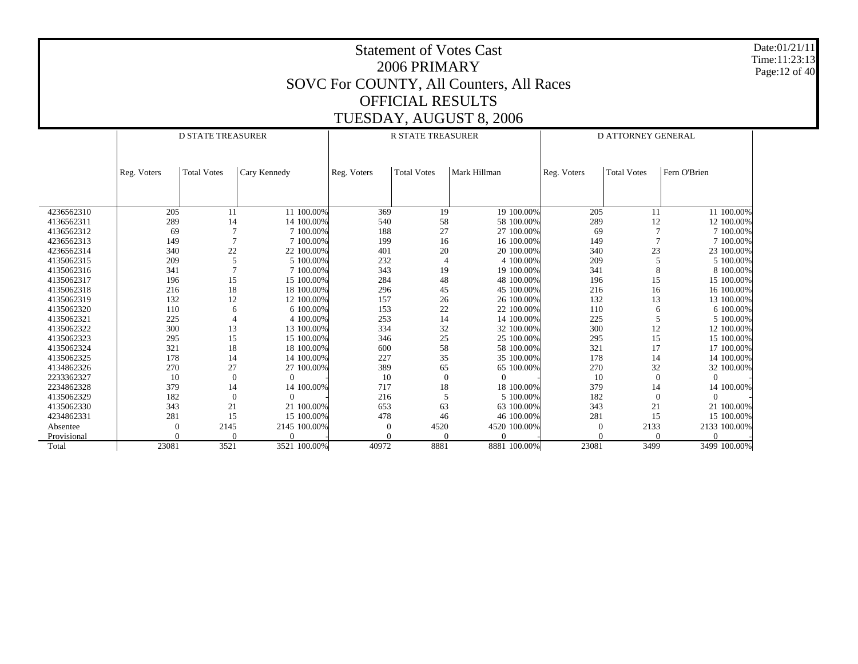Date:01/21/11 Time:11:23:13 Page:12 of 40

|             |             | <b>D STATE TREASURER</b> |              |             | <b>R STATE TREASURER</b> |              | D ATTORNEY GENERAL |                    |              |  |
|-------------|-------------|--------------------------|--------------|-------------|--------------------------|--------------|--------------------|--------------------|--------------|--|
|             |             |                          |              |             |                          |              |                    |                    |              |  |
|             |             |                          |              |             |                          |              |                    |                    |              |  |
|             | Reg. Voters | <b>Total Votes</b>       | Cary Kennedy | Reg. Voters | <b>Total Votes</b>       | Mark Hillman | Reg. Voters        | <b>Total Votes</b> | Fern O'Brien |  |
|             |             |                          |              |             |                          |              |                    |                    |              |  |
|             |             |                          |              |             |                          |              |                    |                    |              |  |
|             |             |                          |              |             |                          |              |                    |                    |              |  |
| 4236562310  | 205         | 11                       | 11 100.00%   | 369         | 19                       | 19 100.00%   | 205                | 11                 | 11 100.00%   |  |
| 4136562311  | 289         | 14                       | 14 100.00%   | 540         | 58                       | 58 100.00%   | 289                | 12                 | 12 100,00%   |  |
| 4136562312  | 69          |                          | 7 100.00%    | 188         | 27                       | 27 100.00%   | 69                 |                    | 7 100.00%    |  |
| 4236562313  | 149         | $\overline{7}$           | 7 100.00%    | 199         | 16                       | 16 100.00%   | 149                | $\overline{7}$     | 7 100,00%    |  |
| 4236562314  | 340         | 22                       | 22 100.00%   | 401         | 20                       | 20 100.00%   | 340                | 23                 | 23 100.00%   |  |
| 4135062315  | 209         | 5                        | 5 100,00%    | 232         | $\overline{4}$           | 4 100,00%    | 209                | 5                  | 5 100.00%    |  |
| 4135062316  | 341         | $\overline{7}$           | 7 100.00%    | 343         | 19                       | 19 100.00%   | 341                | 8                  | 8 100.00%    |  |
| 4135062317  | 196         | 15                       | 15 100.00%   | 284         | 48                       | 48 100.00%   | 196                | 15                 | 15 100,00%   |  |
| 4135062318  | 216         | 18                       | 18 100,00%   | 296         | 45                       | 45 100.00%   | 216                | 16                 | 16 100,00%   |  |
| 4135062319  | 132         | 12                       | 12 100.00%   | 157         | 26                       | 26 100.00%   | 132                | 13                 | 13 100.00%   |  |
| 4135062320  | 110         | 6                        | 6 100.00%    | 153         | 22                       | 22 100.00%   | 110                | 6                  | 6 100,00%    |  |
| 4135062321  | 225         |                          | 4 100.00%    | 253         | 14                       | 14 100.00%   | 225                | 5                  | 5 100.00%    |  |
| 4135062322  | 300         | 13                       | 13 100,00%   | 334         | 32                       | 32 100.00%   | 300                | 12                 | 12 100,00%   |  |
| 4135062323  | 295         | 15                       | 15 100.00%   | 346         | 25                       | 25 100.00%   | 295                | 15                 | 15 100.00%   |  |
| 4135062324  | 321         | 18                       | 18 100.00%   | 600         | 58                       | 58 100.00%   | 321                | 17                 | 17 100,00%   |  |
| 4135062325  | 178         | 14                       | 14 100.00%   | 227         | 35                       | 35 100.00%   | 178                | 14                 | 14 100.00%   |  |
| 4134862326  | 270         | 27                       | 27 100.00%   | 389         | 65                       | 65 100.00%   | 270                | 32                 | 32 100.00%   |  |
| 2233362327  | 10          | $\theta$                 | $\Omega$     | 10          | $\theta$                 | $\Omega$     | 10                 | $\mathbf{0}$       | $\Omega$     |  |
| 2234862328  | 379         | 14                       | 14 100.00%   | 717         | 18                       | 18 100.00%   | 379                | 14                 | 14 100.00%   |  |
| 4135062329  | 182         | $\theta$                 | $\Omega$     | 216         | 5                        | 5 100.00%    | 182                | $\mathbf{0}$       | $\Omega$     |  |
| 4135062330  | 343         | 21                       | 21 100,00%   | 653         | 63                       | 63 100.00%   | 343                | 21                 | 21 100,00%   |  |
| 4234862331  | 281         | 15                       | 15 100.00%   | 478         | 46                       | 46 100.00%   | 281                | 15                 | 15 100.00%   |  |
| Absentee    | 0           | 2145                     | 2145 100.00% | $\theta$    | 4520                     | 4520 100.00% | $\theta$           | 2133               | 2133 100.00% |  |
| Provisional |             | $\Omega$                 | $\Omega$     |             |                          | $\Omega$     |                    | $\Omega$           |              |  |
| Total       | 23081       | 3521                     | 3521 100.00% | 40972       | 8881                     | 8881 100.00% | 23081              | 3499               | 3499 100.00% |  |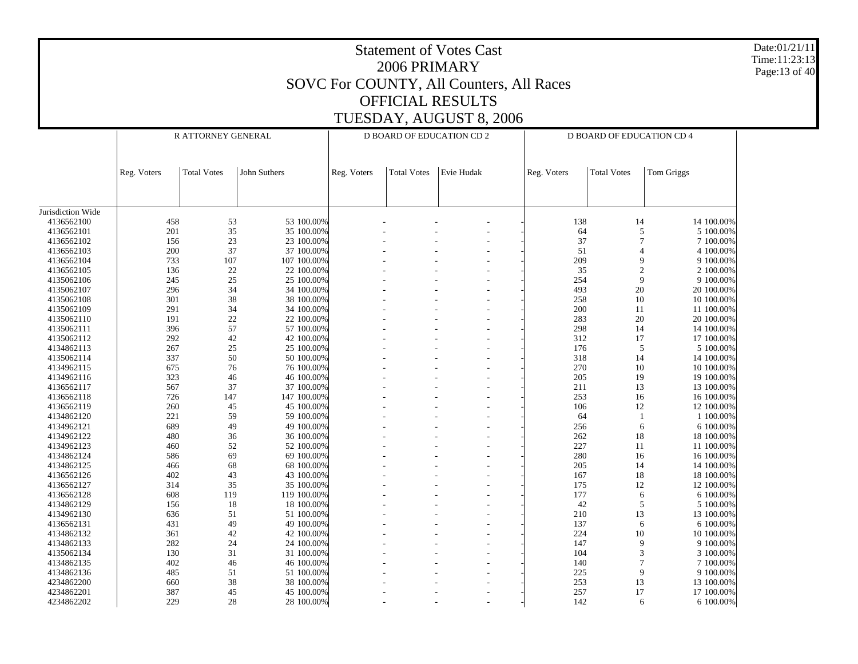| <b>Statement of Votes Cast</b><br>Time:11:23:13<br>2006 PRIMARY<br>SOVC For COUNTY, All Counters, All Races<br><b>OFFICIAL RESULTS</b><br>TUESDAY, AUGUST 8, 2006<br><b>D BOARD OF EDUCATION CD 2</b><br>R ATTORNEY GENERAL<br>D BOARD OF EDUCATION CD 4 |             |                    |                          |             |                    |            |             |                    |                        |  |  |
|----------------------------------------------------------------------------------------------------------------------------------------------------------------------------------------------------------------------------------------------------------|-------------|--------------------|--------------------------|-------------|--------------------|------------|-------------|--------------------|------------------------|--|--|
|                                                                                                                                                                                                                                                          | Reg. Voters | <b>Total Votes</b> | John Suthers             | Reg. Voters | <b>Total Votes</b> | Evie Hudak | Reg. Voters | <b>Total Votes</b> | Tom Griggs             |  |  |
|                                                                                                                                                                                                                                                          |             |                    |                          |             |                    |            |             |                    |                        |  |  |
| Jurisdiction Wide<br>4136562100                                                                                                                                                                                                                          | 458         |                    | 53 100.00%               |             |                    |            | 138         |                    | 14 100.00%             |  |  |
|                                                                                                                                                                                                                                                          |             | 53                 |                          |             |                    |            |             | 14                 |                        |  |  |
| 4136562101<br>4136562102                                                                                                                                                                                                                                 | 201<br>156  | 35<br>23           | 35 100.00%<br>23 100.00% |             |                    |            | 64<br>37    | 5<br>7             | 5 100.00%<br>7 100.00% |  |  |
| 4136562103                                                                                                                                                                                                                                               | 200         | 37                 | 37 100.00%               |             |                    |            | 51          | $\overline{4}$     | 4 100.00%              |  |  |
| 4136562104                                                                                                                                                                                                                                               | 733         | 107                | 107 100.00%              |             |                    |            | 209         | 9                  | 9 100.00%              |  |  |
| 4136562105                                                                                                                                                                                                                                               | 136         | 22                 | 22 100.00%               |             |                    |            | 35          | $\overline{2}$     | 2 100.00%              |  |  |
| 4135062106                                                                                                                                                                                                                                               | 245         | 25                 | 25 100.00%               |             |                    |            | 254         | 9                  | 9 100.00%              |  |  |
| 4135062107                                                                                                                                                                                                                                               | 296         | 34                 | 34 100.00%               |             |                    |            | 493         | 20                 | 20 100.00%             |  |  |
| 4135062108                                                                                                                                                                                                                                               | 301         | 38                 | 38 100.00%               |             |                    |            | 258         | 10                 | 10 100.00%             |  |  |
| 4135062109                                                                                                                                                                                                                                               | 291         | 34                 | 34 100.00%               |             |                    |            | 200         | 11                 | 11 100.00%             |  |  |
| 4135062110                                                                                                                                                                                                                                               | 191         | 22                 | 22 100.00%               |             |                    |            | 283         | 20                 | 20 100.00%             |  |  |
| 4135062111                                                                                                                                                                                                                                               | 396         | 57                 | 57 100.00%               |             |                    |            | 298         | 14                 | 14 100.00%             |  |  |
| 4135062112                                                                                                                                                                                                                                               | 292         | 42                 | 42 100.00%               |             |                    |            | 312         | 17                 | 17 100.00%             |  |  |
| 4134862113                                                                                                                                                                                                                                               | 267         | 25                 | 25 100.00%               |             |                    |            | 176         | 5                  | 5 100.00%              |  |  |
| 4135062114                                                                                                                                                                                                                                               | 337         | 50                 | 50 100.00%               |             |                    |            | 318         | 14                 | 14 100.00%             |  |  |
| 4134962115                                                                                                                                                                                                                                               | 675         | 76                 | 76 100.00%               |             |                    |            | 270         | 10                 | 10 100.00%             |  |  |
| 4134962116                                                                                                                                                                                                                                               | 323         | 46                 | 46 100.00%               |             |                    |            | 205         | 19                 | 19 100.00%             |  |  |
| 4136562117                                                                                                                                                                                                                                               | 567         | 37                 | 37 100.00%               |             |                    |            | 211         | 13                 | 13 100.00%             |  |  |
| 4136562118                                                                                                                                                                                                                                               | 726         | 147                | 147 100.00%              |             |                    |            | 253         | 16                 | 16 100.00%             |  |  |
| 4136562119                                                                                                                                                                                                                                               | 260         | 45                 | 45 100.00%               |             |                    |            | 106         | 12                 | 12 100.00%             |  |  |
| 4134862120                                                                                                                                                                                                                                               | 221         | 59                 | 59 100.00%               |             |                    |            | 64          |                    | 1 100.00%              |  |  |
| 4134962121                                                                                                                                                                                                                                               | 689         | 49                 | 49 100.00%               |             |                    |            | 256         | 6                  | 6 100.00%              |  |  |
| 4134962122                                                                                                                                                                                                                                               | 480         | 36                 | 36 100.00%               |             |                    |            | 262         | 18                 | 18 100.00%             |  |  |
| 4134962123                                                                                                                                                                                                                                               | 460         | 52                 | 52 100.00%               |             |                    |            | 227         | 11                 | 11 100.00%             |  |  |
| 4134862124                                                                                                                                                                                                                                               | 586         | 69                 | 69 100.00%               |             |                    |            | 280         | 16                 | 16 100.00%             |  |  |
| 4134862125                                                                                                                                                                                                                                               | 466         | 68                 | 68 100.00%               |             |                    |            | 205         | 14                 | 14 100.00%             |  |  |
| 4136562126                                                                                                                                                                                                                                               | 402         | 43                 | 43 100.00%               |             |                    |            | 167         | 18                 | 18 100.00%             |  |  |
| 4136562127                                                                                                                                                                                                                                               | 314         | 35                 | 35 100.00%               |             |                    |            | 175         | 12                 | 12 100.00%             |  |  |
| 4136562128                                                                                                                                                                                                                                               | 608         | 119                | 119 100.00%              |             |                    |            | 177         | 6                  | 6 100.00%              |  |  |
| 4134862129                                                                                                                                                                                                                                               | 156         | 18                 | 18 100.00%               |             |                    |            | 42          | 5                  | 5 100.00%              |  |  |
| 4134962130                                                                                                                                                                                                                                               | 636         | 51                 | 51 100.00%               |             |                    |            | 210         | 13                 | 13 100.00%             |  |  |
| 4136562131                                                                                                                                                                                                                                               | 431         | 49                 | 49 100.00%               |             |                    |            | 137         | 6                  | 6 100.00%              |  |  |
| 4134862132                                                                                                                                                                                                                                               | 361         | 42                 | 42 100.00%               |             |                    |            | 224         | 10                 | 10 100.00%             |  |  |
| 4134862133                                                                                                                                                                                                                                               | 282         | 24                 | 24 100.00%               |             |                    |            | 147         | 9                  | 9 100.00%              |  |  |
| 4135062134                                                                                                                                                                                                                                               | 130         | 31                 | 31 100.00%               |             |                    |            | 104         | 3                  | 3 100.00%              |  |  |
| 4134862135                                                                                                                                                                                                                                               | 402         | 46                 | 46 100.00%               |             |                    |            | 140         | $\tau$             | 7 100.00%              |  |  |
| 4134862136                                                                                                                                                                                                                                               | 485         | 51                 | 51 100.00%               |             |                    |            | 225         | 9                  | 9 100.00%              |  |  |
| 4234862200                                                                                                                                                                                                                                               | 660         | 38                 | 38 100.00%               |             |                    |            | 253         | 13                 | 13 100.00%             |  |  |
| 4234862201                                                                                                                                                                                                                                               | 387         | 45                 | 45 100.00%               |             |                    |            | 257         | 17                 | 17 100.00%             |  |  |
| 4234862202                                                                                                                                                                                                                                               | 229         | 28                 | 28 100.00%               |             |                    |            | 142         |                    | 6<br>6 100.00%         |  |  |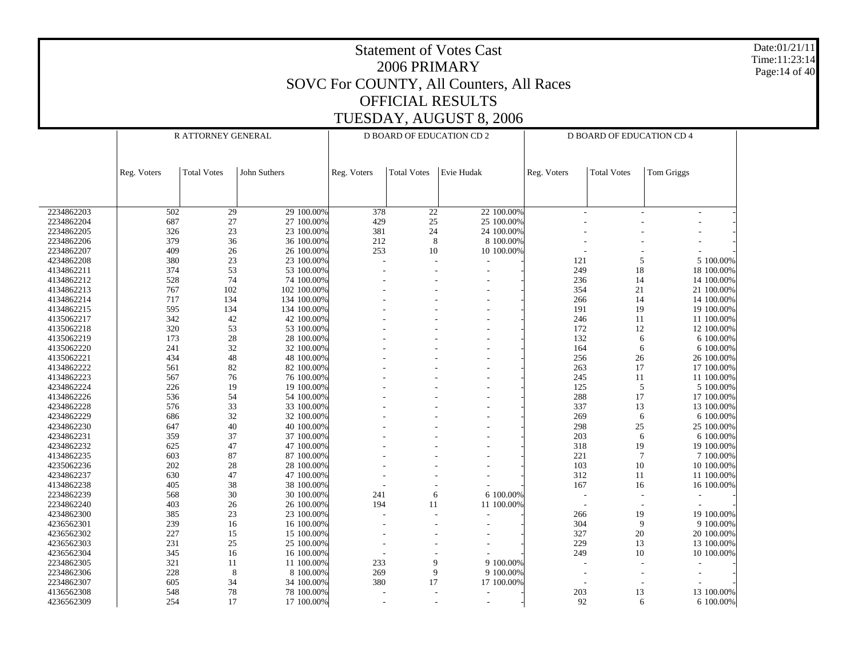Date:01/21/11 Time:11:23:14 Page:14 of 40

|            | R ATTORNEY GENERAL |                    |              | D BOARD OF EDUCATION CD 2 |                    |            |            | D BOARD OF EDUCATION CD 4 |                    |                |
|------------|--------------------|--------------------|--------------|---------------------------|--------------------|------------|------------|---------------------------|--------------------|----------------|
|            | Reg. Voters        | <b>Total Votes</b> | John Suthers | Reg. Voters               | <b>Total Votes</b> | Evie Hudak |            | Reg. Voters               | <b>Total Votes</b> | Tom Griggs     |
|            |                    |                    |              |                           |                    |            |            |                           |                    |                |
| 2234862203 | 502                | 29                 | 29 100.00%   | 378                       | 22                 |            | 22 100.00% |                           |                    |                |
| 2234862204 | 687                | 27                 | 27 100.00%   | 429                       | 25                 |            | 25 100.00% |                           |                    |                |
| 2234862205 | 326                | 23                 | 23 100.00%   | 381                       | 24                 |            | 24 100.00% |                           |                    |                |
| 2234862206 | 379                | 36                 | 36 100.00%   | 212                       | 8                  |            | 8 100.00%  |                           |                    |                |
| 2234862207 | 409                | 26                 | 26 100.00%   | 253                       | 10                 |            | 10 100.00% |                           |                    |                |
| 4234862208 | 380                | 23                 | 23 100.00%   |                           |                    |            |            | 121                       | 5                  | 5 100.00%      |
| 4134862211 | 374                | 53                 | 53 100.00%   |                           |                    |            |            | 249                       | 18                 | 18 100.00%     |
| 4134862212 | 528                | 74                 | 74 100.00%   |                           |                    |            |            | 236                       | 14                 | 14 100.00%     |
| 4134862213 | 767                | 102                | 102 100.00%  |                           |                    |            |            | 354                       | $21\,$             | 21 100.00%     |
| 4134862214 | 717                | 134                | 134 100.00%  |                           |                    |            |            | 266                       | 14                 | 14 100.00%     |
| 4134862215 | 595                | 134                | 134 100.00%  |                           |                    |            |            | 191                       | 19                 | 19 100.00%     |
| 4135062217 | 342                | 42                 | 42 100.00%   |                           |                    |            |            | 246                       | 11                 | 11 100.00%     |
| 4135062218 | 320                | 53                 | 53 100.00%   |                           |                    |            |            | 172                       | 12                 | 12 100.00%     |
| 4135062219 | 173                | 28                 | 28 100.00%   |                           |                    |            |            | 132                       | 6                  | 6 100.00%      |
| 4135062220 | 241                | 32                 | 32 100.00%   |                           |                    |            |            | 164                       | 6                  | 6 100.00%      |
| 4135062221 | 434                | 48                 | 48 100.00%   |                           |                    |            |            | 256                       | 26                 | 26 100.00%     |
| 4134862222 | 561                | 82                 | 82 100.00%   |                           |                    |            |            | 263                       | 17                 | 17 100.00%     |
| 4134862223 | 567                | 76                 | 76 100.00%   |                           |                    |            |            | 245                       | 11                 | 11 100.00%     |
| 4234862224 | 226                | 19                 | 19 100.00%   |                           |                    |            |            | 125                       | 5                  | 5 100.00%      |
| 4134862226 | 536                | 54                 | 54 100.00%   |                           |                    |            |            | 288                       | 17                 | 17 100.00%     |
| 4234862228 | 576                | 33                 | 33 100.00%   |                           |                    |            |            | 337                       | 13                 | 13 100.00%     |
| 4234862229 | 686                | 32                 | 32 100.00%   |                           |                    |            |            | 269                       | $\sqrt{6}$         | 6 100.00%      |
| 4234862230 | 647                | 40                 | 40 100.00%   |                           |                    |            |            | 298                       | $25\,$             | 25 100.00%     |
| 4234862231 | 359                | 37                 | 37 100.00%   |                           |                    |            |            | 203                       | 6                  | 6 100.00%      |
| 4234862232 | 625                | 47                 | 47 100.00%   |                           |                    |            |            | 318                       | 19                 | 19 100.00%     |
| 4134862235 | 603                | 87                 | 87 100.00%   |                           |                    |            |            | 221                       | $\overline{7}$     | 7 100.00%      |
| 4235062236 | 202                | 28                 | 28 100.00%   |                           |                    |            |            | 103                       | 10                 | 10 100.00%     |
| 4234862237 | 630                | 47                 | 47 100.00%   |                           |                    |            |            | 312                       | 11                 | 11 100.00%     |
| 4134862238 | 405                | 38                 | 38 100.00%   |                           |                    |            |            | 167                       | 16                 | 16 100.00%     |
| 2234862239 | 568                | 30                 | 30 100.00%   | 241                       | 6                  |            | 6 100.00%  |                           |                    |                |
| 2234862240 | 403                |                    | 26 100.00%   | 194                       | 11                 |            | 11 100.00% |                           |                    |                |
|            |                    | 26                 | 23 100.00%   |                           |                    |            |            |                           |                    |                |
| 4234862300 | 385                | 23                 |              |                           |                    |            |            | 266<br>304                | 19                 | 19 100.00%     |
| 4236562301 | 239                | 16                 | 16 100.00%   |                           |                    |            |            |                           | 9                  | 9 100.00%      |
| 4236562302 | 227                | 15                 | 15 100.00%   |                           |                    |            |            | 327                       | 20                 | 20 100.00%     |
| 4236562303 | 231                | 25                 | 25 100.00%   |                           |                    |            |            | 229                       | 13                 | 13 100.00%     |
| 4236562304 | 345                | 16                 | 16 100.00%   |                           |                    |            |            | 249                       | $10\,$             | 10 100.00%     |
| 2234862305 | 321                | 11                 | 11 100.00%   | 233                       | 9                  |            | 9 100.00%  |                           |                    |                |
| 2234862306 | 228                | 8                  | 8 100.00%    | 269                       | 9                  |            | 9 100.00%  |                           |                    |                |
| 2234862307 | 605                | 34                 | 34 100.00%   | 380                       | 17                 |            | 17 100.00% |                           |                    |                |
| 4136562308 | 548                | 78                 | 78 100.00%   |                           |                    |            |            | 203                       | 13                 | 13 100.00%     |
| 4236562309 | 254                | 17                 | 17 100.00%   |                           |                    |            |            | 92                        |                    | 6 100.00%<br>6 |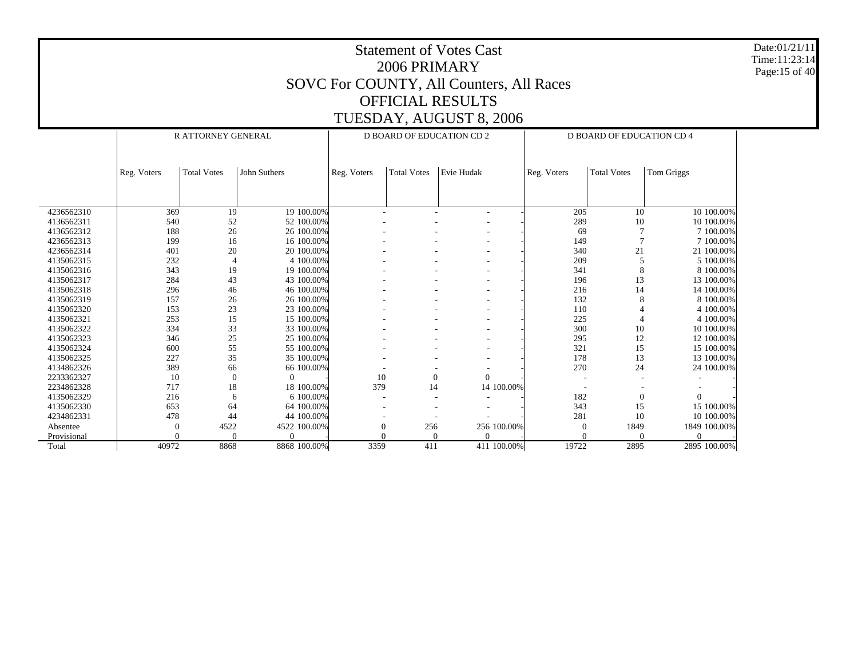Date:01/21/11 Time:11:23:14 Page:15 of 40

|             |                  | <b>R ATTORNEY GENERAL</b> |              |                  |                    | D BOARD OF EDUCATION CD 2 |            | <b>D BOARD OF EDUCATION CD 4</b> |                    |              |  |  |
|-------------|------------------|---------------------------|--------------|------------------|--------------------|---------------------------|------------|----------------------------------|--------------------|--------------|--|--|
|             |                  |                           |              |                  |                    |                           |            |                                  |                    |              |  |  |
|             |                  |                           |              |                  |                    |                           |            |                                  |                    |              |  |  |
|             | Reg. Voters      | <b>Total Votes</b>        | John Suthers | Reg. Voters      | <b>Total Votes</b> | Evie Hudak                |            | Reg. Voters                      | <b>Total Votes</b> | Tom Griggs   |  |  |
|             |                  |                           |              |                  |                    |                           |            |                                  |                    |              |  |  |
|             |                  |                           |              |                  |                    |                           |            |                                  |                    |              |  |  |
|             |                  |                           |              |                  |                    |                           |            |                                  |                    |              |  |  |
| 4236562310  | 369              | 19                        | 19 100.00%   |                  |                    |                           |            | 205                              | 10                 | 10 100,00%   |  |  |
| 4136562311  | 540              | 52                        | 52 100.00%   |                  |                    |                           |            | 289                              | 10                 | 10 100.00%   |  |  |
| 4136562312  | 188              | 26                        | 26 100.00%   |                  |                    |                           |            | 69                               | $\overline{7}$     | 7 100,00%    |  |  |
| 4236562313  | 199              | 16                        | 16 100.00%   |                  |                    |                           |            | 149                              | $\overline{7}$     | 7 100.00%    |  |  |
| 4236562314  | 401              | 20                        | 20 100.00%   |                  |                    |                           |            | 340                              | 21                 | 21 100,00%   |  |  |
| 4135062315  | 232              |                           | 4 100.00%    |                  |                    |                           |            | 209                              | 5                  | 5 100.00%    |  |  |
| 4135062316  | 343              | 19                        | 19 100.00%   |                  |                    |                           |            | 341                              | 8                  | 8 100,00%    |  |  |
| 4135062317  | 284              | 43                        | 43 100.00%   |                  |                    |                           |            | 196                              | 13                 | 13 100.00%   |  |  |
| 4135062318  | 296              | 46                        | 46 100.00%   |                  |                    |                           |            | 216                              | 14                 | 14 100.00%   |  |  |
| 4135062319  | 157              | 26                        | 26 100.00%   |                  |                    |                           |            | 132                              | 8                  | 8 100.00%    |  |  |
| 4135062320  | 153              | 23                        | 23 100.00%   |                  |                    |                           |            | 110                              |                    | 4 100,00%    |  |  |
| 4135062321  | 253              | 15                        | 15 100.00%   |                  |                    |                           |            | 225                              |                    | 4 100.00%    |  |  |
| 4135062322  | 334              | 33                        | 33 100.00%   |                  |                    | ٠                         |            | 300                              | 10                 | 10 100.00%   |  |  |
| 4135062323  | 346              | 25                        | 25 100.00%   |                  |                    |                           |            | 295                              | 12                 | 12 100.00%   |  |  |
| 4135062324  | 600              | 55                        | 55 100.00%   |                  |                    | ٠                         |            | 321                              | 15                 | 15 100.00%   |  |  |
| 4135062325  | 227              | 35                        | 35 100.00%   |                  |                    |                           |            | 178                              | 13                 | 13 100.00%   |  |  |
| 4134862326  | 389              | 66                        | 66 100.00%   |                  |                    |                           |            | 270                              | 24                 | 24 100.00%   |  |  |
| 2233362327  | 10               | $\overline{0}$            | $\Omega$     | 10               | $\mathbf{0}$       | $\Omega$                  |            |                                  |                    |              |  |  |
| 2234862328  | 717              | 18                        | 18 100.00%   | 379              | 14                 |                           | 14 100.00% |                                  |                    |              |  |  |
| 4135062329  | 216              | 6                         | 6 100,00%    |                  |                    |                           |            | 182                              | $\mathbf{0}$       | $\mathbf{0}$ |  |  |
| 4135062330  | 653              | 64                        | 64 100.00%   |                  |                    |                           |            | 343                              | 15                 | 15 100.00%   |  |  |
| 4234862331  | 478              | 44                        | 44 100.00%   |                  |                    |                           |            | 281                              | 10                 | 10 100.00%   |  |  |
| Absentee    | $\boldsymbol{0}$ | 4522                      | 4522 100.00% | $\boldsymbol{0}$ | 256                | 256 100.00%               |            | $\Omega$                         | 1849               | 1849 100.00% |  |  |
| Provisional | $\Omega$         | $\Omega$                  |              |                  | $\Omega$           |                           |            |                                  | $\Omega$           | $\Omega$     |  |  |
| Total       | 40972            | 8868                      | 8868 100.00% | 3359             | 411                | 411 100.00%               |            | 19722                            | 2895               | 2895 100.00% |  |  |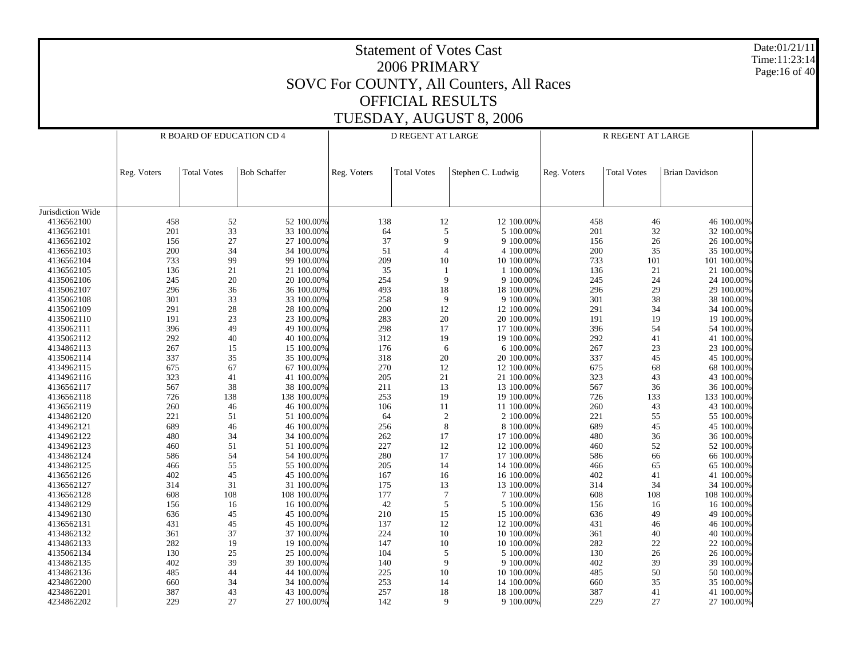|                          |             |                           |                          |             | 2006 PRIMARY             | <b>Statement of Votes Cast</b>           |             |                    |                          | Date:01/21/11<br>Time:11:23:14<br>Page:16 of 40 |
|--------------------------|-------------|---------------------------|--------------------------|-------------|--------------------------|------------------------------------------|-------------|--------------------|--------------------------|-------------------------------------------------|
|                          |             |                           |                          |             |                          | SOVC For COUNTY, All Counters, All Races |             |                    |                          |                                                 |
|                          |             |                           |                          |             | <b>OFFICIAL RESULTS</b>  |                                          |             |                    |                          |                                                 |
|                          |             |                           |                          |             |                          |                                          |             |                    |                          |                                                 |
|                          |             |                           |                          |             |                          | TUESDAY, AUGUST 8, 2006                  |             |                    |                          |                                                 |
|                          |             | R BOARD OF EDUCATION CD 4 |                          |             | <b>D REGENT AT LARGE</b> |                                          |             | R REGENT AT LARGE  |                          |                                                 |
|                          |             |                           |                          |             |                          |                                          |             |                    |                          |                                                 |
|                          |             |                           |                          |             |                          |                                          |             |                    |                          |                                                 |
|                          | Reg. Voters | <b>Total Votes</b>        | <b>Bob Schaffer</b>      | Reg. Voters | <b>Total Votes</b>       | Stephen C. Ludwig                        | Reg. Voters | <b>Total Votes</b> | <b>Brian Davidson</b>    |                                                 |
|                          |             |                           |                          |             |                          |                                          |             |                    |                          |                                                 |
|                          |             |                           |                          |             |                          |                                          |             |                    |                          |                                                 |
| Jurisdiction Wide        |             |                           |                          |             |                          |                                          |             |                    |                          |                                                 |
| 4136562100               | 458         | 52                        | 52 100.00%               | 138         | 12                       | 12 100.00%                               | 458         | 46                 | 46 100.00%               |                                                 |
| 4136562101               | 201         | 33                        | 33 100.00%               | 64          | 5                        | 5 100.00%                                | 201         | 32                 | 32 100.00%               |                                                 |
| 4136562102               | 156         | 27                        | 27 100.00%               | 37          | 9                        | 9 100.00%                                | 156         | 26                 | 26 100.00%               |                                                 |
| 4136562103               | 200         | 34                        | 34 100.00%               | 51          | $\overline{4}$           | 4 100.00%                                | 200         | 35                 | 35 100.00%               |                                                 |
| 4136562104               | 733         | 99                        | 99 100.00%               | 209         | 10                       | 10 100.00%                               | 733         | 101                | 101 100.00%              |                                                 |
| 4136562105               | 136         | 21                        | 21 100.00%               | 35          |                          | 1 100.00%<br>9 100.00%                   | 136         | 21                 | 21 100.00%               |                                                 |
| 4135062106<br>4135062107 | 245<br>296  | 20<br>36                  | 20 100.00%<br>36 100.00% | 254<br>493  | 9<br>18                  | 18 100.00%                               | 245<br>296  | 24<br>29           | 24 100.00%<br>29 100.00% |                                                 |
| 4135062108               | 301         | 33                        | 33 100.00%               | 258         | 9                        | 9 100.00%                                | 301         | 38                 | 38 100.00%               |                                                 |
| 4135062109               | 291         | 28                        | 28 100.00%               | 200         | 12                       | 12 100.00%                               | 291         | 34                 | 34 100.00%               |                                                 |
| 4135062110               | 191         | 23                        | 23 100.00%               | 283         | 20                       | 20 100.00%                               | 191         | 19                 | 19 100.00%               |                                                 |
| 4135062111               | 396         | 49                        | 49 100.00%               | 298         | 17                       | 17 100.00%                               | 396         | 54                 | 54 100.00%               |                                                 |
| 4135062112               | 292         | 40                        | 40 100.00%               | 312         | 19                       | 19 100.00%                               | 292         | 41                 | 41 100.00%               |                                                 |
| 4134862113               | 267         | 15                        | 15 100.00%               | 176         | 6                        | 6 100.00%                                | 267         | 23                 | 23 100.00%               |                                                 |
| 4135062114               | 337         | 35                        | 35 100.00%               | 318         | 20                       | 20 100.00%                               | 337         | 45                 | 45 100.00%               |                                                 |
| 4134962115               | 675         | 67                        | 67 100.00%               | 270         | 12                       | 12 100.00%                               | 675         | 68                 | 68 100.00%               |                                                 |
| 4134962116<br>4136562117 | 323<br>567  | 41<br>38                  | 41 100.00%<br>38 100.00% | 205<br>211  | 21<br>13                 | 21 100.00%<br>13 100.00%                 | 323<br>567  | 43<br>36           | 43 100.00%<br>36 100.00% |                                                 |
| 4136562118               | 726         | 138                       | 138 100.00%              | 253         | 19                       | 19 100.00%                               | 726         | 133                | 133 100.00%              |                                                 |
| 4136562119               | 260         | 46                        | 46 100.00%               | 106         | 11                       | 11 100.00%                               | 260         | 43                 | 43 100.00%               |                                                 |
| 4134862120               | 221         | 51                        | 51 100.00%               | 64          | $\overline{2}$           | 2 100.00%                                | 221         | 55                 | 55 100.00%               |                                                 |
| 4134962121               | 689         | 46                        | 46 100.00%               | 256         | 8                        | 8 100.00%                                | 689         | 45                 | 45 100.00%               |                                                 |
| 4134962122               | 480         | 34                        | 34 100.00%               | 262         | 17                       | 17 100.00%                               | 480         | 36                 | 36 100.00%               |                                                 |
| 4134962123               | 460         | 51                        | 51 100.00%               | 227         | 12                       | 12 100.00%                               | 460         | 52                 | 52 100.00%               |                                                 |
| 4134862124               | 586         | 54                        | 54 100.00%               | 280         | 17                       | 17 100.00%                               | 586         | 66                 | 66 100.00%               |                                                 |
| 4134862125               | 466         | 55                        | 55 100.00%               | 205         | 14                       | 14 100.00%<br>16 100.00%                 | 466         | 65                 | 65 100.00%               |                                                 |
| 4136562126<br>4136562127 | 402<br>314  | 45<br>31                  | 45 100.00%<br>31 100.00% | 167<br>175  | 16<br>13                 | 13 100.00%                               | 402<br>314  | 41<br>34           | 41 100.00%<br>34 100.00% |                                                 |
| 4136562128               | 608         | 108                       | 108 100.00%              | 177         | $\overline{7}$           | 7 100.00%                                | 608         | 108                | 108 100.00%              |                                                 |
| 4134862129               | 156         | 16                        | 16 100.00%               | 42          | 5                        | 5 100.00%                                | 156         | 16                 | 16 100.00%               |                                                 |
| 4134962130               | 636         | 45                        | 45 100.00%               | 210         | 15                       | 15 100.00%                               | 636         | 49                 | 49 100.00%               |                                                 |
| 4136562131               | 431         | 45                        | 45 100.00%               | 137         | 12                       | 12 100.00%                               | 431         | 46                 | 46 100.00%               |                                                 |
| 4134862132               | 361         | 37                        | 37 100.00%               | 224         | 10                       | 10 100.00%                               | 361         | 40                 | 40 100.00%               |                                                 |
| 4134862133               | 282         | 19                        | 19 100.00%               | 147         | $10\,$                   | 10 100.00%                               | 282         | 22                 | 22 100.00%               |                                                 |
| 4135062134               | 130         | 25                        | 25 100.00%               | 104         | 5                        | 5 100.00%                                | 130         | 26                 | 26 100.00%               |                                                 |
| 4134862135<br>4134862136 | 402<br>485  | 39<br>44                  | 39 100.00%<br>44 100.00% | 140<br>225  | 9<br>10                  | 9 100.00%<br>10 100.00%                  | 402<br>485  | 39<br>50           | 39 100.00%<br>50 100.00% |                                                 |
| 4234862200               | 660         | 34                        | 34 100.00%               | 253         | 14                       | 14 100.00%                               | 660         | 35                 | 35 100.00%               |                                                 |
| 4234862201               | 387         | 43                        | 43 100.00%               | 257         | 18                       | 18 100.00%                               | 387         | 41                 | 41 100.00%               |                                                 |
| 4234862202               | 229         | 27                        | 27 100.00%               | 142         | 9                        | 9 100.00%                                | 229         | 27                 | 27 100.00%               |                                                 |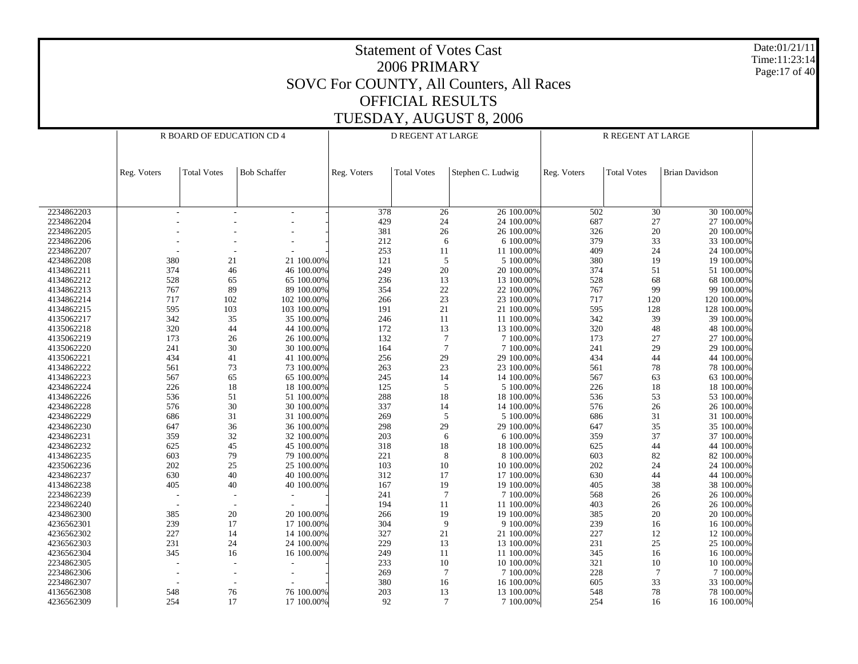Date:01/21/11 Time:11:23:14 Page:17 of 40

|            |             | R BOARD OF EDUCATION CD 4 |                     |             | D REGENT AT LARGE  |                          | R REGENT AT LARGE |                    |                          |  |
|------------|-------------|---------------------------|---------------------|-------------|--------------------|--------------------------|-------------------|--------------------|--------------------------|--|
|            | Reg. Voters | <b>Total Votes</b>        | <b>Bob Schaffer</b> | Reg. Voters | <b>Total Votes</b> | Stephen C. Ludwig        | Reg. Voters       | <b>Total Votes</b> | <b>Brian Davidson</b>    |  |
|            |             |                           |                     |             |                    |                          |                   |                    |                          |  |
| 2234862203 |             |                           |                     | 378         | 26                 | 26 100.00%               | 502               | 30                 | 30 100.00%               |  |
| 2234862204 |             |                           |                     | 429         | 24                 | 24 100.00%               | 687               | 27                 | 27 100.00%               |  |
| 2234862205 |             |                           |                     | 381         | $26\,$             | 26 100.00%               | 326               | $20\,$             | 20 100.00%               |  |
| 2234862206 |             |                           |                     | 212         | 6                  | 6 100.00%                | 379               | 33                 | 33 100.00%               |  |
| 2234862207 |             |                           |                     | 253         | 11                 | 11 100.00%               | 409               | 24                 | 24 100.00%               |  |
| 4234862208 | 380         | 21                        | 21 100.00%          | 121         | 5                  | 5 100.00%                | 380               | 19                 | 19 100.00%               |  |
| 4134862211 | 374         | 46                        | 46 100.00%          | 249         | $20\,$             | 20 100.00%               | 374               | 51                 | 51 100.00%               |  |
| 4134862212 | 528         | 65                        | 65 100.00%          | 236         | 13                 | 13 100.00%               | 528               | 68                 | 68 100.00%               |  |
| 4134862213 | 767         | 89                        | 89 100.00%          | 354         | 22                 | 22 100.00%               | 767               | 99                 | 99 100.00%               |  |
| 4134862214 | 717         | 102                       | 102 100.00%         | 266         | 23                 | 23 100.00%               | 717               | 120                | 120 100.00%              |  |
| 4134862215 | 595         | 103                       | 103 100.00%         | 191         | $21\,$             | 21 100.00%               | 595               | 128                | 128 100.00%              |  |
| 4135062217 | 342         | 35                        | 35 100.00%          | 246         | 11                 | 11 100.00%               | 342               | 39                 | 39 100.00%               |  |
| 4135062218 | 320         | 44                        | 44 100.00%          | 172         | 13                 | 13 100.00%               | 320               | 48                 | 48 100.00%               |  |
| 4135062219 | 173         | 26                        | 26 100.00%          | 132         | $\tau$             | 7 100.00%                | 173               | 27                 | 27 100.00%               |  |
| 4135062220 | 241         | 30                        | 30 100.00%          | 164         | 7                  | 7 100.00%                | 241               | 29                 | 29 100.00%               |  |
| 4135062221 | 434         | 41                        | 41 100.00%          | 256         | 29                 | 29 100.00%               | 434               | 44                 | 44 100.00%               |  |
| 4134862222 | 561         | 73                        | 73 100.00%          | 263         | $23\,$             | 23 100.00%               | 561               | $78\,$             | 78 100.00%               |  |
| 4134862223 | 567         | 65                        | 65 100.00%          | 245         | 14                 | 14 100.00%               | 567               | 63                 | 63 100.00%               |  |
| 4234862224 | 226         | 18                        | 18 100.00%          | 125         | 5                  | 5 100.00%                | 226               | 18                 | 18 100.00%               |  |
| 4134862226 | 536         | 51                        | 51 100.00%          | 288         | 18                 | 18 100.00%               | 536               | 53                 | 53 100.00%               |  |
| 4234862228 | 576         | 30                        | 30 100.00%          | 337         | 14                 | 14 100.00%               | 576               | $26\,$             | 26 100.00%               |  |
| 4234862229 | 686         | 31                        | 31 100.00%          | 269         | 5                  | 5 100.00%                | 686               | 31                 | 31 100.00%               |  |
| 4234862230 | 647         | 36                        | 36 100.00%          | 298         | 29                 | 29 100.00%               | 647               | 35                 | 35 100.00%               |  |
| 4234862231 | 359         | 32                        | 32 100.00%          | 203         | 6                  | 6 100.00%                | 359               | 37                 | 37 100.00%               |  |
| 4234862232 | 625         | 45                        | 45 100.00%          | 318         | $18\,$             | 18 100.00%               | 625               | 44                 | 44 100.00%               |  |
| 4134862235 | 603         | 79                        | 79 100.00%          | $221\,$     | 8                  | 8 100.00%                | 603               | 82                 | 82 100.00%               |  |
| 4235062236 | 202         | $25\,$                    | 25 100.00%          | 103         | 10                 | 10 100.00%               | 202               | 24                 | 24 100.00%               |  |
| 4234862237 | 630         | 40                        | 40 100.00%          | 312         | 17                 | 17 100.00%               | 630               | 44                 | 44 100.00%               |  |
| 4134862238 | 405         | 40                        | 40 100.00%          | 167         | 19                 | 19 100.00%               | 405               | $38\,$             | 38 100.00%               |  |
| 2234862239 |             |                           |                     | 241         | 7                  | 7 100.00%                | 568               | 26                 | 26 100.00%               |  |
| 2234862240 |             |                           |                     | 194         | $11\,$             | 11 100.00%               | 403               | $26\,$             | 26 100.00%               |  |
| 4234862300 | 385         | 20                        | 20 100.00%          | 266         | 19                 | 19 100.00%               | 385               | $20\,$             | 20 100.00%               |  |
| 4236562301 | 239         | 17                        | 17 100.00%          | 304         | 9                  | 9 100.00%                | 239               | 16                 | 16 100.00%               |  |
| 4236562302 | 227         |                           | 14 100.00%          | 327         | $21\,$             | 21 100.00%               | 227               | $12\,$             | 12 100.00%               |  |
| 4236562303 | 231         | 14<br>24                  | 24 100.00%          | 229         | 13                 |                          | 231               | $25\,$             |                          |  |
| 4236562304 | 345         | 16                        | 16 100.00%          | 249         |                    | 13 100.00%<br>11 100.00% | 345               |                    | 25 100.00%<br>16 100.00% |  |
|            |             |                           |                     |             | 11<br>10           |                          | 321               | 16                 |                          |  |
| 2234862305 |             |                           |                     | 233         |                    | 10 100.00%               |                   | 10                 | 10 100.00%               |  |
| 2234862306 |             |                           |                     | 269         | $\tau$             | 7 100.00%                | 228               | $\tau$             | 7 100.00%                |  |
| 2234862307 |             |                           |                     | 380         | 16                 | 16 100.00%               | 605               | 33                 | 33 100.00%               |  |
| 4136562308 | 548         | 76                        | 76 100.00%          | 203         | 13                 | 13 100.00%               | 548               | 78                 | 78 100.00%               |  |
| 4236562309 | 254         | 17                        | 17 100.00%          | 92          | 7                  | 7 100.00%                | 254               | 16                 | 16 100.00%               |  |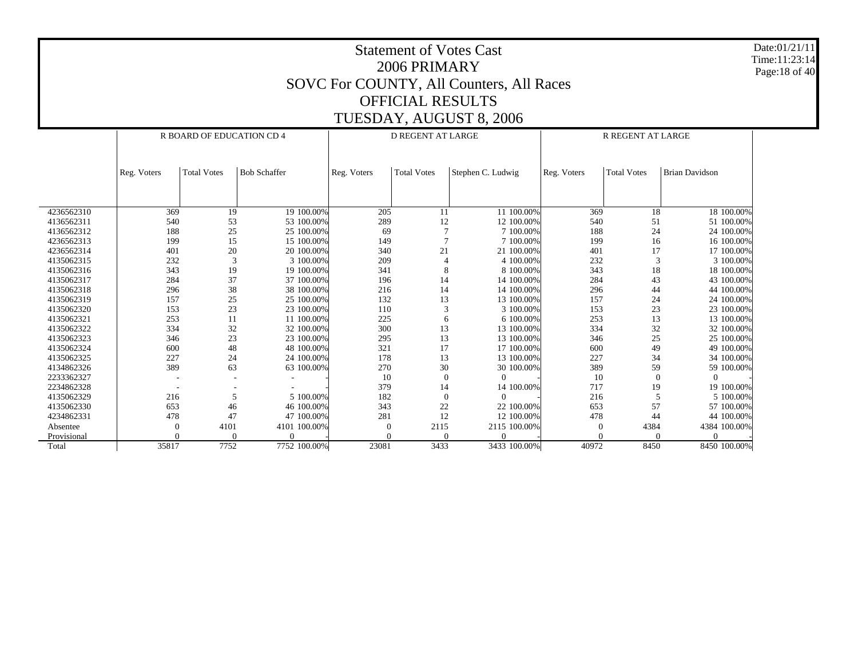Date:01/21/11 Time:11:23:14 Page:18 of 40

|             |             | R BOARD OF EDUCATION CD 4 |                     |             | <b>D REGENT AT LARGE</b> |                   | <b>R REGENT AT LARGE</b> |                    |                       |  |  |
|-------------|-------------|---------------------------|---------------------|-------------|--------------------------|-------------------|--------------------------|--------------------|-----------------------|--|--|
|             |             |                           |                     |             |                          |                   |                          |                    |                       |  |  |
|             |             |                           |                     |             |                          |                   |                          |                    |                       |  |  |
|             | Reg. Voters | <b>Total Votes</b>        | <b>Bob Schaffer</b> | Reg. Voters | <b>Total Votes</b>       | Stephen C. Ludwig | Reg. Voters              | <b>Total Votes</b> | <b>Brian Davidson</b> |  |  |
|             |             |                           |                     |             |                          |                   |                          |                    |                       |  |  |
|             |             |                           |                     |             |                          |                   |                          |                    |                       |  |  |
|             |             |                           |                     |             |                          |                   |                          |                    |                       |  |  |
| 4236562310  | 369         | 19                        | 19 100.00%          | 205         | 11                       | 11 100.00%        | 369                      | 18                 | 18 100.00%            |  |  |
| 4136562311  | 540         | 53                        | 53 100,00%          | 289         | 12                       | 12 100.00%        | 540                      | 51                 | 51 100.00%            |  |  |
| 4136562312  | 188         | 25                        | 25 100.00%          | 69          |                          | 7 100.00%         | 188                      | 24                 | 24 100.00%            |  |  |
| 4236562313  | 199         | 15                        | 15 100,00%          | 149         | 7                        | 7 100,00%         | 199                      | 16                 | 16 100.00%            |  |  |
| 4236562314  | 401         | 20                        | 20 100.00%          | 340         | 21                       | 21 100.00%        | 401                      | 17                 | 17 100.00%            |  |  |
| 4135062315  | 232         | 3                         | 3 100,00%           | 209         |                          | 4 100,00%         | 232                      | 3                  | 3 100,00%             |  |  |
| 4135062316  | 343         | 19                        | 19 100.00%          | 341         | 8                        | 8 100,00%         | 343                      | 18                 | 18 100,00%            |  |  |
| 4135062317  | 284         | 37                        | 37 100.00%          | 196         | 14                       | 14 100.00%        | 284                      | 43                 | 43 100.00%            |  |  |
| 4135062318  | 296         | 38                        | 38 100.00%          | 216         | 14                       | 14 100.00%        | 296                      | 44                 | 44 100.00%            |  |  |
| 4135062319  | 157         | 25                        | 25 100,00%          | 132         | 13                       | 13 100.00%        | 157                      | 24                 | 24 100.00%            |  |  |
| 4135062320  | 153         | 23                        | 23 100.00%          | 110         | 3                        | 3 100.00%         | 153                      | 23                 | 23 100,00%            |  |  |
| 4135062321  | 253         | 11                        | 11 100,00%          | 225         | 6                        | 6 100,00%         | 253                      | 13                 | 13 100,00%            |  |  |
| 4135062322  | 334         | 32                        | 32 100,00%          | 300         | 13                       | 13 100.00%        | 334                      | 32                 | 32 100.00%            |  |  |
| 4135062323  | 346         | 23                        | 23 100,00%          | 295         | 13                       | 13 100.00%        | 346                      | 25                 | 25 100.00%            |  |  |
| 4135062324  | 600         | 48                        | 48 100.00%          | 321         | 17                       | 17 100.00%        | 600                      | 49                 | 49 100,00%            |  |  |
| 4135062325  | 227         | 24                        | 24 100,00%          | 178         | 13                       | 13 100.00%        | 227                      | 34                 | 34 100,00%            |  |  |
| 4134862326  | 389         | 63                        | 63 100.00%          | 270         | 30                       | 30 100.00%        | 389                      | 59                 | 59 100.00%            |  |  |
| 2233362327  |             |                           |                     | 10          | $\overline{0}$           | $\Omega$          | 10                       | $\Omega$           |                       |  |  |
| 2234862328  |             |                           |                     | 379         | 14                       | 14 100.00%        | 717                      | 19                 | 19 100.00%            |  |  |
| 4135062329  | 216         | 5                         | 5 100.00%           | 182         | 0                        | $\Omega$          | 216                      |                    | 5 100,00%             |  |  |
| 4135062330  | 653         | 46                        | 46 100,00%          | 343         | 22                       | 22 100.00%        | 653                      | 57                 | 57 100.00%            |  |  |
| 4234862331  | 478         | 47                        | 47 100.00%          | 281         | 12                       | 12 100.00%        | 478                      | 44                 | 44 100.00%            |  |  |
| Absentee    |             | 4101                      | 4101 100.00%        | $\theta$    | 2115                     | 2115 100.00%      |                          | 4384               | 4384 100.00%          |  |  |
| Provisional |             | $\Omega$                  |                     |             |                          | $\Omega$          |                          |                    |                       |  |  |
| Total       | 35817       | 7752                      | 7752 100.00%        | 23081       | 3433                     | 3433 100.00%      | 40972                    | 8450               | 8450 100.00%          |  |  |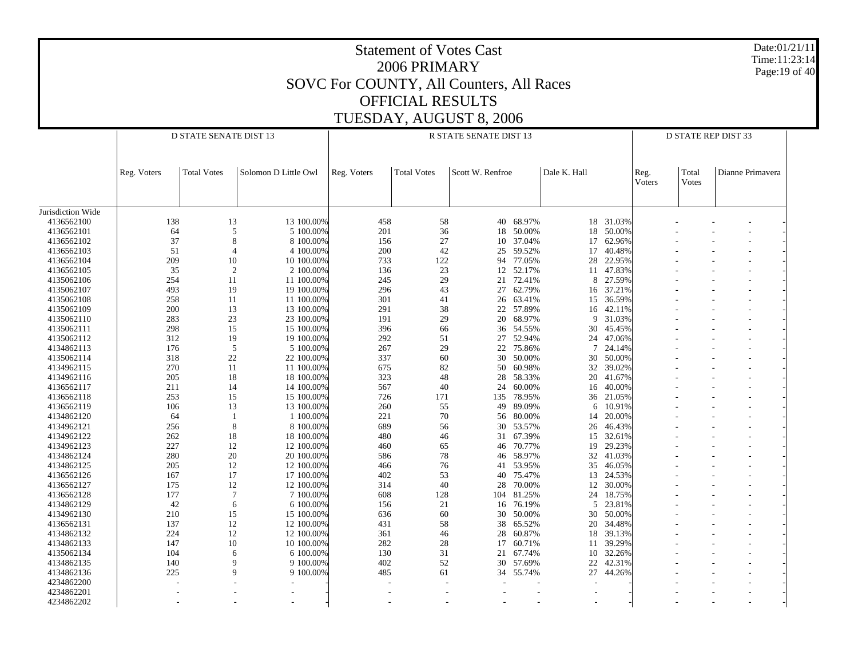| <b>OFFICIAL RESULTS</b><br>TUESDAY, AUGUST 8, 2006<br><b>D STATE SENATE DIST 13</b><br>R STATE SENATE DIST 13<br><b>D STATE REP DIST 33</b><br>Solomon D Little Owl<br>Scott W. Renfroe<br>Dale K. Hall<br>Total<br>Dianne Primavera<br><b>Total Votes</b><br>Reg. Voters<br><b>Total Votes</b><br>Reg. Voters<br>Reg.<br>Voters<br>Votes<br>Jurisdiction Wide<br>40 68.97%<br>4136562100<br>138<br>13<br>13 100.00%<br>458<br>58<br>18 31.03%<br>201<br>50.00%<br>4136562101<br>64<br>5<br>5 100.00%<br>36<br>50.00%<br>18<br>18<br>37.04%<br>4136562102<br>37<br>8<br>8 100.00%<br>156<br>27<br>62.96%<br>10<br>17<br>42<br>4136562103<br>51<br>4 100.00%<br>200<br>59.52%<br>17<br>40.48%<br>4<br>25<br>94 77.05%<br>122<br>22.95%<br>4136562104<br>209<br>10<br>10 100.00%<br>733<br>28<br>$\overline{2}$<br>23<br>12 52.17%<br>4136562105<br>35<br>2 100.00%<br>136<br>47.83%<br>11<br>72.41%<br>27.59%<br>4135062106<br>254<br>11<br>11 100.00%<br>245<br>29<br>8<br>21<br>493<br>43<br>62.79%<br>37.21%<br>4135062107<br>19<br>19 100.00%<br>296<br>27<br>16<br>26 63.41%<br>36.59%<br>4135062108<br>258<br>11<br>11 100.00%<br>301<br>41<br>15<br>4135062109<br>200<br>13<br>13 100.00%<br>291<br>38<br>22 57.89%<br>42.11%<br>16<br>68.97%<br>4135062110<br>283<br>23<br>23 100.00%<br>191<br>29<br>20<br>31.03%<br>9<br>298<br>396<br>4135062111<br>15<br>15 100.00%<br>54.55%<br>30<br>45.45%<br>66<br>36<br>27 52.94%<br>4135062112<br>312<br>19<br>19 100.00%<br>292<br>51<br>24<br>47.06%<br>4134862113<br>176<br>5<br>5 100.00%<br>267<br>29<br>22<br>75.86%<br>24.14%<br>7<br>50.00%<br>4135062114<br>318<br>22<br>22 100.00%<br>337<br>60<br>30<br>30<br>50.00%<br>270<br>4134962115<br>11<br>11 100.00%<br>675<br>82<br>60.98%<br>32<br>39.02%<br>50<br>323<br>28 58.33%<br>4134962116<br>205<br>18<br>18 100.00%<br>48<br>20<br>41.67%<br>4136562117<br>211<br>14<br>14 100.00%<br>567<br>40<br>60.00%<br>40.00%<br>24<br>16<br>135 78.95%<br>4136562118<br>253<br>15<br>15 100.00%<br>726<br>171<br>21.05%<br>36<br>4136562119<br>106<br>13<br>13 100.00%<br>260<br>55<br>89.09%<br>10.91%<br>49<br>6<br>56 80.00%<br>4134862120<br>64<br>1 100.00%<br>221<br>70<br>20.00%<br>14<br>-1<br>4134962121<br>256<br>8<br>8 100.00%<br>689<br>56<br>53.57%<br>46.43%<br>30<br>26<br>67.39%<br>4134962122<br>262<br>18<br>18 100.00%<br>480<br>32.61%<br>46<br>31<br>15<br>227<br>4134962123<br>12<br>12 100.00%<br>460<br>70.77%<br>19<br>29.23%<br>65<br>46<br>20<br>46 58.97%<br>41.03%<br>4134862124<br>280<br>20 100.00%<br>586<br>78<br>32<br>4134862125<br>205<br>12<br>12 100.00%<br>466<br>76<br>53.95%<br>46.05%<br>41<br>35<br>40 75.47%<br>4136562126<br>167<br>17<br>17 100.00%<br>402<br>53<br>24.53%<br>13<br>4136562127<br>175<br>12<br>12 100.00%<br>314<br>40<br>70.00%<br>12<br>30.00%<br>28<br>104 81.25%<br>4136562128<br>177<br>7<br>7 100.00%<br>608<br>128<br>24<br>18.75%<br>42<br>4134862129<br>6 100.00%<br>156<br>21<br>76.19%<br>23.81%<br>5<br>6<br>16<br>210<br>15<br>15 100.00%<br>636<br>60<br>30 50.00%<br>30<br>50.00%<br>4134962130<br>137<br>4136562131<br>12<br>12 100.00%<br>431<br>58<br>38 65.52%<br>20 34.48%<br>4134862132<br>224<br>12<br>12 100.00%<br>28 60.87%<br>18 39.13%<br>361<br>46<br>10 100.00%<br>11 39.29%<br>4134862133<br>147<br>10<br>282<br>28<br>17 60.71%<br>10 32.26%<br>4135062134<br>104<br>6 100.00%<br>130<br>21 67.74%<br>31<br>6<br>9 100.00%<br>42.31%<br>4134862135<br>140<br>402<br>52<br>30 57.69%<br>22<br>9<br>225<br>9 100.00%<br>34 55.74%<br>44.26%<br>4134862136<br>9<br>485<br>27<br>61<br>4234862200<br>4234862201 |            |  |  |  | SOVC For COUNTY, All Counters, All Races | <b>Statement of Votes Cast</b><br>2006 PRIMARY |  |  |  |  |  | Time:11:23:14 | Date:01/21/11<br>Page: 19 of 40 |  |
|------------------------------------------------------------------------------------------------------------------------------------------------------------------------------------------------------------------------------------------------------------------------------------------------------------------------------------------------------------------------------------------------------------------------------------------------------------------------------------------------------------------------------------------------------------------------------------------------------------------------------------------------------------------------------------------------------------------------------------------------------------------------------------------------------------------------------------------------------------------------------------------------------------------------------------------------------------------------------------------------------------------------------------------------------------------------------------------------------------------------------------------------------------------------------------------------------------------------------------------------------------------------------------------------------------------------------------------------------------------------------------------------------------------------------------------------------------------------------------------------------------------------------------------------------------------------------------------------------------------------------------------------------------------------------------------------------------------------------------------------------------------------------------------------------------------------------------------------------------------------------------------------------------------------------------------------------------------------------------------------------------------------------------------------------------------------------------------------------------------------------------------------------------------------------------------------------------------------------------------------------------------------------------------------------------------------------------------------------------------------------------------------------------------------------------------------------------------------------------------------------------------------------------------------------------------------------------------------------------------------------------------------------------------------------------------------------------------------------------------------------------------------------------------------------------------------------------------------------------------------------------------------------------------------------------------------------------------------------------------------------------------------------------------------------------------------------------------------------------------------------------------------------------------------------------------------------------------------------------------------------------------------------------------------------------------------------------------------------------------------------------------------------------------------------------------------------------------------------------------------------------------------------------------------------------------------------------------------------------------|------------|--|--|--|------------------------------------------|------------------------------------------------|--|--|--|--|--|---------------|---------------------------------|--|
|                                                                                                                                                                                                                                                                                                                                                                                                                                                                                                                                                                                                                                                                                                                                                                                                                                                                                                                                                                                                                                                                                                                                                                                                                                                                                                                                                                                                                                                                                                                                                                                                                                                                                                                                                                                                                                                                                                                                                                                                                                                                                                                                                                                                                                                                                                                                                                                                                                                                                                                                                                                                                                                                                                                                                                                                                                                                                                                                                                                                                                                                                                                                                                                                                                                                                                                                                                                                                                                                                                                                                                                                                  |            |  |  |  |                                          |                                                |  |  |  |  |  |               |                                 |  |
|                                                                                                                                                                                                                                                                                                                                                                                                                                                                                                                                                                                                                                                                                                                                                                                                                                                                                                                                                                                                                                                                                                                                                                                                                                                                                                                                                                                                                                                                                                                                                                                                                                                                                                                                                                                                                                                                                                                                                                                                                                                                                                                                                                                                                                                                                                                                                                                                                                                                                                                                                                                                                                                                                                                                                                                                                                                                                                                                                                                                                                                                                                                                                                                                                                                                                                                                                                                                                                                                                                                                                                                                                  |            |  |  |  |                                          |                                                |  |  |  |  |  |               |                                 |  |
|                                                                                                                                                                                                                                                                                                                                                                                                                                                                                                                                                                                                                                                                                                                                                                                                                                                                                                                                                                                                                                                                                                                                                                                                                                                                                                                                                                                                                                                                                                                                                                                                                                                                                                                                                                                                                                                                                                                                                                                                                                                                                                                                                                                                                                                                                                                                                                                                                                                                                                                                                                                                                                                                                                                                                                                                                                                                                                                                                                                                                                                                                                                                                                                                                                                                                                                                                                                                                                                                                                                                                                                                                  |            |  |  |  |                                          |                                                |  |  |  |  |  |               |                                 |  |
|                                                                                                                                                                                                                                                                                                                                                                                                                                                                                                                                                                                                                                                                                                                                                                                                                                                                                                                                                                                                                                                                                                                                                                                                                                                                                                                                                                                                                                                                                                                                                                                                                                                                                                                                                                                                                                                                                                                                                                                                                                                                                                                                                                                                                                                                                                                                                                                                                                                                                                                                                                                                                                                                                                                                                                                                                                                                                                                                                                                                                                                                                                                                                                                                                                                                                                                                                                                                                                                                                                                                                                                                                  |            |  |  |  |                                          |                                                |  |  |  |  |  |               |                                 |  |
|                                                                                                                                                                                                                                                                                                                                                                                                                                                                                                                                                                                                                                                                                                                                                                                                                                                                                                                                                                                                                                                                                                                                                                                                                                                                                                                                                                                                                                                                                                                                                                                                                                                                                                                                                                                                                                                                                                                                                                                                                                                                                                                                                                                                                                                                                                                                                                                                                                                                                                                                                                                                                                                                                                                                                                                                                                                                                                                                                                                                                                                                                                                                                                                                                                                                                                                                                                                                                                                                                                                                                                                                                  |            |  |  |  |                                          |                                                |  |  |  |  |  |               |                                 |  |
|                                                                                                                                                                                                                                                                                                                                                                                                                                                                                                                                                                                                                                                                                                                                                                                                                                                                                                                                                                                                                                                                                                                                                                                                                                                                                                                                                                                                                                                                                                                                                                                                                                                                                                                                                                                                                                                                                                                                                                                                                                                                                                                                                                                                                                                                                                                                                                                                                                                                                                                                                                                                                                                                                                                                                                                                                                                                                                                                                                                                                                                                                                                                                                                                                                                                                                                                                                                                                                                                                                                                                                                                                  |            |  |  |  |                                          |                                                |  |  |  |  |  |               |                                 |  |
|                                                                                                                                                                                                                                                                                                                                                                                                                                                                                                                                                                                                                                                                                                                                                                                                                                                                                                                                                                                                                                                                                                                                                                                                                                                                                                                                                                                                                                                                                                                                                                                                                                                                                                                                                                                                                                                                                                                                                                                                                                                                                                                                                                                                                                                                                                                                                                                                                                                                                                                                                                                                                                                                                                                                                                                                                                                                                                                                                                                                                                                                                                                                                                                                                                                                                                                                                                                                                                                                                                                                                                                                                  |            |  |  |  |                                          |                                                |  |  |  |  |  |               |                                 |  |
|                                                                                                                                                                                                                                                                                                                                                                                                                                                                                                                                                                                                                                                                                                                                                                                                                                                                                                                                                                                                                                                                                                                                                                                                                                                                                                                                                                                                                                                                                                                                                                                                                                                                                                                                                                                                                                                                                                                                                                                                                                                                                                                                                                                                                                                                                                                                                                                                                                                                                                                                                                                                                                                                                                                                                                                                                                                                                                                                                                                                                                                                                                                                                                                                                                                                                                                                                                                                                                                                                                                                                                                                                  |            |  |  |  |                                          |                                                |  |  |  |  |  |               |                                 |  |
|                                                                                                                                                                                                                                                                                                                                                                                                                                                                                                                                                                                                                                                                                                                                                                                                                                                                                                                                                                                                                                                                                                                                                                                                                                                                                                                                                                                                                                                                                                                                                                                                                                                                                                                                                                                                                                                                                                                                                                                                                                                                                                                                                                                                                                                                                                                                                                                                                                                                                                                                                                                                                                                                                                                                                                                                                                                                                                                                                                                                                                                                                                                                                                                                                                                                                                                                                                                                                                                                                                                                                                                                                  |            |  |  |  |                                          |                                                |  |  |  |  |  |               |                                 |  |
|                                                                                                                                                                                                                                                                                                                                                                                                                                                                                                                                                                                                                                                                                                                                                                                                                                                                                                                                                                                                                                                                                                                                                                                                                                                                                                                                                                                                                                                                                                                                                                                                                                                                                                                                                                                                                                                                                                                                                                                                                                                                                                                                                                                                                                                                                                                                                                                                                                                                                                                                                                                                                                                                                                                                                                                                                                                                                                                                                                                                                                                                                                                                                                                                                                                                                                                                                                                                                                                                                                                                                                                                                  |            |  |  |  |                                          |                                                |  |  |  |  |  |               |                                 |  |
|                                                                                                                                                                                                                                                                                                                                                                                                                                                                                                                                                                                                                                                                                                                                                                                                                                                                                                                                                                                                                                                                                                                                                                                                                                                                                                                                                                                                                                                                                                                                                                                                                                                                                                                                                                                                                                                                                                                                                                                                                                                                                                                                                                                                                                                                                                                                                                                                                                                                                                                                                                                                                                                                                                                                                                                                                                                                                                                                                                                                                                                                                                                                                                                                                                                                                                                                                                                                                                                                                                                                                                                                                  |            |  |  |  |                                          |                                                |  |  |  |  |  |               |                                 |  |
|                                                                                                                                                                                                                                                                                                                                                                                                                                                                                                                                                                                                                                                                                                                                                                                                                                                                                                                                                                                                                                                                                                                                                                                                                                                                                                                                                                                                                                                                                                                                                                                                                                                                                                                                                                                                                                                                                                                                                                                                                                                                                                                                                                                                                                                                                                                                                                                                                                                                                                                                                                                                                                                                                                                                                                                                                                                                                                                                                                                                                                                                                                                                                                                                                                                                                                                                                                                                                                                                                                                                                                                                                  |            |  |  |  |                                          |                                                |  |  |  |  |  |               |                                 |  |
|                                                                                                                                                                                                                                                                                                                                                                                                                                                                                                                                                                                                                                                                                                                                                                                                                                                                                                                                                                                                                                                                                                                                                                                                                                                                                                                                                                                                                                                                                                                                                                                                                                                                                                                                                                                                                                                                                                                                                                                                                                                                                                                                                                                                                                                                                                                                                                                                                                                                                                                                                                                                                                                                                                                                                                                                                                                                                                                                                                                                                                                                                                                                                                                                                                                                                                                                                                                                                                                                                                                                                                                                                  |            |  |  |  |                                          |                                                |  |  |  |  |  |               |                                 |  |
|                                                                                                                                                                                                                                                                                                                                                                                                                                                                                                                                                                                                                                                                                                                                                                                                                                                                                                                                                                                                                                                                                                                                                                                                                                                                                                                                                                                                                                                                                                                                                                                                                                                                                                                                                                                                                                                                                                                                                                                                                                                                                                                                                                                                                                                                                                                                                                                                                                                                                                                                                                                                                                                                                                                                                                                                                                                                                                                                                                                                                                                                                                                                                                                                                                                                                                                                                                                                                                                                                                                                                                                                                  |            |  |  |  |                                          |                                                |  |  |  |  |  |               |                                 |  |
|                                                                                                                                                                                                                                                                                                                                                                                                                                                                                                                                                                                                                                                                                                                                                                                                                                                                                                                                                                                                                                                                                                                                                                                                                                                                                                                                                                                                                                                                                                                                                                                                                                                                                                                                                                                                                                                                                                                                                                                                                                                                                                                                                                                                                                                                                                                                                                                                                                                                                                                                                                                                                                                                                                                                                                                                                                                                                                                                                                                                                                                                                                                                                                                                                                                                                                                                                                                                                                                                                                                                                                                                                  |            |  |  |  |                                          |                                                |  |  |  |  |  |               |                                 |  |
|                                                                                                                                                                                                                                                                                                                                                                                                                                                                                                                                                                                                                                                                                                                                                                                                                                                                                                                                                                                                                                                                                                                                                                                                                                                                                                                                                                                                                                                                                                                                                                                                                                                                                                                                                                                                                                                                                                                                                                                                                                                                                                                                                                                                                                                                                                                                                                                                                                                                                                                                                                                                                                                                                                                                                                                                                                                                                                                                                                                                                                                                                                                                                                                                                                                                                                                                                                                                                                                                                                                                                                                                                  |            |  |  |  |                                          |                                                |  |  |  |  |  |               |                                 |  |
|                                                                                                                                                                                                                                                                                                                                                                                                                                                                                                                                                                                                                                                                                                                                                                                                                                                                                                                                                                                                                                                                                                                                                                                                                                                                                                                                                                                                                                                                                                                                                                                                                                                                                                                                                                                                                                                                                                                                                                                                                                                                                                                                                                                                                                                                                                                                                                                                                                                                                                                                                                                                                                                                                                                                                                                                                                                                                                                                                                                                                                                                                                                                                                                                                                                                                                                                                                                                                                                                                                                                                                                                                  |            |  |  |  |                                          |                                                |  |  |  |  |  |               |                                 |  |
|                                                                                                                                                                                                                                                                                                                                                                                                                                                                                                                                                                                                                                                                                                                                                                                                                                                                                                                                                                                                                                                                                                                                                                                                                                                                                                                                                                                                                                                                                                                                                                                                                                                                                                                                                                                                                                                                                                                                                                                                                                                                                                                                                                                                                                                                                                                                                                                                                                                                                                                                                                                                                                                                                                                                                                                                                                                                                                                                                                                                                                                                                                                                                                                                                                                                                                                                                                                                                                                                                                                                                                                                                  |            |  |  |  |                                          |                                                |  |  |  |  |  |               |                                 |  |
|                                                                                                                                                                                                                                                                                                                                                                                                                                                                                                                                                                                                                                                                                                                                                                                                                                                                                                                                                                                                                                                                                                                                                                                                                                                                                                                                                                                                                                                                                                                                                                                                                                                                                                                                                                                                                                                                                                                                                                                                                                                                                                                                                                                                                                                                                                                                                                                                                                                                                                                                                                                                                                                                                                                                                                                                                                                                                                                                                                                                                                                                                                                                                                                                                                                                                                                                                                                                                                                                                                                                                                                                                  |            |  |  |  |                                          |                                                |  |  |  |  |  |               |                                 |  |
|                                                                                                                                                                                                                                                                                                                                                                                                                                                                                                                                                                                                                                                                                                                                                                                                                                                                                                                                                                                                                                                                                                                                                                                                                                                                                                                                                                                                                                                                                                                                                                                                                                                                                                                                                                                                                                                                                                                                                                                                                                                                                                                                                                                                                                                                                                                                                                                                                                                                                                                                                                                                                                                                                                                                                                                                                                                                                                                                                                                                                                                                                                                                                                                                                                                                                                                                                                                                                                                                                                                                                                                                                  |            |  |  |  |                                          |                                                |  |  |  |  |  |               |                                 |  |
|                                                                                                                                                                                                                                                                                                                                                                                                                                                                                                                                                                                                                                                                                                                                                                                                                                                                                                                                                                                                                                                                                                                                                                                                                                                                                                                                                                                                                                                                                                                                                                                                                                                                                                                                                                                                                                                                                                                                                                                                                                                                                                                                                                                                                                                                                                                                                                                                                                                                                                                                                                                                                                                                                                                                                                                                                                                                                                                                                                                                                                                                                                                                                                                                                                                                                                                                                                                                                                                                                                                                                                                                                  |            |  |  |  |                                          |                                                |  |  |  |  |  |               |                                 |  |
|                                                                                                                                                                                                                                                                                                                                                                                                                                                                                                                                                                                                                                                                                                                                                                                                                                                                                                                                                                                                                                                                                                                                                                                                                                                                                                                                                                                                                                                                                                                                                                                                                                                                                                                                                                                                                                                                                                                                                                                                                                                                                                                                                                                                                                                                                                                                                                                                                                                                                                                                                                                                                                                                                                                                                                                                                                                                                                                                                                                                                                                                                                                                                                                                                                                                                                                                                                                                                                                                                                                                                                                                                  |            |  |  |  |                                          |                                                |  |  |  |  |  |               |                                 |  |
|                                                                                                                                                                                                                                                                                                                                                                                                                                                                                                                                                                                                                                                                                                                                                                                                                                                                                                                                                                                                                                                                                                                                                                                                                                                                                                                                                                                                                                                                                                                                                                                                                                                                                                                                                                                                                                                                                                                                                                                                                                                                                                                                                                                                                                                                                                                                                                                                                                                                                                                                                                                                                                                                                                                                                                                                                                                                                                                                                                                                                                                                                                                                                                                                                                                                                                                                                                                                                                                                                                                                                                                                                  |            |  |  |  |                                          |                                                |  |  |  |  |  |               |                                 |  |
|                                                                                                                                                                                                                                                                                                                                                                                                                                                                                                                                                                                                                                                                                                                                                                                                                                                                                                                                                                                                                                                                                                                                                                                                                                                                                                                                                                                                                                                                                                                                                                                                                                                                                                                                                                                                                                                                                                                                                                                                                                                                                                                                                                                                                                                                                                                                                                                                                                                                                                                                                                                                                                                                                                                                                                                                                                                                                                                                                                                                                                                                                                                                                                                                                                                                                                                                                                                                                                                                                                                                                                                                                  |            |  |  |  |                                          |                                                |  |  |  |  |  |               |                                 |  |
|                                                                                                                                                                                                                                                                                                                                                                                                                                                                                                                                                                                                                                                                                                                                                                                                                                                                                                                                                                                                                                                                                                                                                                                                                                                                                                                                                                                                                                                                                                                                                                                                                                                                                                                                                                                                                                                                                                                                                                                                                                                                                                                                                                                                                                                                                                                                                                                                                                                                                                                                                                                                                                                                                                                                                                                                                                                                                                                                                                                                                                                                                                                                                                                                                                                                                                                                                                                                                                                                                                                                                                                                                  |            |  |  |  |                                          |                                                |  |  |  |  |  |               |                                 |  |
|                                                                                                                                                                                                                                                                                                                                                                                                                                                                                                                                                                                                                                                                                                                                                                                                                                                                                                                                                                                                                                                                                                                                                                                                                                                                                                                                                                                                                                                                                                                                                                                                                                                                                                                                                                                                                                                                                                                                                                                                                                                                                                                                                                                                                                                                                                                                                                                                                                                                                                                                                                                                                                                                                                                                                                                                                                                                                                                                                                                                                                                                                                                                                                                                                                                                                                                                                                                                                                                                                                                                                                                                                  |            |  |  |  |                                          |                                                |  |  |  |  |  |               |                                 |  |
|                                                                                                                                                                                                                                                                                                                                                                                                                                                                                                                                                                                                                                                                                                                                                                                                                                                                                                                                                                                                                                                                                                                                                                                                                                                                                                                                                                                                                                                                                                                                                                                                                                                                                                                                                                                                                                                                                                                                                                                                                                                                                                                                                                                                                                                                                                                                                                                                                                                                                                                                                                                                                                                                                                                                                                                                                                                                                                                                                                                                                                                                                                                                                                                                                                                                                                                                                                                                                                                                                                                                                                                                                  |            |  |  |  |                                          |                                                |  |  |  |  |  |               |                                 |  |
|                                                                                                                                                                                                                                                                                                                                                                                                                                                                                                                                                                                                                                                                                                                                                                                                                                                                                                                                                                                                                                                                                                                                                                                                                                                                                                                                                                                                                                                                                                                                                                                                                                                                                                                                                                                                                                                                                                                                                                                                                                                                                                                                                                                                                                                                                                                                                                                                                                                                                                                                                                                                                                                                                                                                                                                                                                                                                                                                                                                                                                                                                                                                                                                                                                                                                                                                                                                                                                                                                                                                                                                                                  |            |  |  |  |                                          |                                                |  |  |  |  |  |               |                                 |  |
|                                                                                                                                                                                                                                                                                                                                                                                                                                                                                                                                                                                                                                                                                                                                                                                                                                                                                                                                                                                                                                                                                                                                                                                                                                                                                                                                                                                                                                                                                                                                                                                                                                                                                                                                                                                                                                                                                                                                                                                                                                                                                                                                                                                                                                                                                                                                                                                                                                                                                                                                                                                                                                                                                                                                                                                                                                                                                                                                                                                                                                                                                                                                                                                                                                                                                                                                                                                                                                                                                                                                                                                                                  |            |  |  |  |                                          |                                                |  |  |  |  |  |               |                                 |  |
|                                                                                                                                                                                                                                                                                                                                                                                                                                                                                                                                                                                                                                                                                                                                                                                                                                                                                                                                                                                                                                                                                                                                                                                                                                                                                                                                                                                                                                                                                                                                                                                                                                                                                                                                                                                                                                                                                                                                                                                                                                                                                                                                                                                                                                                                                                                                                                                                                                                                                                                                                                                                                                                                                                                                                                                                                                                                                                                                                                                                                                                                                                                                                                                                                                                                                                                                                                                                                                                                                                                                                                                                                  |            |  |  |  |                                          |                                                |  |  |  |  |  |               |                                 |  |
|                                                                                                                                                                                                                                                                                                                                                                                                                                                                                                                                                                                                                                                                                                                                                                                                                                                                                                                                                                                                                                                                                                                                                                                                                                                                                                                                                                                                                                                                                                                                                                                                                                                                                                                                                                                                                                                                                                                                                                                                                                                                                                                                                                                                                                                                                                                                                                                                                                                                                                                                                                                                                                                                                                                                                                                                                                                                                                                                                                                                                                                                                                                                                                                                                                                                                                                                                                                                                                                                                                                                                                                                                  |            |  |  |  |                                          |                                                |  |  |  |  |  |               |                                 |  |
|                                                                                                                                                                                                                                                                                                                                                                                                                                                                                                                                                                                                                                                                                                                                                                                                                                                                                                                                                                                                                                                                                                                                                                                                                                                                                                                                                                                                                                                                                                                                                                                                                                                                                                                                                                                                                                                                                                                                                                                                                                                                                                                                                                                                                                                                                                                                                                                                                                                                                                                                                                                                                                                                                                                                                                                                                                                                                                                                                                                                                                                                                                                                                                                                                                                                                                                                                                                                                                                                                                                                                                                                                  |            |  |  |  |                                          |                                                |  |  |  |  |  |               |                                 |  |
|                                                                                                                                                                                                                                                                                                                                                                                                                                                                                                                                                                                                                                                                                                                                                                                                                                                                                                                                                                                                                                                                                                                                                                                                                                                                                                                                                                                                                                                                                                                                                                                                                                                                                                                                                                                                                                                                                                                                                                                                                                                                                                                                                                                                                                                                                                                                                                                                                                                                                                                                                                                                                                                                                                                                                                                                                                                                                                                                                                                                                                                                                                                                                                                                                                                                                                                                                                                                                                                                                                                                                                                                                  |            |  |  |  |                                          |                                                |  |  |  |  |  |               |                                 |  |
|                                                                                                                                                                                                                                                                                                                                                                                                                                                                                                                                                                                                                                                                                                                                                                                                                                                                                                                                                                                                                                                                                                                                                                                                                                                                                                                                                                                                                                                                                                                                                                                                                                                                                                                                                                                                                                                                                                                                                                                                                                                                                                                                                                                                                                                                                                                                                                                                                                                                                                                                                                                                                                                                                                                                                                                                                                                                                                                                                                                                                                                                                                                                                                                                                                                                                                                                                                                                                                                                                                                                                                                                                  |            |  |  |  |                                          |                                                |  |  |  |  |  |               |                                 |  |
|                                                                                                                                                                                                                                                                                                                                                                                                                                                                                                                                                                                                                                                                                                                                                                                                                                                                                                                                                                                                                                                                                                                                                                                                                                                                                                                                                                                                                                                                                                                                                                                                                                                                                                                                                                                                                                                                                                                                                                                                                                                                                                                                                                                                                                                                                                                                                                                                                                                                                                                                                                                                                                                                                                                                                                                                                                                                                                                                                                                                                                                                                                                                                                                                                                                                                                                                                                                                                                                                                                                                                                                                                  |            |  |  |  |                                          |                                                |  |  |  |  |  |               |                                 |  |
|                                                                                                                                                                                                                                                                                                                                                                                                                                                                                                                                                                                                                                                                                                                                                                                                                                                                                                                                                                                                                                                                                                                                                                                                                                                                                                                                                                                                                                                                                                                                                                                                                                                                                                                                                                                                                                                                                                                                                                                                                                                                                                                                                                                                                                                                                                                                                                                                                                                                                                                                                                                                                                                                                                                                                                                                                                                                                                                                                                                                                                                                                                                                                                                                                                                                                                                                                                                                                                                                                                                                                                                                                  |            |  |  |  |                                          |                                                |  |  |  |  |  |               |                                 |  |
|                                                                                                                                                                                                                                                                                                                                                                                                                                                                                                                                                                                                                                                                                                                                                                                                                                                                                                                                                                                                                                                                                                                                                                                                                                                                                                                                                                                                                                                                                                                                                                                                                                                                                                                                                                                                                                                                                                                                                                                                                                                                                                                                                                                                                                                                                                                                                                                                                                                                                                                                                                                                                                                                                                                                                                                                                                                                                                                                                                                                                                                                                                                                                                                                                                                                                                                                                                                                                                                                                                                                                                                                                  |            |  |  |  |                                          |                                                |  |  |  |  |  |               |                                 |  |
|                                                                                                                                                                                                                                                                                                                                                                                                                                                                                                                                                                                                                                                                                                                                                                                                                                                                                                                                                                                                                                                                                                                                                                                                                                                                                                                                                                                                                                                                                                                                                                                                                                                                                                                                                                                                                                                                                                                                                                                                                                                                                                                                                                                                                                                                                                                                                                                                                                                                                                                                                                                                                                                                                                                                                                                                                                                                                                                                                                                                                                                                                                                                                                                                                                                                                                                                                                                                                                                                                                                                                                                                                  |            |  |  |  |                                          |                                                |  |  |  |  |  |               |                                 |  |
|                                                                                                                                                                                                                                                                                                                                                                                                                                                                                                                                                                                                                                                                                                                                                                                                                                                                                                                                                                                                                                                                                                                                                                                                                                                                                                                                                                                                                                                                                                                                                                                                                                                                                                                                                                                                                                                                                                                                                                                                                                                                                                                                                                                                                                                                                                                                                                                                                                                                                                                                                                                                                                                                                                                                                                                                                                                                                                                                                                                                                                                                                                                                                                                                                                                                                                                                                                                                                                                                                                                                                                                                                  |            |  |  |  |                                          |                                                |  |  |  |  |  |               |                                 |  |
|                                                                                                                                                                                                                                                                                                                                                                                                                                                                                                                                                                                                                                                                                                                                                                                                                                                                                                                                                                                                                                                                                                                                                                                                                                                                                                                                                                                                                                                                                                                                                                                                                                                                                                                                                                                                                                                                                                                                                                                                                                                                                                                                                                                                                                                                                                                                                                                                                                                                                                                                                                                                                                                                                                                                                                                                                                                                                                                                                                                                                                                                                                                                                                                                                                                                                                                                                                                                                                                                                                                                                                                                                  |            |  |  |  |                                          |                                                |  |  |  |  |  |               |                                 |  |
|                                                                                                                                                                                                                                                                                                                                                                                                                                                                                                                                                                                                                                                                                                                                                                                                                                                                                                                                                                                                                                                                                                                                                                                                                                                                                                                                                                                                                                                                                                                                                                                                                                                                                                                                                                                                                                                                                                                                                                                                                                                                                                                                                                                                                                                                                                                                                                                                                                                                                                                                                                                                                                                                                                                                                                                                                                                                                                                                                                                                                                                                                                                                                                                                                                                                                                                                                                                                                                                                                                                                                                                                                  |            |  |  |  |                                          |                                                |  |  |  |  |  |               |                                 |  |
|                                                                                                                                                                                                                                                                                                                                                                                                                                                                                                                                                                                                                                                                                                                                                                                                                                                                                                                                                                                                                                                                                                                                                                                                                                                                                                                                                                                                                                                                                                                                                                                                                                                                                                                                                                                                                                                                                                                                                                                                                                                                                                                                                                                                                                                                                                                                                                                                                                                                                                                                                                                                                                                                                                                                                                                                                                                                                                                                                                                                                                                                                                                                                                                                                                                                                                                                                                                                                                                                                                                                                                                                                  |            |  |  |  |                                          |                                                |  |  |  |  |  |               |                                 |  |
|                                                                                                                                                                                                                                                                                                                                                                                                                                                                                                                                                                                                                                                                                                                                                                                                                                                                                                                                                                                                                                                                                                                                                                                                                                                                                                                                                                                                                                                                                                                                                                                                                                                                                                                                                                                                                                                                                                                                                                                                                                                                                                                                                                                                                                                                                                                                                                                                                                                                                                                                                                                                                                                                                                                                                                                                                                                                                                                                                                                                                                                                                                                                                                                                                                                                                                                                                                                                                                                                                                                                                                                                                  |            |  |  |  |                                          |                                                |  |  |  |  |  |               |                                 |  |
|                                                                                                                                                                                                                                                                                                                                                                                                                                                                                                                                                                                                                                                                                                                                                                                                                                                                                                                                                                                                                                                                                                                                                                                                                                                                                                                                                                                                                                                                                                                                                                                                                                                                                                                                                                                                                                                                                                                                                                                                                                                                                                                                                                                                                                                                                                                                                                                                                                                                                                                                                                                                                                                                                                                                                                                                                                                                                                                                                                                                                                                                                                                                                                                                                                                                                                                                                                                                                                                                                                                                                                                                                  |            |  |  |  |                                          |                                                |  |  |  |  |  |               |                                 |  |
|                                                                                                                                                                                                                                                                                                                                                                                                                                                                                                                                                                                                                                                                                                                                                                                                                                                                                                                                                                                                                                                                                                                                                                                                                                                                                                                                                                                                                                                                                                                                                                                                                                                                                                                                                                                                                                                                                                                                                                                                                                                                                                                                                                                                                                                                                                                                                                                                                                                                                                                                                                                                                                                                                                                                                                                                                                                                                                                                                                                                                                                                                                                                                                                                                                                                                                                                                                                                                                                                                                                                                                                                                  | 4234862202 |  |  |  |                                          |                                                |  |  |  |  |  |               |                                 |  |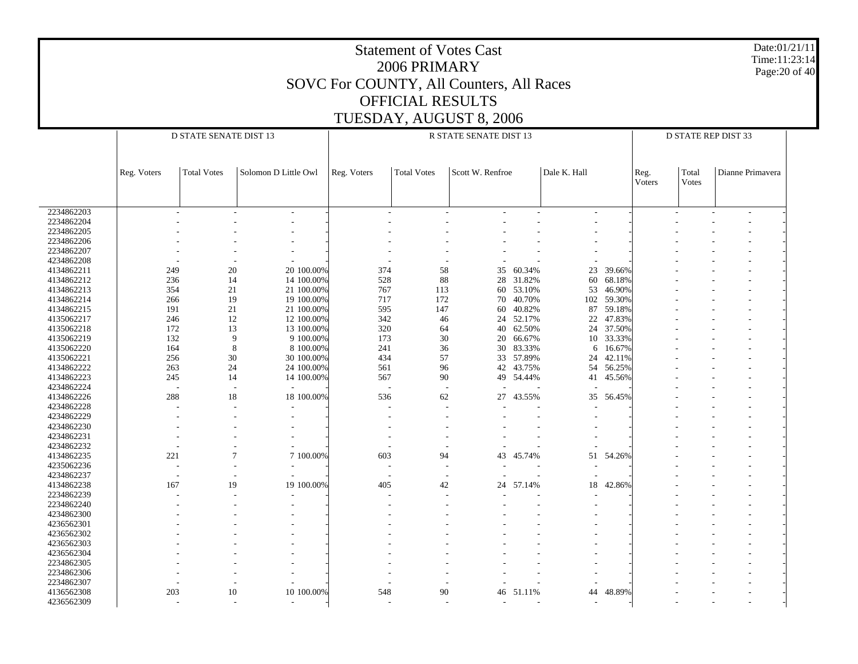|                          |                                                                                                                                           |                               |                         | SOVC For COUNTY, All Counters, All Races | 2006 PRIMARY            | <b>Statement of Votes Cast</b> |                     |              |                     |                |                |                     | Date:01/21/11<br>Time:11:23:14<br>Page: 20 of 40 |  |  |
|--------------------------|-------------------------------------------------------------------------------------------------------------------------------------------|-------------------------------|-------------------------|------------------------------------------|-------------------------|--------------------------------|---------------------|--------------|---------------------|----------------|----------------|---------------------|--------------------------------------------------|--|--|
|                          |                                                                                                                                           |                               |                         | TUESDAY, AUGUST 8, 2006                  | <b>OFFICIAL RESULTS</b> |                                |                     |              |                     |                |                |                     |                                                  |  |  |
|                          |                                                                                                                                           | <b>D STATE SENATE DIST 13</b> |                         |                                          |                         | R STATE SENATE DIST 13         |                     |              |                     |                |                | D STATE REP DIST 33 |                                                  |  |  |
|                          |                                                                                                                                           |                               |                         |                                          |                         |                                |                     |              |                     |                |                |                     |                                                  |  |  |
|                          | Reg. Voters                                                                                                                               | <b>Total Votes</b>            | Solomon D Little Owl    | Reg. Voters                              | <b>Total Votes</b>      | Scott W. Renfroe               |                     | Dale K. Hall |                     | Reg.<br>Voters | Total<br>Votes | Dianne Primavera    |                                                  |  |  |
| 2234862203               |                                                                                                                                           |                               |                         |                                          |                         |                                |                     |              |                     |                |                |                     |                                                  |  |  |
| 2234862204               |                                                                                                                                           |                               |                         |                                          |                         |                                |                     |              |                     |                |                |                     |                                                  |  |  |
| 2234862205               |                                                                                                                                           |                               |                         |                                          |                         |                                |                     |              |                     |                |                |                     |                                                  |  |  |
| 2234862206<br>2234862207 |                                                                                                                                           |                               |                         |                                          |                         |                                |                     |              |                     |                |                |                     |                                                  |  |  |
| 4234862208               |                                                                                                                                           |                               |                         |                                          |                         |                                |                     |              |                     |                |                |                     |                                                  |  |  |
| 4134862211               | 20<br>374<br>58<br>60.34%<br>23<br>39.66%<br>249<br>20 100.00%<br>35<br>236<br>528<br>88<br>28 31.82%<br>60<br>68.18%<br>14<br>14 100.00% |                               |                         |                                          |                         |                                |                     |              |                     |                |                |                     |                                                  |  |  |
| 4134862212               | 354<br>21<br>767<br>53.10%<br>53<br>46.90%<br>21 100.00%<br>113<br>60                                                                     |                               |                         |                                          |                         |                                |                     |              |                     |                |                |                     |                                                  |  |  |
| 4134862213               |                                                                                                                                           |                               |                         |                                          |                         |                                |                     |              |                     |                |                |                     |                                                  |  |  |
| 4134862214               | 266                                                                                                                                       | 19                            | 19 100.00%              | 717                                      | 172                     | 70                             | 40.70%              | 102          | 59.30%              |                |                |                     |                                                  |  |  |
| 4134862215               | 191                                                                                                                                       | 21                            | 21 100.00%              | 595                                      | 147                     | 60                             | 40.82%              | 87           | 59.18%              |                |                |                     |                                                  |  |  |
| 4135062217               | 246                                                                                                                                       | 12                            | 12 100.00%              | 342                                      | 46                      |                                | 24 52.17%           | 22           | 47.83%              |                |                |                     |                                                  |  |  |
| 4135062218<br>4135062219 | 172<br>132                                                                                                                                | 13<br>9                       | 13 100.00%<br>9 100.00% | 320<br>173                               | 64<br>30                | 20                             | 40 62.50%<br>66.67% | 10           | 24 37.50%<br>33.33% |                |                |                     |                                                  |  |  |
| 4135062220               | 164                                                                                                                                       | 8                             | 8 100.00%               | 241                                      | 36                      |                                | 30 83.33%           | 6            | 16.67%              |                |                |                     |                                                  |  |  |
| 4135062221               | 256                                                                                                                                       | 30                            | 30 100.00%              | 434                                      | 57                      |                                | 33 57.89%           | 24           | 42.11%              |                |                |                     |                                                  |  |  |
| 4134862222               | 263                                                                                                                                       | 24                            | 24 100.00%              | 561                                      | 96                      | 42                             | 43.75%              |              | 54 56.25%           |                |                |                     |                                                  |  |  |
| 4134862223               | 245                                                                                                                                       | 14                            | 14 100.00%              | 567                                      | 90                      |                                | 49 54.44%           | 41           | 45.56%              |                |                |                     |                                                  |  |  |
| 4234862224               |                                                                                                                                           |                               |                         |                                          |                         |                                |                     |              |                     |                |                |                     |                                                  |  |  |
| 4134862226               | 288                                                                                                                                       | 18                            | 18 100.00%              | 536                                      | 62                      | 27                             | 43.55%              | 35           | 56.45%              |                |                |                     |                                                  |  |  |
| 4234862228               |                                                                                                                                           |                               |                         |                                          |                         |                                |                     |              |                     |                |                |                     |                                                  |  |  |
| 4234862229<br>4234862230 |                                                                                                                                           |                               |                         |                                          |                         |                                |                     |              |                     |                |                |                     |                                                  |  |  |
| 4234862231               |                                                                                                                                           |                               |                         |                                          |                         |                                |                     |              |                     |                |                |                     |                                                  |  |  |
| 4234862232               |                                                                                                                                           |                               |                         |                                          |                         |                                |                     |              |                     |                |                |                     |                                                  |  |  |
| 4134862235               | 221                                                                                                                                       | $\overline{7}$                | 7 100.00%               | 603                                      | 94                      | 43                             | 45.74%              | 51           | 54.26%              |                |                |                     |                                                  |  |  |
| 4235062236               |                                                                                                                                           |                               |                         |                                          |                         |                                |                     |              |                     |                |                |                     |                                                  |  |  |
| 4234862237               |                                                                                                                                           |                               |                         |                                          |                         |                                |                     |              |                     |                |                |                     |                                                  |  |  |
| 4134862238               | 167                                                                                                                                       | 19                            | 19 100.00%              | 405                                      | 42                      | 24                             | 57.14%              | 18           | 42.86%              |                |                |                     |                                                  |  |  |
| 2234862239<br>2234862240 |                                                                                                                                           |                               |                         |                                          |                         |                                |                     |              |                     |                |                |                     |                                                  |  |  |
| 4234862300               |                                                                                                                                           |                               |                         |                                          |                         |                                |                     |              |                     |                |                |                     |                                                  |  |  |
| 4236562301               |                                                                                                                                           |                               |                         |                                          |                         |                                |                     |              |                     |                |                |                     |                                                  |  |  |
| 4236562302               |                                                                                                                                           |                               |                         |                                          |                         |                                |                     |              |                     |                |                |                     |                                                  |  |  |
| 4236562303               |                                                                                                                                           |                               |                         |                                          |                         |                                |                     |              |                     |                |                |                     |                                                  |  |  |
| 4236562304               |                                                                                                                                           |                               |                         |                                          |                         |                                |                     |              |                     |                |                |                     |                                                  |  |  |
| 2234862305               |                                                                                                                                           |                               |                         |                                          |                         |                                |                     |              |                     |                |                |                     |                                                  |  |  |
| 2234862306               |                                                                                                                                           |                               |                         |                                          |                         |                                |                     |              |                     |                |                |                     |                                                  |  |  |
| 2234862307<br>4136562308 | 203                                                                                                                                       | 10                            | 10 100.00%              | 548                                      | 90                      | 46                             | 51.11%              | 44           | 48.89%              |                |                |                     |                                                  |  |  |
| 4236562309               |                                                                                                                                           |                               |                         |                                          |                         |                                |                     |              |                     |                |                |                     |                                                  |  |  |
|                          |                                                                                                                                           |                               |                         |                                          |                         |                                |                     |              |                     |                |                |                     |                                                  |  |  |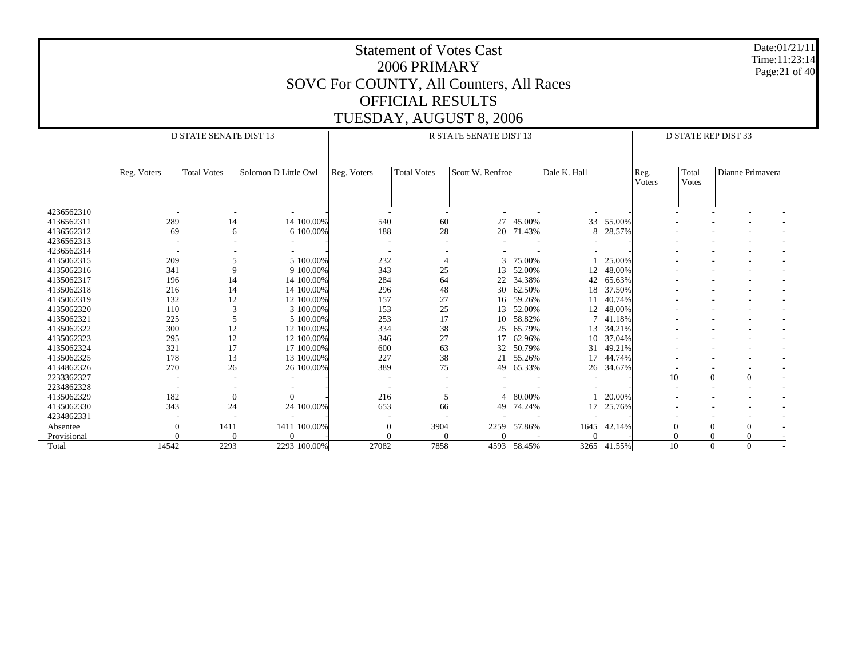|             |             |                                                                   |                            |                                          | <b>Statement of Votes Cast</b><br>2006 PRIMARY |                         |             |              |             |                |                |                                |  | Date:01/21/11<br>Time:11:23:14<br>Page:21 of 40 |
|-------------|-------------|-------------------------------------------------------------------|----------------------------|------------------------------------------|------------------------------------------------|-------------------------|-------------|--------------|-------------|----------------|----------------|--------------------------------|--|-------------------------------------------------|
|             |             |                                                                   |                            | SOVC For COUNTY, All Counters, All Races |                                                |                         |             |              |             |                |                |                                |  |                                                 |
|             |             |                                                                   |                            |                                          |                                                |                         |             |              |             |                |                |                                |  |                                                 |
|             |             |                                                                   |                            |                                          | <b>OFFICIAL RESULTS</b>                        |                         |             |              |             |                |                |                                |  |                                                 |
|             |             |                                                                   |                            |                                          |                                                | TUESDAY, AUGUST 8, 2006 |             |              |             |                |                |                                |  |                                                 |
|             |             | <b>D STATE SENATE DIST 13</b>                                     |                            |                                          |                                                | R STATE SENATE DIST 13  |             |              |             |                |                | <b>D STATE REP DIST 33</b>     |  |                                                 |
|             |             |                                                                   |                            |                                          |                                                |                         |             |              |             |                |                |                                |  |                                                 |
|             |             |                                                                   |                            |                                          |                                                |                         |             |              |             |                |                |                                |  |                                                 |
|             | Reg. Voters | <b>Total Votes</b>                                                | Solomon D Little Owl       | Reg. Voters                              | <b>Total Votes</b>                             | Scott W. Renfroe        |             | Dale K. Hall |             | Reg.<br>Voters | Total<br>Votes | Dianne Primavera               |  |                                                 |
|             |             |                                                                   |                            |                                          |                                                |                         |             |              |             |                |                |                                |  |                                                 |
| 4236562310  |             |                                                                   |                            |                                          |                                                | $\sim$                  |             |              |             |                |                |                                |  |                                                 |
| 4136562311  |             | 289<br>14 100.00%<br>60<br>45.00%<br>33 55.00%<br>14<br>540<br>27 |                            |                                          |                                                |                         |             |              |             |                |                |                                |  |                                                 |
| 4136562312  |             | 69                                                                | 6 100.00%<br>6             | 188                                      | 28                                             |                         | 20 71.43%   | 8            | 28.57%      |                |                |                                |  |                                                 |
| 4236562313  |             |                                                                   |                            |                                          |                                                |                         |             |              |             |                |                |                                |  |                                                 |
| 4236562314  |             |                                                                   |                            | $\overline{\phantom{a}}$                 |                                                |                         |             |              |             |                |                |                                |  |                                                 |
| 4135062315  |             | 209                                                               | 5<br>5 100,00%             | 232                                      | $\overline{4}$                                 | 3                       | 75.00%      |              | 25.00%      |                |                |                                |  |                                                 |
| 4135062316  |             | 341                                                               | 9<br>9 100.00%             | 343                                      |                                                |                         |             |              |             |                |                |                                |  |                                                 |
| 4135062317  |             | 196                                                               | 14<br>14 100.00%           | 284                                      | 64                                             | 22                      | 34.38%      | 42           | 65.63%      |                |                |                                |  |                                                 |
| 4135062318  |             | 216                                                               | 14<br>14 100.00%           | 296                                      | 48                                             | 30                      | 62.50%      | 18           | 37.50%      |                |                |                                |  |                                                 |
| 4135062319  |             | 132                                                               | 12<br>12 100.00%           | 157                                      | 27                                             | 16                      | 59.26%      | 11           | 40.74%      |                |                |                                |  |                                                 |
| 4135062320  |             | 110                                                               | 3<br>3 100.00%             | 153                                      | 25                                             | 13                      | 52.00%      |              | 12 48.00%   |                |                |                                |  |                                                 |
| 4135062321  |             | 225                                                               | 5<br>5 100.00%             | 253                                      | 17                                             | 10                      | 58.82%      | $7^{\circ}$  | 41.18%      |                |                |                                |  |                                                 |
| 4135062322  |             | 300                                                               | 12<br>12 100.00%           | 334                                      | $38\,$                                         | 25                      | 65.79%      |              | 13 34.21%   |                |                |                                |  |                                                 |
| 4135062323  |             | 295                                                               | 12<br>12 100.00%           | 346                                      | 27                                             | 17                      | 62.96%      | 10           | 37.04%      |                |                |                                |  |                                                 |
| 4135062324  |             | 321                                                               | 17<br>17 100.00%           | 600                                      | 63                                             | 32                      | 50.79%      | 31           | 49.21%      |                |                |                                |  |                                                 |
| 4135062325  |             | 178                                                               | 13<br>13 100.00%           | 227                                      | 38                                             | 21                      | 55.26%      |              | 17 44.74%   |                |                |                                |  |                                                 |
| 4134862326  |             | 270                                                               | 26<br>26 100.00%           | 389                                      | 75                                             | 49                      | 65.33%      | 26           | 34.67%      |                |                |                                |  |                                                 |
| 2233362327  |             |                                                                   |                            |                                          |                                                |                         |             |              |             | 10             |                | $\Omega$<br>$\boldsymbol{0}$   |  |                                                 |
| 2234862328  |             |                                                                   |                            |                                          |                                                |                         |             |              |             |                |                |                                |  |                                                 |
| 4135062329  |             | 182                                                               | $\Omega$<br>$\overline{0}$ | 216                                      | 5                                              |                         | 80.00%      |              | 20.00%      |                |                |                                |  |                                                 |
| 4135062330  |             | 343                                                               | 24<br>24 100.00%           | 653                                      | 66                                             | 49                      | 74.24%      | 17           | 25.76%      |                |                |                                |  |                                                 |
| 4234862331  |             |                                                                   |                            |                                          |                                                |                         |             |              |             |                |                |                                |  |                                                 |
| Absentee    |             | 1411<br>$\overline{0}$                                            | 1411 100.00%               | $\theta$                                 | 3904                                           | 2259                    | 57.86%      | 1645         | 42.14%      | $\Omega$       |                | $\overline{0}$<br>$\mathbf{0}$ |  |                                                 |
| Provisional |             | $\Omega$                                                          | $\Omega$<br>0              | $\Omega$                                 |                                                | $\Omega$                |             | $\Omega$     |             | $\Omega$       |                | $\Omega$<br>$\Omega$           |  |                                                 |
| Total       | 14542       | 2293                                                              | 2293 100.00%               | 27082                                    | 7858                                           |                         | 4593 58.45% |              | 3265 41.55% | 10             |                | $\Omega$<br>$\Omega$           |  |                                                 |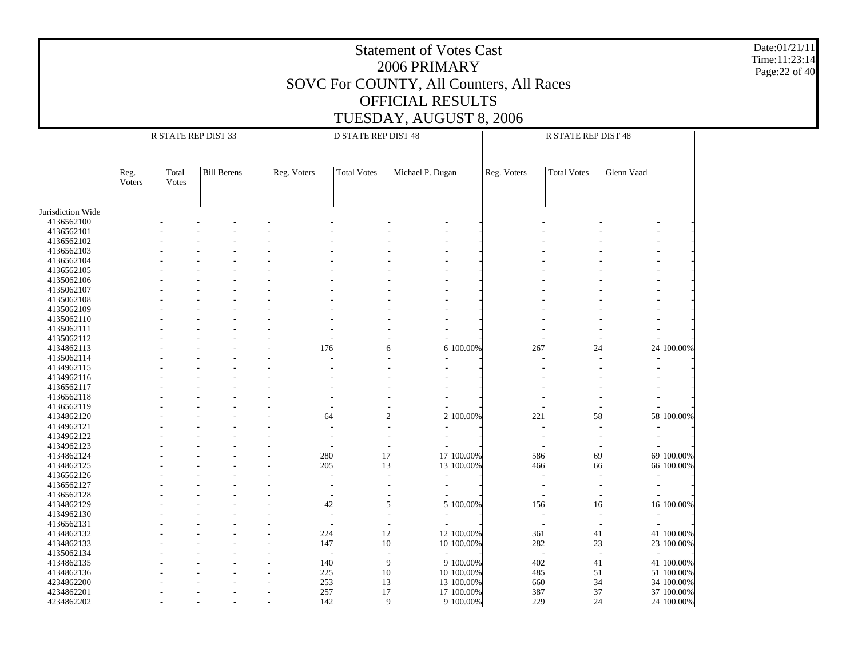Statement of Votes Cast2006 PRIMARYSOVC For COUNTY, All Counters, All Races OFFICIAL RESULTSTUESDAY, AUGUST 8, 2006 Date:01/21/11Time:11:23:14Page:22 of 40 Jurisdiction Wide 4136562100 4136562101 4136562102 4136562103 4136562104 4136562105 4135062106 4135062107 4135062108 4135062109 4135062110 4135062111 4135062112 4134862113 4135062114 4134962115 4134962116 4136562117 4136562118 4136562119 4134862120 4134962121 4134962122 4134962123 4134862124 4134862125 4136562126 4136562127 4136562128 4134862129 4134962130 4136562131 4134862132 4134862133 4135062134 4134862135 4134862136 4234862200 4234862201 4234862202 Reg. VotersTotal VotesBill BerensR STATE REP DIST 33Reg. Voters | Total Votes | Michael P. Dugan D STATE REP DIST 48Reg. Voters | Total Votes | Glenn Vaad R STATE REP DIST 48 - - - - - - - - - - - - - - - - - - - - - - - - - - - - - - - - - - - - - - - - - - - - - - - - - - - - - - - - - - - - - - - - - - - - - - - - - - - - - - - - - - - - - - - - - - - - - - - - - - - - - - - - - - - - - - - - - - - - - - - - - - - - - - - - - - - - - - - - - - - - - - - - - - 176 6 6 100.00% 267 24 24 100.00% - - - - - - - - - - - - - - - - - - - - - - - - - - - - - - - - - - - - - - - - - - - - - - - - - - - - - - - - - - - - - - - - - - - - - 64 2 2 100.00% 221 58 58 100.00% - - - - - - - - - - - - - - - - - - - - - - - - - - - - - - - - - - - - 280 17 17 100.00% 586 69 69 100.00% - - - 205 13 13 100.00% 466 66 66 100.00% - - - - - - - - - - - - - - - - - - - - - - - - - - - - - - - - - - - - 4242 5 5 5 100.00% 156 16 16 100.00% - - - - - - - - - - - - - - - - - - - - - - - - - 224 12 12 100.00% 361 41 41 100.00% - - - 147147 10 10 100.00% 282 23 23 100.00% - - - - - - - - - - - - - - 140140 9 9 9 100.00% 402 41 41 100.00% - - - 225225 10 10 100.00% 485 51 51 100.00% - - - 253 13 13 100.00%660 34 34 100.00%<br>387 37 37 37 100.00% - - - 257 17 17 100.00% 387 37 37 100.00% - - - 142142 9 9 9 100.00% 229 24 24 100.00%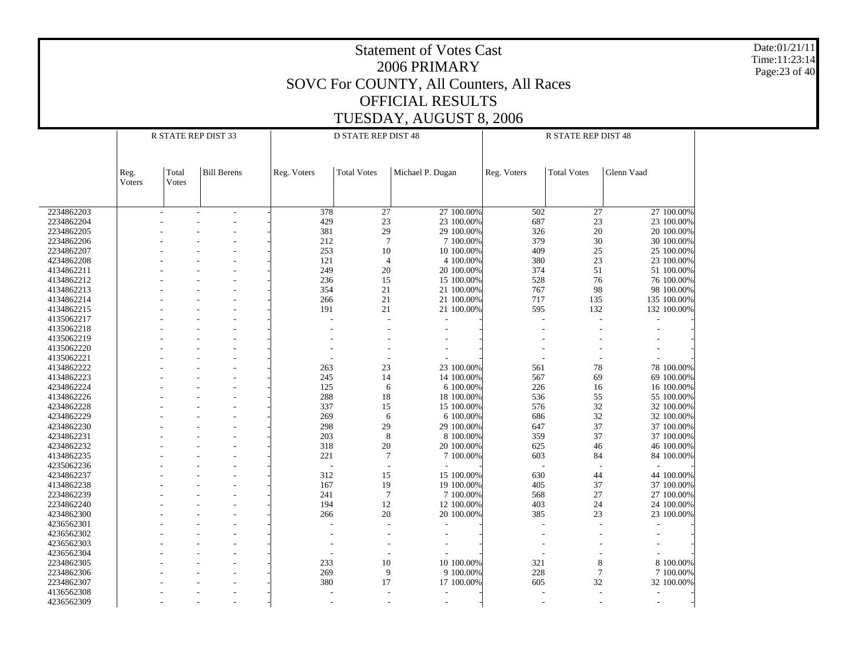Date:01/21/11 Time:11:23:14 Page:23 of 40

|            | R STATE REP DIST 33 |                |                          |             | D STATE REP DIST 48 |                  | R STATE REP DIST 48 |                    |             |  |
|------------|---------------------|----------------|--------------------------|-------------|---------------------|------------------|---------------------|--------------------|-------------|--|
|            | Reg.<br>Voters      | Total<br>Votes | <b>Bill Berens</b>       | Reg. Voters | <b>Total Votes</b>  | Michael P. Dugan | Reg. Voters         | <b>Total Votes</b> | Glenn Vaad  |  |
|            |                     |                |                          |             |                     |                  |                     |                    |             |  |
| 2234862203 |                     | ÷              | $\overline{\phantom{a}}$ | 378         | 27                  | 27 100.00%       | 502                 | 27                 | 27 100.00%  |  |
| 2234862204 |                     |                |                          | 429         | 23                  | 23 100.00%       | 687                 | 23                 | 23 100.00%  |  |
| 2234862205 |                     |                |                          | 381         | 29                  | 29 100.00%       | 326                 | 20                 | 20 100.00%  |  |
| 2234862206 |                     |                |                          | 212         | $7\phantom{.0}$     | 7 100.00%        | 379                 | 30                 | 30 100.00%  |  |
| 2234862207 |                     |                |                          | 253         | 10                  | 10 100.00%       | 409                 | 25                 | 25 100.00%  |  |
| 4234862208 |                     |                |                          | 121         | $\overline{4}$      | 4 100.00%        | 380                 | 23                 | 23 100.00%  |  |
| 4134862211 |                     |                |                          | 249         | 20                  | 20 100.00%       | 374                 | 51                 | 51 100.00%  |  |
| 4134862212 |                     |                |                          | 236         | 15                  | 15 100.00%       | 528                 | 76                 | 76 100.00%  |  |
| 4134862213 |                     |                |                          | 354         | 21                  | 21 100.00%       | 767                 | 98                 | 98 100.00%  |  |
| 4134862214 |                     |                |                          | 266         | 21                  | 21 100.00%       | 717                 | 135                | 135 100.00% |  |
| 4134862215 |                     |                |                          | 191         | 21                  | 21 100.00%       | 595                 | 132                | 132 100.00% |  |
| 4135062217 |                     |                |                          |             |                     |                  |                     | L,                 |             |  |
| 4135062218 |                     |                |                          |             |                     |                  |                     |                    |             |  |
| 4135062219 |                     |                |                          |             |                     |                  |                     |                    |             |  |
| 4135062220 |                     |                |                          |             |                     |                  |                     |                    |             |  |
| 4135062221 |                     |                |                          |             |                     |                  |                     |                    |             |  |
| 4134862222 |                     |                |                          | 263         | 23                  | 23 100.00%       | 561                 | 78                 | 78 100,00%  |  |
|            |                     |                |                          |             | 14                  | 14 100.00%       | 567                 | 69                 | 69 100.00%  |  |
| 4134862223 |                     |                |                          | 245         |                     |                  |                     |                    |             |  |
| 4234862224 |                     |                |                          | 125         | 6                   | 6 100.00%        | 226                 | 16                 | 16 100.00%  |  |
| 4134862226 |                     |                |                          | 288         | 18                  | 18 100.00%       | 536                 | 55                 | 55 100.00%  |  |
| 4234862228 |                     |                |                          | 337         | 15                  | 15 100.00%       | 576                 | 32                 | 32 100.00%  |  |
| 4234862229 |                     |                |                          | 269         | 6                   | 6 100.00%        | 686                 | 32                 | 32 100.00%  |  |
| 4234862230 |                     |                |                          | 298         | 29                  | 29 100,00%       | 647                 | 37                 | 37 100.00%  |  |
| 4234862231 |                     |                |                          | 203         | 8                   | 8 100.00%        | 359                 | 37                 | 37 100.00%  |  |
| 4234862232 |                     |                |                          | 318         | 20                  | 20 100.00%       | 625                 | 46                 | 46 100.00%  |  |
| 4134862235 |                     |                |                          | 221         | 7                   | 7 100.00%        | 603                 | 84                 | 84 100.00%  |  |
| 4235062236 |                     |                |                          | L,          | $\sim$              |                  |                     | $\overline{a}$     |             |  |
| 4234862237 |                     |                |                          | 312         | 15                  | 15 100.00%       | 630                 | 44                 | 44 100.00%  |  |
| 4134862238 |                     |                |                          | 167         | 19                  | 19 100,00%       | 405                 | 37                 | 37 100.00%  |  |
| 2234862239 |                     |                |                          | 241         | $\overline{7}$      | 7 100.00%        | 568                 | 27                 | 27 100.00%  |  |
| 2234862240 |                     |                |                          | 194         | 12                  | 12 100.00%       | 403                 | 24                 | 24 100.00%  |  |
| 4234862300 |                     |                |                          | 266         | 20                  | 20 100,00%       | 385                 | 23                 | 23 100.00%  |  |
| 4236562301 |                     |                |                          |             | $\overline{a}$      |                  |                     |                    |             |  |
| 4236562302 |                     |                |                          |             |                     |                  |                     |                    |             |  |
| 4236562303 |                     |                |                          |             |                     |                  |                     |                    |             |  |
| 4236562304 |                     |                |                          |             |                     |                  |                     |                    |             |  |
|            |                     |                |                          | 233         | 10                  | 10 100.00%       | 321                 |                    | 8 100.00%   |  |
| 2234862305 |                     |                |                          |             |                     |                  |                     | $\,8\,$            |             |  |
| 2234862306 |                     |                |                          | 269         | 9                   | 9 100.00%        | 228                 | $\tau$             | 7 100.00%   |  |
| 2234862307 |                     |                |                          | 380         | 17                  | 17 100.00%       | 605                 | 32                 | 32 100.00%  |  |
| 4136562308 |                     |                |                          |             |                     |                  |                     | $\overline{a}$     |             |  |
| 4236562309 |                     |                |                          |             |                     |                  |                     |                    |             |  |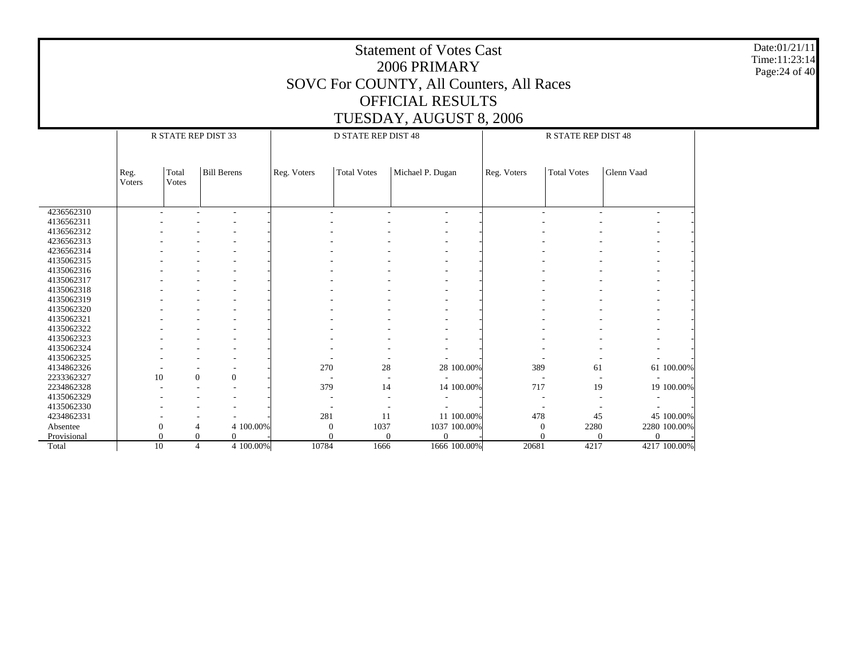Date:01/21/11 Time:11:23:14 Page:24 of 40

|             | R STATE REP DIST 33 |                |                                  |                  | <b>D STATE REP DIST 48</b> |                  |             | <b>R STATE REP DIST 48</b> |              |  |  |  |
|-------------|---------------------|----------------|----------------------------------|------------------|----------------------------|------------------|-------------|----------------------------|--------------|--|--|--|
|             |                     |                |                                  |                  |                            |                  |             |                            |              |  |  |  |
|             |                     |                |                                  |                  |                            |                  |             |                            |              |  |  |  |
|             | Reg.<br>Voters      | Total<br>Votes | <b>Bill Berens</b>               | Reg. Voters      | <b>Total Votes</b>         | Michael P. Dugan | Reg. Voters | <b>Total Votes</b>         | Glenn Vaad   |  |  |  |
|             |                     |                |                                  |                  |                            |                  |             |                            |              |  |  |  |
|             |                     |                |                                  |                  |                            |                  |             |                            |              |  |  |  |
| 4236562310  |                     |                |                                  |                  |                            |                  |             |                            |              |  |  |  |
| 4136562311  |                     |                |                                  |                  |                            |                  |             |                            |              |  |  |  |
| 4136562312  |                     |                |                                  |                  |                            |                  |             |                            |              |  |  |  |
| 4236562313  |                     |                |                                  |                  |                            |                  |             |                            |              |  |  |  |
| 4236562314  |                     |                |                                  |                  |                            |                  |             |                            |              |  |  |  |
| 4135062315  |                     |                |                                  |                  |                            |                  |             |                            |              |  |  |  |
| 4135062316  |                     |                |                                  |                  |                            |                  |             |                            |              |  |  |  |
| 4135062317  |                     |                |                                  |                  |                            |                  |             |                            |              |  |  |  |
| 4135062318  |                     |                |                                  |                  |                            |                  |             |                            |              |  |  |  |
| 4135062319  |                     |                |                                  |                  |                            |                  |             |                            |              |  |  |  |
| 4135062320  |                     |                |                                  |                  |                            |                  |             |                            |              |  |  |  |
| 4135062321  |                     |                |                                  |                  |                            |                  |             |                            |              |  |  |  |
| 4135062322  |                     |                |                                  |                  |                            |                  |             |                            |              |  |  |  |
| 4135062323  |                     |                |                                  |                  |                            |                  |             |                            |              |  |  |  |
| 4135062324  |                     |                |                                  |                  |                            |                  |             |                            |              |  |  |  |
| 4135062325  |                     |                |                                  |                  |                            |                  |             |                            |              |  |  |  |
| 4134862326  |                     |                |                                  | 270              | 28                         | 28 100.00%       | 389         | 61                         | 61 100.00%   |  |  |  |
| 2233362327  | 10                  |                | $\boldsymbol{0}$<br>$\mathbf{0}$ |                  |                            |                  |             |                            |              |  |  |  |
| 2234862328  |                     |                |                                  | 379              | 14                         | 14 100.00%       | 717         | 19                         | 19 100.00%   |  |  |  |
| 4135062329  |                     |                |                                  |                  |                            |                  |             |                            |              |  |  |  |
| 4135062330  |                     |                |                                  |                  |                            |                  |             |                            |              |  |  |  |
| 4234862331  |                     |                |                                  | 281              | 11                         | 11 100.00%       | 478         | 45                         | 45 100.00%   |  |  |  |
| Absentee    | $\Omega$            |                | 4 100.00%                        | $\boldsymbol{0}$ | 1037                       | 1037 100.00%     | 0           | 2280                       | 2280 100.00% |  |  |  |
| Provisional |                     |                | $\Omega$<br>0                    | 0                | $\Omega$                   | $\Omega$         |             | $\Omega$                   | $\theta$     |  |  |  |
| Total       | 10                  |                | 4 100.00%<br>$\overline{4}$      | 10784            | 1666                       | 1666 100.00%     | 20681       | 4217                       | 4217 100.00% |  |  |  |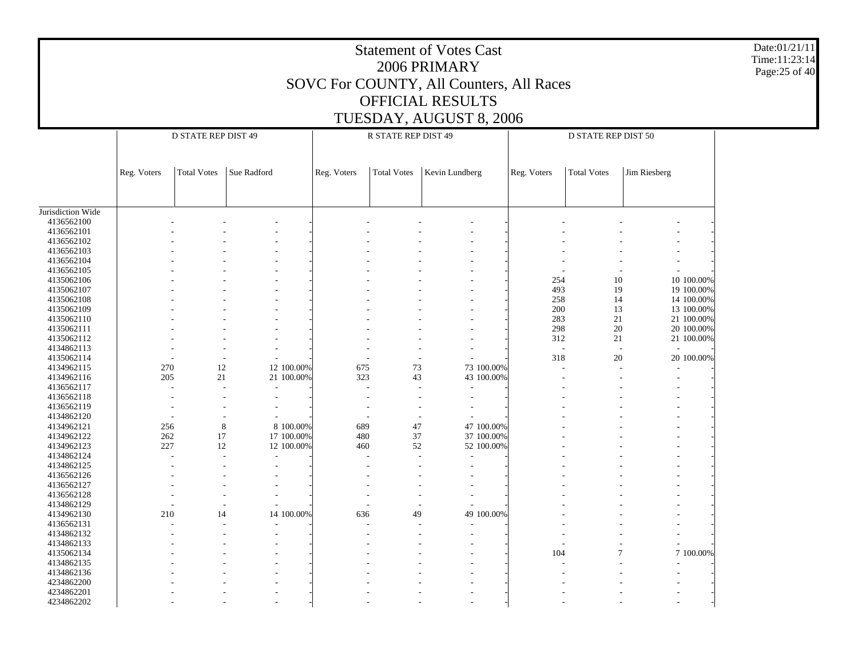|                          | <b>Statement of Votes Cast</b><br>2006 PRIMARY<br>SOVC For COUNTY, All Counters, All Races<br>OFFICIAL RESULTS<br>TUESDAY, AUGUST 8, 2006 |                     |                          |            |             |                     |                |            |                          |                     |                             |  |  |  |  |
|--------------------------|-------------------------------------------------------------------------------------------------------------------------------------------|---------------------|--------------------------|------------|-------------|---------------------|----------------|------------|--------------------------|---------------------|-----------------------------|--|--|--|--|
|                          |                                                                                                                                           | D STATE REP DIST 49 |                          |            |             | R STATE REP DIST 49 |                |            |                          | D STATE REP DIST 50 |                             |  |  |  |  |
|                          |                                                                                                                                           |                     |                          |            |             |                     |                |            |                          |                     |                             |  |  |  |  |
|                          | Reg. Voters                                                                                                                               | <b>Total Votes</b>  | Sue Radford              |            | Reg. Voters | <b>Total Votes</b>  | Kevin Lundberg |            | Reg. Voters              | <b>Total Votes</b>  | Jim Riesberg                |  |  |  |  |
|                          |                                                                                                                                           |                     |                          |            |             |                     |                |            |                          |                     |                             |  |  |  |  |
| Jurisdiction Wide        |                                                                                                                                           |                     |                          |            |             |                     |                |            |                          |                     |                             |  |  |  |  |
| 4136562100               |                                                                                                                                           |                     |                          |            |             |                     |                |            |                          |                     |                             |  |  |  |  |
| 4136562101               |                                                                                                                                           |                     |                          |            |             |                     |                |            |                          |                     |                             |  |  |  |  |
| 4136562102               |                                                                                                                                           |                     |                          |            |             |                     |                |            |                          |                     |                             |  |  |  |  |
| 4136562103               |                                                                                                                                           |                     |                          |            |             |                     |                |            |                          |                     |                             |  |  |  |  |
| 4136562104               |                                                                                                                                           |                     |                          |            |             |                     |                |            |                          |                     |                             |  |  |  |  |
| 4136562105               |                                                                                                                                           |                     |                          |            |             |                     |                |            |                          |                     |                             |  |  |  |  |
| 4135062106               | 10<br>10 100.00%<br>254                                                                                                                   |                     |                          |            |             |                     |                |            |                          |                     |                             |  |  |  |  |
| 4135062107               | 493<br>19<br>19 100.00%<br>258<br>14<br>14 100.00%                                                                                        |                     |                          |            |             |                     |                |            |                          |                     |                             |  |  |  |  |
| 4135062108<br>4135062109 |                                                                                                                                           |                     |                          |            |             |                     |                |            | 200                      | 13                  | 13 100.00%                  |  |  |  |  |
| 4135062110               |                                                                                                                                           |                     |                          |            |             |                     |                |            | 283                      | 21                  | 21 100.00%                  |  |  |  |  |
| 4135062111               |                                                                                                                                           |                     |                          |            |             |                     |                |            | 298                      | 20                  | 20 100.00%                  |  |  |  |  |
| 4135062112               |                                                                                                                                           |                     |                          |            |             |                     |                |            | 312                      | 21                  | 21 100.00%                  |  |  |  |  |
| 4134862113               |                                                                                                                                           |                     |                          |            |             |                     |                |            | $\overline{\phantom{a}}$ |                     | $\sim$                      |  |  |  |  |
| 4135062114               |                                                                                                                                           |                     |                          |            |             |                     |                |            | 318                      | 20                  | 20 100.00%                  |  |  |  |  |
| 4134962115               | 270                                                                                                                                       | 12                  |                          | 12 100.00% | 675         | 73                  | 73 100.00%     |            |                          |                     |                             |  |  |  |  |
| 4134962116               | 205                                                                                                                                       | 21                  |                          | 21 100.00% | 323         | 43                  | 43 100.00%     |            |                          |                     |                             |  |  |  |  |
| 4136562117               |                                                                                                                                           |                     | $\overline{\phantom{a}}$ |            |             |                     |                |            |                          |                     |                             |  |  |  |  |
| 4136562118               |                                                                                                                                           |                     |                          |            |             |                     |                |            |                          |                     |                             |  |  |  |  |
| 4136562119               |                                                                                                                                           |                     |                          |            |             |                     |                |            |                          |                     |                             |  |  |  |  |
| 4134862120               |                                                                                                                                           |                     |                          |            |             |                     |                |            |                          |                     |                             |  |  |  |  |
| 4134962121               | 256                                                                                                                                       |                     | 8                        | 8 100.00%  | 689         | 47                  | 47 100.00%     |            |                          |                     |                             |  |  |  |  |
| 4134962122               | 262                                                                                                                                       | 17                  |                          | 17 100.00% | 480         | 37                  | 37 100.00%     |            |                          |                     |                             |  |  |  |  |
| 4134962123               | 227                                                                                                                                       | 12                  |                          | 12 100.00% | 460         | 52                  | 52 100.00%     |            |                          |                     |                             |  |  |  |  |
| 4134862124               |                                                                                                                                           |                     |                          |            |             |                     |                |            |                          |                     |                             |  |  |  |  |
| 4134862125               |                                                                                                                                           |                     |                          |            |             |                     |                |            |                          |                     |                             |  |  |  |  |
| 4136562126               |                                                                                                                                           |                     |                          |            |             |                     |                |            |                          |                     |                             |  |  |  |  |
| 4136562127               |                                                                                                                                           |                     |                          |            |             |                     |                |            |                          |                     |                             |  |  |  |  |
| 4136562128<br>4134862129 |                                                                                                                                           |                     |                          |            |             |                     |                |            |                          |                     |                             |  |  |  |  |
| 4134962130               | 210                                                                                                                                       |                     | 14                       | 14 100.00% | 636         | 49                  |                | 49 100.00% |                          |                     |                             |  |  |  |  |
| 4136562131               |                                                                                                                                           |                     |                          |            |             |                     |                |            |                          |                     |                             |  |  |  |  |
| 4134862132               |                                                                                                                                           |                     |                          |            |             |                     |                |            |                          |                     |                             |  |  |  |  |
| 4134862133               |                                                                                                                                           |                     |                          |            |             |                     |                |            |                          |                     |                             |  |  |  |  |
| 4135062134               |                                                                                                                                           |                     |                          |            |             |                     |                |            | 104                      |                     | $\overline{7}$<br>7 100.00% |  |  |  |  |
| 4134862135               |                                                                                                                                           |                     |                          |            |             |                     |                |            |                          |                     |                             |  |  |  |  |
| 4134862136               |                                                                                                                                           |                     |                          |            |             |                     |                |            |                          |                     |                             |  |  |  |  |
| 4234862200               |                                                                                                                                           |                     |                          |            |             |                     |                |            |                          |                     |                             |  |  |  |  |
| 4234862201               |                                                                                                                                           |                     |                          |            |             |                     |                |            |                          |                     |                             |  |  |  |  |
| 4234862202               |                                                                                                                                           |                     |                          |            |             |                     |                |            |                          |                     |                             |  |  |  |  |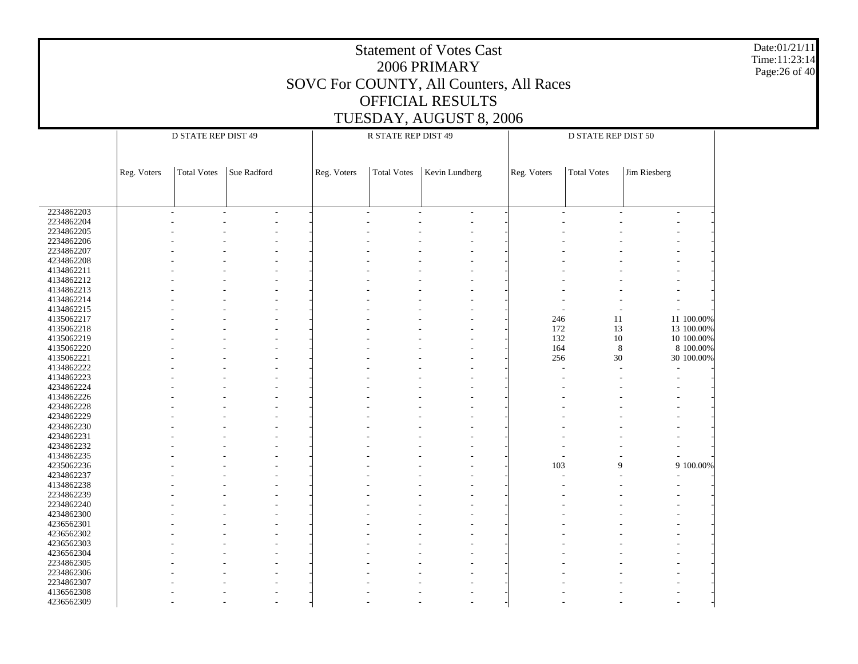| <b>Statement of Votes Cast</b><br>2006 PRIMARY<br>SOVC For COUNTY, All Counters, All Races<br>OFFICIAL RESULTS<br>TUESDAY, AUGUST 8, 2006 |             |                     |             |             |  |                     |                |  |             |                     |                |            |  |
|-------------------------------------------------------------------------------------------------------------------------------------------|-------------|---------------------|-------------|-------------|--|---------------------|----------------|--|-------------|---------------------|----------------|------------|--|
|                                                                                                                                           |             | D STATE REP DIST 49 |             |             |  | R STATE REP DIST 49 |                |  |             | D STATE REP DIST 50 |                |            |  |
|                                                                                                                                           |             |                     |             |             |  |                     |                |  |             |                     |                |            |  |
|                                                                                                                                           | Reg. Voters | <b>Total Votes</b>  | Sue Radford | Reg. Voters |  | <b>Total Votes</b>  | Kevin Lundberg |  | Reg. Voters | <b>Total Votes</b>  | Jim Riesberg   |            |  |
|                                                                                                                                           |             |                     |             |             |  |                     |                |  |             |                     |                |            |  |
|                                                                                                                                           |             |                     |             |             |  |                     |                |  |             |                     |                |            |  |
|                                                                                                                                           |             |                     |             |             |  |                     |                |  |             |                     |                |            |  |
| 2234862203                                                                                                                                |             |                     |             |             |  |                     |                |  |             |                     |                |            |  |
| 2234862204<br>2234862205                                                                                                                  |             |                     |             |             |  |                     |                |  |             |                     |                |            |  |
| 2234862206                                                                                                                                |             |                     |             |             |  |                     |                |  |             |                     |                |            |  |
| 2234862207                                                                                                                                |             |                     |             |             |  |                     |                |  |             |                     |                |            |  |
| 4234862208                                                                                                                                |             |                     |             |             |  |                     |                |  |             |                     |                |            |  |
| 4134862211                                                                                                                                |             |                     |             |             |  |                     |                |  |             |                     |                |            |  |
| 4134862212                                                                                                                                |             |                     |             |             |  |                     |                |  |             |                     |                |            |  |
| 4134862213                                                                                                                                |             |                     |             |             |  |                     |                |  |             |                     |                |            |  |
| 4134862214                                                                                                                                |             |                     |             |             |  |                     |                |  |             |                     |                |            |  |
| 4134862215                                                                                                                                |             |                     |             |             |  |                     |                |  |             |                     | $\overline{a}$ |            |  |
| 4135062217                                                                                                                                |             |                     |             |             |  |                     |                |  | 246         | 11                  |                | 11 100.00% |  |
| 4135062218                                                                                                                                |             |                     |             |             |  |                     |                |  | 172         | 13                  |                | 13 100.00% |  |
| 4135062219                                                                                                                                |             |                     |             |             |  |                     |                |  | 132         | 10                  |                | 10 100.00% |  |
| 4135062220                                                                                                                                |             |                     |             |             |  |                     |                |  | 164         |                     | 8              | 8 100.00%  |  |
| 4135062221                                                                                                                                |             |                     |             |             |  |                     |                |  | 256         | 30                  |                | 30 100.00% |  |
| 4134862222                                                                                                                                |             |                     |             |             |  |                     |                |  |             |                     |                |            |  |
| 4134862223                                                                                                                                |             |                     |             |             |  |                     |                |  |             |                     |                |            |  |
| 4234862224                                                                                                                                |             |                     |             |             |  |                     |                |  |             |                     |                |            |  |
| 4134862226                                                                                                                                |             |                     |             |             |  |                     |                |  |             |                     |                |            |  |
| 4234862228                                                                                                                                |             |                     |             |             |  |                     |                |  |             |                     |                |            |  |
| 4234862229                                                                                                                                |             |                     |             |             |  |                     |                |  |             |                     |                |            |  |
| 4234862230                                                                                                                                |             |                     |             |             |  |                     |                |  |             |                     |                |            |  |
| 4234862231<br>4234862232                                                                                                                  |             |                     |             |             |  |                     |                |  |             |                     |                |            |  |
| 4134862235                                                                                                                                |             |                     |             |             |  |                     |                |  |             |                     |                |            |  |
| 4235062236                                                                                                                                |             |                     |             |             |  |                     |                |  | 103         |                     | 9              | 9 100.00%  |  |
| 4234862237                                                                                                                                |             |                     |             |             |  |                     |                |  |             |                     |                |            |  |
| 4134862238                                                                                                                                |             |                     |             |             |  |                     |                |  |             |                     |                |            |  |
| 2234862239                                                                                                                                |             |                     |             |             |  |                     |                |  |             |                     |                |            |  |
| 2234862240                                                                                                                                |             |                     |             |             |  |                     |                |  |             |                     |                |            |  |
| 4234862300                                                                                                                                |             |                     |             |             |  |                     |                |  |             |                     |                |            |  |
| 4236562301                                                                                                                                |             |                     |             |             |  |                     |                |  |             |                     |                |            |  |
| 4236562302                                                                                                                                |             |                     |             |             |  |                     |                |  |             |                     |                |            |  |
| 4236562303                                                                                                                                |             |                     |             |             |  |                     |                |  |             |                     |                |            |  |
| 4236562304                                                                                                                                |             |                     |             |             |  |                     |                |  |             |                     |                |            |  |
| 2234862305                                                                                                                                |             |                     |             |             |  |                     |                |  |             |                     |                |            |  |
| 2234862306                                                                                                                                |             |                     |             |             |  |                     |                |  |             |                     |                |            |  |
| 2234862307                                                                                                                                |             |                     |             |             |  |                     |                |  |             |                     |                |            |  |
| 4136562308                                                                                                                                |             |                     |             |             |  |                     |                |  |             |                     |                |            |  |
| 4236562309                                                                                                                                |             |                     |             |             |  |                     |                |  |             |                     |                |            |  |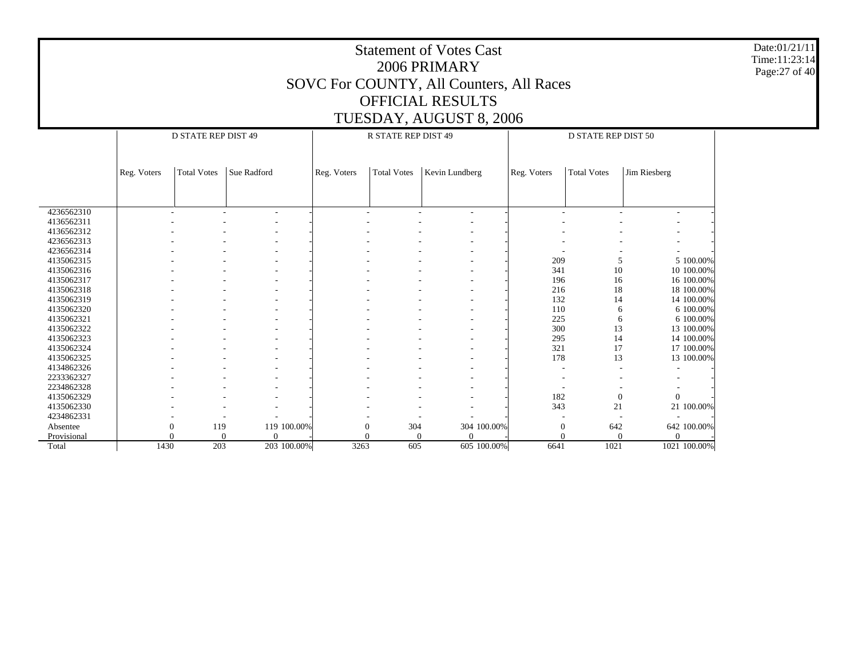|                          | <b>Statement of Votes Cast</b><br>Time:11:23:14<br>2006 PRIMARY<br>SOVC For COUNTY, All Counters, All Races<br><b>OFFICIAL RESULTS</b> |                                                  |                            |             |             |                        |                         |  |              |                            |              |  |  |  |  |
|--------------------------|----------------------------------------------------------------------------------------------------------------------------------------|--------------------------------------------------|----------------------------|-------------|-------------|------------------------|-------------------------|--|--------------|----------------------------|--------------|--|--|--|--|
|                          |                                                                                                                                        |                                                  |                            |             |             |                        |                         |  |              |                            |              |  |  |  |  |
|                          |                                                                                                                                        |                                                  |                            |             |             |                        |                         |  |              |                            |              |  |  |  |  |
|                          |                                                                                                                                        |                                                  |                            |             |             |                        | TUESDAY, AUGUST 8, 2006 |  |              |                            |              |  |  |  |  |
|                          |                                                                                                                                        | D STATE REP DIST 49                              |                            |             |             | R STATE REP DIST 49    |                         |  |              | <b>D STATE REP DIST 50</b> |              |  |  |  |  |
|                          |                                                                                                                                        |                                                  |                            |             |             |                        |                         |  |              |                            |              |  |  |  |  |
|                          |                                                                                                                                        |                                                  |                            |             |             |                        |                         |  |              |                            |              |  |  |  |  |
|                          | Reg. Voters                                                                                                                            | <b>Total Votes</b>                               | Sue Radford                |             | Reg. Voters | <b>Total Votes</b>     | Kevin Lundberg          |  | Reg. Voters  | <b>Total Votes</b>         | Jim Riesberg |  |  |  |  |
|                          |                                                                                                                                        |                                                  |                            |             |             |                        |                         |  |              |                            |              |  |  |  |  |
|                          |                                                                                                                                        |                                                  |                            |             |             |                        |                         |  |              |                            |              |  |  |  |  |
|                          |                                                                                                                                        |                                                  |                            |             |             |                        |                         |  |              |                            |              |  |  |  |  |
| 4236562310<br>4136562311 |                                                                                                                                        |                                                  |                            |             |             |                        |                         |  |              |                            |              |  |  |  |  |
| 4136562312               |                                                                                                                                        |                                                  |                            |             |             |                        |                         |  |              |                            |              |  |  |  |  |
| 4236562313               |                                                                                                                                        |                                                  |                            |             |             |                        |                         |  |              |                            |              |  |  |  |  |
| 4236562314               |                                                                                                                                        |                                                  |                            |             |             |                        |                         |  |              |                            |              |  |  |  |  |
| 4135062315               |                                                                                                                                        |                                                  |                            |             |             |                        |                         |  |              |                            |              |  |  |  |  |
| 4135062316               |                                                                                                                                        | 5 100.00%<br>209<br>5<br>341<br>10<br>10 100.00% |                            |             |             |                        |                         |  |              |                            |              |  |  |  |  |
| 4135062317               |                                                                                                                                        |                                                  |                            |             |             |                        |                         |  | 196          | 16                         | 16 100.00%   |  |  |  |  |
| 4135062318               |                                                                                                                                        |                                                  |                            |             |             |                        |                         |  | 216          | 18                         | 18 100.00%   |  |  |  |  |
| 4135062319               |                                                                                                                                        |                                                  |                            |             |             |                        |                         |  | 132          | 14                         | 14 100.00%   |  |  |  |  |
| 4135062320               |                                                                                                                                        |                                                  |                            |             |             |                        |                         |  | 110          | 6                          | 6 100.00%    |  |  |  |  |
| 4135062321               |                                                                                                                                        |                                                  |                            |             |             |                        |                         |  | 225          | 6                          | 6 100.00%    |  |  |  |  |
| 4135062322               |                                                                                                                                        |                                                  |                            |             |             |                        |                         |  | 300          | 13                         | 13 100.00%   |  |  |  |  |
| 4135062323               |                                                                                                                                        |                                                  |                            |             |             |                        |                         |  | 295          | 14                         | 14 100.00%   |  |  |  |  |
| 4135062324               |                                                                                                                                        |                                                  |                            |             |             |                        |                         |  | 321          | 17                         | 17 100.00%   |  |  |  |  |
| 4135062325               |                                                                                                                                        |                                                  |                            |             |             |                        |                         |  | 178          | 13                         | 13 100.00%   |  |  |  |  |
| 4134862326               |                                                                                                                                        |                                                  |                            |             |             |                        |                         |  |              |                            |              |  |  |  |  |
| 2233362327               |                                                                                                                                        |                                                  |                            |             |             |                        |                         |  |              |                            |              |  |  |  |  |
| 2234862328               |                                                                                                                                        |                                                  |                            |             |             |                        |                         |  |              |                            |              |  |  |  |  |
| 4135062329               |                                                                                                                                        |                                                  |                            |             |             |                        |                         |  | 182          | $\mathbf{0}$               | $\mathbf{0}$ |  |  |  |  |
| 4135062330               |                                                                                                                                        |                                                  |                            |             |             |                        |                         |  | 343          | 21                         | 21 100.00%   |  |  |  |  |
| 4234862331               |                                                                                                                                        |                                                  |                            |             |             |                        |                         |  |              |                            |              |  |  |  |  |
| Absentee                 |                                                                                                                                        | 119<br>$\theta$                                  |                            | 119 100.00% |             | $\theta$<br>304        | 304 100.00%             |  | $\mathbf{0}$ | 642                        | 642 100.00%  |  |  |  |  |
| Provisional              |                                                                                                                                        |                                                  | $\Omega$<br>$\overline{0}$ |             |             | $\sqrt{ }$<br>$\Omega$ | $\theta$                |  | $\Omega$     | $\Omega$                   | $\Omega$     |  |  |  |  |
| Total                    | 1430                                                                                                                                   | 203                                              |                            | 203 100.00% | 3263        | 605                    | 605 100.00%             |  | 6641         | 1021                       | 1021 100.00% |  |  |  |  |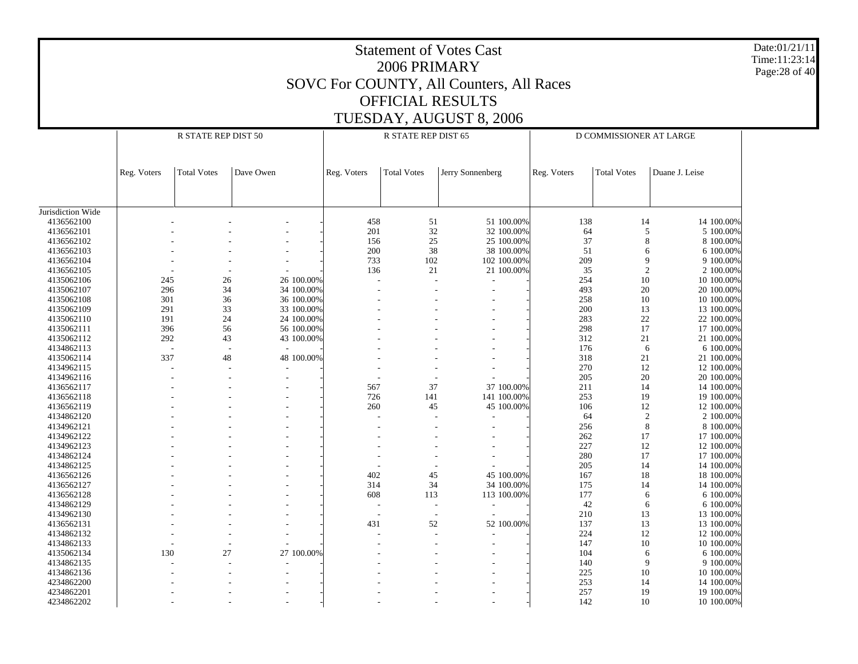| <b>Statement of Votes Cast</b><br>2006 PRIMARY<br>SOVC For COUNTY, All Counters, All Races<br><b>OFFICIAL RESULTS</b> |             |                     |           |                          |                          |                         |                  |                          |                         | Date:01/21/11<br>Time:11:23:14<br>Page: 28 of 40 |                          |  |
|-----------------------------------------------------------------------------------------------------------------------|-------------|---------------------|-----------|--------------------------|--------------------------|-------------------------|------------------|--------------------------|-------------------------|--------------------------------------------------|--------------------------|--|
|                                                                                                                       |             |                     |           |                          |                          |                         |                  |                          |                         |                                                  |                          |  |
|                                                                                                                       |             |                     |           |                          |                          | TUESDAY, AUGUST 8, 2006 |                  |                          |                         |                                                  |                          |  |
|                                                                                                                       |             | R STATE REP DIST 50 |           |                          |                          | R STATE REP DIST 65     |                  |                          | D COMMISSIONER AT LARGE |                                                  |                          |  |
|                                                                                                                       |             |                     |           |                          |                          |                         |                  |                          |                         |                                                  |                          |  |
|                                                                                                                       | Reg. Voters | <b>Total Votes</b>  | Dave Owen |                          | Reg. Voters              | <b>Total Votes</b>      | Jerry Sonnenberg |                          | Reg. Voters             | <b>Total Votes</b>                               | Duane J. Leise           |  |
| Jurisdiction Wide                                                                                                     |             |                     |           |                          |                          |                         |                  |                          |                         |                                                  |                          |  |
| 4136562100                                                                                                            |             |                     |           |                          | 458                      |                         | 51               | 51 100.00%               | 138                     | 14                                               | 14 100.00%               |  |
| 4136562101                                                                                                            |             |                     |           |                          | 201                      |                         | 32               | 32 100.00%               | 64                      | 5                                                | 5 100.00%                |  |
| 4136562102                                                                                                            |             |                     |           |                          | 156                      |                         | 25               | 25 100.00%               | 37                      | 8                                                | 8 100.00%                |  |
| 4136562103                                                                                                            |             |                     |           |                          | 200                      |                         | 38               | 38 100.00%               | 51                      | 6                                                | 6 100.00%                |  |
| 4136562104                                                                                                            |             |                     |           |                          | 733                      |                         | 102              | 102 100.00%              | 209                     | 9                                                | 9 100.00%                |  |
| 4136562105                                                                                                            |             |                     |           |                          | 136                      |                         | 21               | 21 100.00%               | 35                      | $\overline{2}$                                   | 2 100.00%                |  |
| 4135062106                                                                                                            | 245         |                     | 26        | 26 100.00%               |                          |                         |                  |                          | 254                     | 10                                               | 10 100.00%               |  |
| 4135062107                                                                                                            | 296         |                     | 34        | 34 100.00%               |                          |                         |                  |                          | 493                     | 20                                               | 20 100.00%               |  |
| 4135062108                                                                                                            | 301         |                     | 36        | 36 100.00%               |                          |                         |                  |                          | 258                     | 10                                               | 10 100.00%               |  |
| 4135062109                                                                                                            | 291         |                     | 33        | 33 100.00%               |                          |                         |                  |                          | 200                     | 13                                               | 13 100.00%               |  |
| 4135062110<br>4135062111                                                                                              | 191<br>396  |                     | 24        | 24 100.00%               |                          |                         |                  |                          | 283<br>298              | 22                                               | 22 100.00%               |  |
| 4135062112                                                                                                            | 292         |                     | 56<br>43  | 56 100.00%<br>43 100.00% |                          |                         |                  |                          | 312                     | 17<br>21                                         | 17 100.00%<br>21 100.00% |  |
| 4134862113                                                                                                            |             |                     |           | $\overline{\phantom{a}}$ |                          |                         |                  |                          | 176                     | 6                                                | 6 100.00%                |  |
| 4135062114                                                                                                            | 337         |                     | 48        | 48 100.00%               |                          |                         |                  |                          | 318                     | 21                                               | 21 100.00%               |  |
| 4134962115                                                                                                            |             |                     |           |                          |                          |                         |                  |                          | 270                     | 12                                               | 12 100.00%               |  |
| 4134962116                                                                                                            |             |                     |           |                          |                          |                         |                  |                          | 205                     | 20                                               | 20 100.00%               |  |
| 4136562117                                                                                                            |             |                     |           |                          | 567                      |                         | 37               | 37 100.00%               | 211                     | 14                                               | 14 100.00%               |  |
| 4136562118                                                                                                            |             |                     |           |                          | 726                      |                         | 141              | 141 100.00%              | 253                     | 19                                               | 19 100.00%               |  |
| 4136562119                                                                                                            |             |                     |           |                          | 260                      |                         | 45               | 45 100.00%               | 106                     | 12                                               | 12 100.00%               |  |
| 4134862120                                                                                                            |             |                     |           |                          |                          |                         |                  |                          | 64                      | $\overline{2}$                                   | 2 100.00%                |  |
| 4134962121                                                                                                            |             |                     |           |                          |                          |                         |                  |                          | 256                     | 8                                                | 8 100.00%                |  |
| 4134962122                                                                                                            |             |                     |           |                          |                          |                         |                  |                          | 262                     | 17                                               | 17 100.00%               |  |
| 4134962123                                                                                                            |             |                     |           |                          |                          |                         |                  |                          | 227                     | 12                                               | 12 100.00%               |  |
| 4134862124                                                                                                            |             |                     |           |                          |                          |                         |                  |                          | 280                     | 17                                               | 17 100.00%               |  |
| 4134862125                                                                                                            |             |                     |           |                          |                          |                         |                  |                          | 205                     | 14                                               | 14 100.00%               |  |
| 4136562126                                                                                                            |             |                     |           |                          | 402                      |                         | 45               | 45 100.00%               | 167                     | 18                                               | 18 100.00%               |  |
| 4136562127                                                                                                            |             |                     |           |                          | 314                      |                         | 34               | 34 100.00%               | 175                     | 14                                               | 14 100.00%               |  |
| 4136562128                                                                                                            |             |                     |           |                          | 608                      |                         | 113              | 113 100.00%              | 177                     | 6                                                | 6 100.00%                |  |
| 4134862129                                                                                                            |             |                     |           |                          |                          |                         |                  |                          | 42                      | 6                                                | 6 100.00%                |  |
| 4134962130                                                                                                            |             |                     |           |                          | $\overline{\phantom{a}}$ |                         |                  | $\overline{\phantom{a}}$ | 210                     | 13                                               | 13 100.00%               |  |
| 4136562131                                                                                                            |             |                     |           |                          | 431                      |                         | $52\,$           | 52 100.00%               | 137                     | 13                                               | 13 100.00%               |  |
| 4134862132<br>4134862133                                                                                              |             |                     |           |                          |                          |                         |                  |                          | 224<br>147              | 12                                               | 12 100.00%<br>10 100.00% |  |
| 4135062134                                                                                                            | 130         |                     | 27        | 27 100.00%               |                          |                         |                  |                          | 104                     | 10<br>6                                          | 6 100.00%                |  |
| 4134862135                                                                                                            |             |                     |           |                          |                          |                         |                  |                          | 140                     | 9                                                | 9 100.00%                |  |
| 4134862136                                                                                                            |             |                     |           |                          |                          |                         |                  |                          | 225                     | 10                                               | 10 100.00%               |  |
| 4234862200                                                                                                            |             |                     |           |                          |                          |                         |                  |                          | 253                     | 14                                               | 14 100.00%               |  |
| 4234862201                                                                                                            |             |                     |           |                          |                          |                         |                  |                          | 257                     | 19                                               | 19 100.00%               |  |
| 4234862202                                                                                                            |             |                     |           |                          |                          |                         |                  |                          | 142                     | $10\,$                                           | 10 100.00%               |  |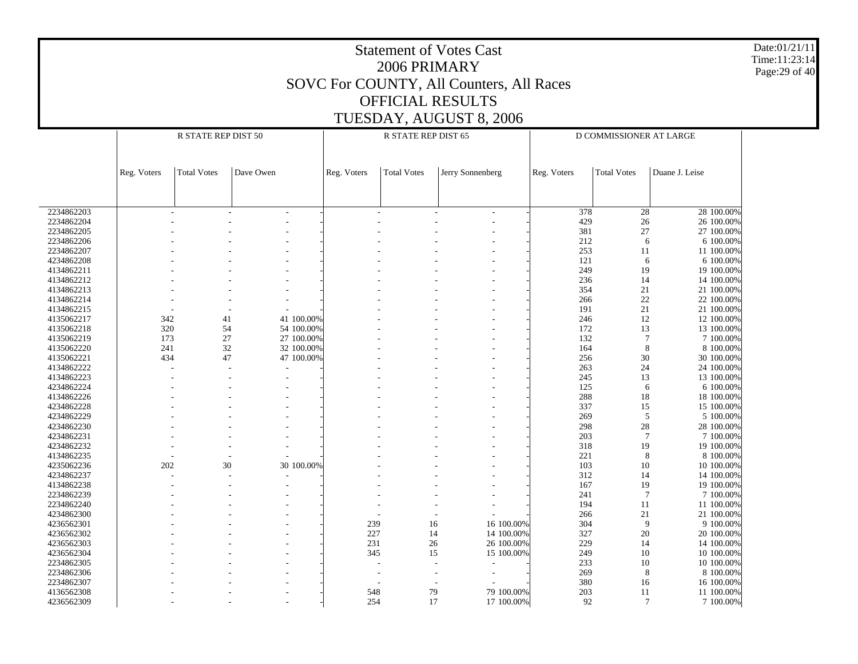Date:01/21/11 Time:11:23:14 Page:29 of 40

|                          |             | R STATE REP DIST 50 |           |            | R STATE REP DIST 65 |                    |                          |             | D COMMISSIONER AT LARGE |                         |  |
|--------------------------|-------------|---------------------|-----------|------------|---------------------|--------------------|--------------------------|-------------|-------------------------|-------------------------|--|
|                          |             |                     |           |            |                     |                    |                          |             |                         |                         |  |
|                          | Reg. Voters | <b>Total Votes</b>  | Dave Owen |            | Reg. Voters         | <b>Total Votes</b> | Jerry Sonnenberg         | Reg. Voters | <b>Total Votes</b>      | Duane J. Leise          |  |
|                          |             |                     |           |            |                     |                    |                          |             |                         |                         |  |
| 2234862203               |             |                     |           |            |                     |                    | $\overline{\phantom{a}}$ | 378         | 28                      | 28 100.00%              |  |
| 2234862204               |             |                     |           |            |                     |                    |                          | 429         | 26                      | 26 100.00%              |  |
| 2234862205               |             |                     |           |            |                     |                    |                          | 381         | 27                      | 27 100.00%              |  |
| 2234862206               |             |                     |           |            |                     |                    |                          | 212         | 6                       | 6 100.00%               |  |
| 2234862207               |             |                     |           |            |                     |                    |                          | 253         | 11                      | 11 100.00%              |  |
| 4234862208               |             |                     |           |            |                     |                    |                          | 121         | 6                       | 6 100.00%               |  |
| 4134862211               |             |                     |           |            |                     |                    |                          | 249         | 19                      | 19 100.00%              |  |
| 4134862212               |             |                     |           |            |                     |                    |                          | 236         | 14                      | 14 100.00%              |  |
| 4134862213               |             |                     |           |            |                     |                    |                          | 354         | 21                      | 21 100.00%              |  |
| 4134862214               |             |                     |           |            |                     |                    |                          | 266         | 22                      | 22 100.00%              |  |
| 4134862215               |             |                     |           |            |                     |                    |                          | 191         | 21                      | 21 100.00%              |  |
| 4135062217               | 342         | 41                  |           | 41 100.00% |                     |                    |                          | 246         | 12                      | 12 100.00%              |  |
| 4135062218               | 320         | 54                  |           | 54 100.00% |                     |                    |                          | 172         | 13                      | 13 100.00%              |  |
| 4135062219               | 173         | 27                  |           | 27 100.00% |                     |                    |                          | 132         | $\tau$                  | 7 100.00%               |  |
| 4135062220               | 241         | 32                  |           | 32 100.00% |                     |                    |                          | 164         | $\,8\,$                 | 8 100.00%               |  |
| 4135062221               | 434         | 47                  |           | 47 100.00% |                     |                    |                          | 256         | 30                      | 30 100,00%              |  |
| 4134862222               |             |                     |           |            |                     |                    |                          | 263         | 24                      | 24 100.00%              |  |
| 4134862223               |             |                     |           |            |                     |                    |                          | 245         | 13                      | 13 100.00%              |  |
| 4234862224               |             |                     |           |            |                     |                    |                          | 125         | 6                       | 6 100.00%               |  |
| 4134862226               |             |                     |           |            |                     |                    |                          | 288         | 18                      | 18 100.00%              |  |
| 4234862228               |             |                     |           |            |                     |                    |                          | 337         | 15                      | 15 100.00%              |  |
| 4234862229               |             |                     |           |            |                     |                    |                          | 269         | $\sqrt{5}$              | 5 100.00%               |  |
| 4234862230               |             |                     |           |            |                     |                    |                          | 298         | $28\,$                  | 28 100.00%              |  |
| 4234862231               |             |                     |           |            |                     |                    |                          | 203         | $\tau$                  | 7 100.00%               |  |
| 4234862232               |             |                     |           |            |                     |                    |                          | 318         | 19                      | 19 100.00%              |  |
| 4134862235               |             |                     |           |            |                     |                    |                          | 221         | $\,8\,$                 | 8 100.00%               |  |
| 4235062236               | 202         | 30                  |           | 30 100,00% |                     |                    |                          | 103         | 10                      | 10 100,00%              |  |
| 4234862237               |             |                     |           |            |                     |                    |                          | 312         | 14                      | 14 100.00%              |  |
| 4134862238               |             |                     |           |            |                     |                    |                          | 167         | 19                      | 19 100.00%              |  |
| 2234862239               |             |                     |           |            |                     |                    |                          | 241         | $\tau$                  | 7 100.00%               |  |
| 2234862240               |             |                     |           |            |                     |                    |                          | 194         | 11                      | 11 100.00%              |  |
| 4234862300               |             |                     |           |            |                     |                    |                          | 266         | 21                      | 21 100.00%              |  |
| 4236562301               |             |                     |           |            | 239                 |                    | 16 100.00%               | 304         | 9                       | 9 100.00%               |  |
| 4236562302               |             |                     |           |            | 227                 | 16<br>14           | 14 100.00%               | 327         | $20\,$                  | 20 100.00%              |  |
| 4236562303               |             |                     |           |            | 231                 | 26                 | 26 100.00%               | 229         | 14                      | 14 100.00%              |  |
| 4236562304               |             |                     |           |            | 345                 | 15                 | 15 100.00%               | 249         | 10                      | 10 100.00%              |  |
| 2234862305               |             |                     |           |            |                     |                    |                          |             |                         |                         |  |
| 2234862306               |             |                     |           |            |                     |                    |                          | 233<br>269  | 10<br>$\,8\,$           | 10 100.00%<br>8 100.00% |  |
| 2234862307               |             |                     |           |            |                     |                    |                          | 380         | 16                      | 16 100.00%              |  |
|                          |             |                     |           |            | 548                 | 79                 | 79 100.00%               | 203         | 11                      |                         |  |
| 4136562308<br>4236562309 |             |                     |           |            | 254                 | 17                 | 17 100.00%               | 92          | 7                       | 11 100.00%<br>7 100.00% |  |
|                          |             |                     |           |            |                     |                    |                          |             |                         |                         |  |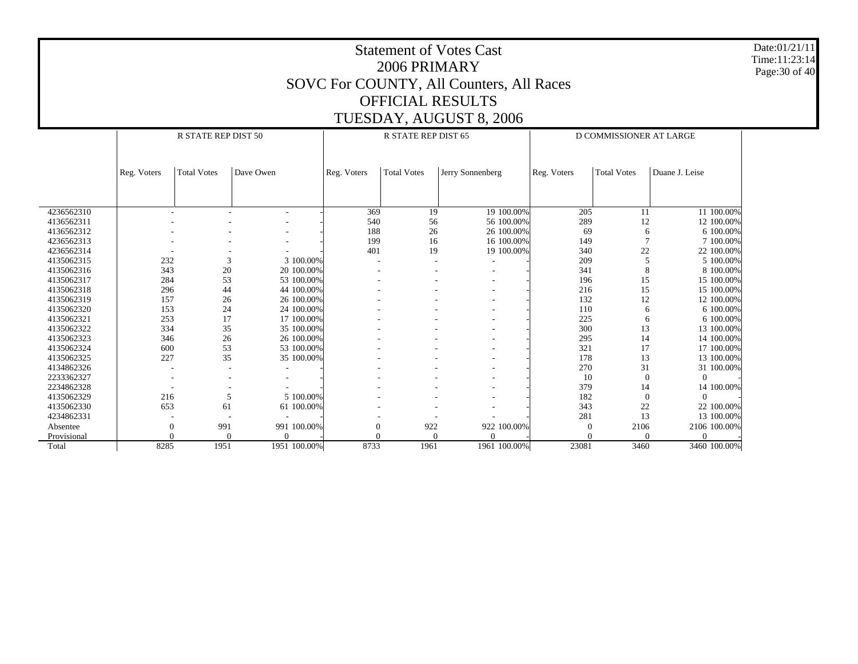Date:01/21/11 Time:11:23:14 Page:30 of 40

|             |             | R STATE REP DIST 50 |              |             | R STATE REP DIST 65 |                  | D COMMISSIONER AT LARGE |                    |                |  |
|-------------|-------------|---------------------|--------------|-------------|---------------------|------------------|-------------------------|--------------------|----------------|--|
|             |             |                     |              |             |                     |                  |                         |                    |                |  |
|             |             |                     |              |             |                     |                  |                         |                    |                |  |
|             | Reg. Voters | <b>Total Votes</b>  | Dave Owen    | Reg. Voters | <b>Total Votes</b>  | Jerry Sonnenberg | Reg. Voters             | <b>Total Votes</b> | Duane J. Leise |  |
|             |             |                     |              |             |                     |                  |                         |                    |                |  |
|             |             |                     |              |             |                     |                  |                         |                    |                |  |
|             |             |                     |              |             |                     |                  |                         |                    |                |  |
| 4236562310  |             |                     |              | 369         | 19                  | 19 100.00%       | 205                     | 11                 | 11 100.00%     |  |
| 4136562311  |             |                     |              | 540         | 56                  | 56 100.00%       | 289                     | 12                 | 12 100,00%     |  |
| 4136562312  |             |                     |              | 188         | 26                  | 26 100.00%       | 69                      | 6                  | 6 100.00%      |  |
| 4236562313  |             |                     |              | 199         | 16                  | 16 100.00%       | 149                     | $\overline{7}$     | 7 100.00%      |  |
| 4236562314  |             |                     |              | 401         | 19                  | 19 100.00%       | 340                     | 22                 | 22 100.00%     |  |
| 4135062315  | 232         | 3                   | 3 100.00%    |             |                     |                  | 209                     | 5                  | 5 100.00%      |  |
| 4135062316  | 343         | 20                  | 20 100.00%   |             |                     |                  | 341                     | 8                  | 8 100,00%      |  |
| 4135062317  | 284         | 53                  | 53 100.00%   |             |                     |                  | 196                     | 15                 | 15 100,00%     |  |
| 4135062318  | 296         | 44                  | 44 100.00%   |             |                     |                  | 216                     | 15                 | 15 100,00%     |  |
| 4135062319  | 157         | 26                  | 26 100.00%   |             |                     |                  | 132                     | 12                 | 12 100.00%     |  |
| 4135062320  | 153         | 24                  | 24 100.00%   |             |                     |                  | 110                     | 6                  | 6 100.00%      |  |
| 4135062321  | 253         | 17                  | 17 100.00%   |             |                     |                  | 225                     | 6                  | 6 100.00%      |  |
| 4135062322  | 334         | 35                  | 35 100.00%   |             |                     |                  | 300                     | 13                 | 13 100.00%     |  |
| 4135062323  | 346         | 26                  | 26 100.00%   |             |                     |                  | 295                     | 14                 | 14 100.00%     |  |
| 4135062324  | 600         | 53                  | 53 100.00%   |             |                     |                  | 321                     | 17                 | 17 100,00%     |  |
| 4135062325  | 227         | 35                  | 35 100.00%   |             |                     |                  | 178                     | 13                 | 13 100.00%     |  |
| 4134862326  |             |                     |              |             |                     |                  | 270                     | 31                 | 31 100.00%     |  |
| 2233362327  |             |                     |              |             |                     |                  | 10                      | $\mathbf{0}$       | $\Omega$       |  |
| 2234862328  |             |                     |              |             |                     |                  | 379                     | 14                 | 14 100.00%     |  |
| 4135062329  | 216         | 5                   | 5 100.00%    |             |                     |                  | 182                     | $\mathbf{0}$       | $\Omega$       |  |
| 4135062330  | 653         | 61                  | 61 100.00%   |             |                     |                  | 343                     | 22                 | 22 100.00%     |  |
| 4234862331  |             |                     |              |             |                     |                  | 281                     | 13                 | 13 100.00%     |  |
| Absentee    |             | 991                 | 991 100.00%  |             | 922                 | 922 100.00%      | $\theta$                | 2106               | 2106 100.00%   |  |
| Provisional |             | 0                   | $\Omega$     |             |                     |                  | $\Omega$                | $\mathbf{0}$       | $\Omega$       |  |
| Total       | 8285        | 1951                | 1951 100.00% | 8733        | 1961                | 1961 100.00%     | 23081                   | 3460               | 3460 100.00%   |  |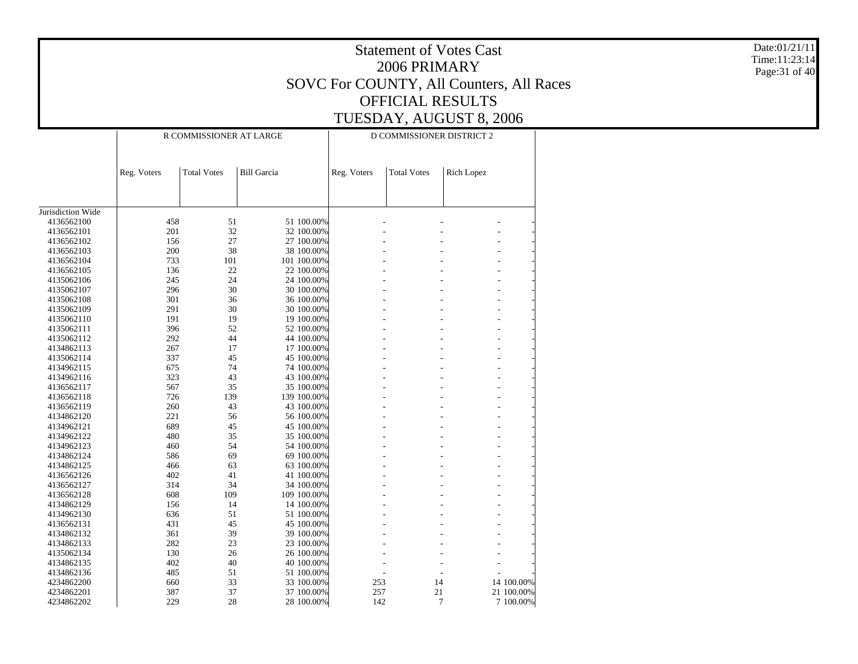|                          |             | Date:01/21/11<br>Time:11:23:14<br>Page: 31 of 40 |                          |             |                    |                                            |            |  |
|--------------------------|-------------|--------------------------------------------------|--------------------------|-------------|--------------------|--------------------------------------------|------------|--|
|                          |             |                                                  |                          |             | 2006 PRIMARY       |                                            |            |  |
|                          |             |                                                  |                          |             |                    | SOVC For COUNTY, All Counters, All Races   |            |  |
|                          |             |                                                  |                          |             |                    | <b>OFFICIAL RESULTS</b>                    |            |  |
|                          |             |                                                  |                          |             |                    | TUESDAY, AUGUST 8, 2006                    |            |  |
|                          |             | R COMMISSIONER AT LARGE                          |                          |             |                    | D COMMISSIONER DISTRICT 2                  |            |  |
|                          |             |                                                  |                          |             |                    |                                            |            |  |
|                          |             |                                                  |                          |             |                    |                                            |            |  |
|                          | Reg. Voters | <b>Total Votes</b>                               | <b>Bill Garcia</b>       | Reg. Voters | <b>Total Votes</b> | Rich Lopez                                 |            |  |
|                          |             |                                                  |                          |             |                    |                                            |            |  |
|                          |             |                                                  |                          |             |                    |                                            |            |  |
| Jurisdiction Wide        |             |                                                  |                          |             |                    |                                            |            |  |
| 4136562100               | 458         | 51                                               | 51 100.00%               |             |                    |                                            |            |  |
| 4136562101               | 201         | $32\,$                                           | 32 100.00%               |             |                    |                                            |            |  |
| 4136562102               | 156         | 27                                               | 27 100.00%               |             |                    |                                            |            |  |
| 4136562103               | 200         | 38                                               | 38 100.00%               |             |                    |                                            |            |  |
| 4136562104               | 733         | 101                                              | 101 100.00%              |             |                    |                                            |            |  |
| 4136562105               | 136         | 22                                               | 22 100.00%               |             |                    |                                            |            |  |
| 4135062106<br>4135062107 | 245<br>296  | 24                                               | 24 100.00%               |             |                    |                                            |            |  |
| 4135062108               | 301         | 30<br>36                                         | 30 100.00%<br>36 100.00% |             |                    |                                            |            |  |
| 4135062109               | 291         | 30                                               | 30 100.00%               |             |                    |                                            |            |  |
| 4135062110               | 191         | 19                                               | 19 100.00%               |             |                    |                                            |            |  |
| 4135062111               | 396         | 52                                               | 52 100.00%               |             |                    |                                            |            |  |
| 4135062112               | 292         | 44                                               | 44 100.00%               |             |                    |                                            |            |  |
| 4134862113               | 267         | 17                                               | 17 100.00%               |             |                    |                                            |            |  |
| 4135062114               | 337         | 45                                               | 45 100.00%               |             |                    |                                            |            |  |
| 4134962115               | 675         | 74                                               | 74 100.00%               |             |                    |                                            |            |  |
| 4134962116               | 323         | 43                                               | 43 100.00%               |             |                    |                                            |            |  |
| 4136562117               | 567         | 35                                               | 35 100.00%               |             |                    |                                            |            |  |
| 4136562118               | 726         | 139                                              | 139 100.00%              |             |                    |                                            |            |  |
| 4136562119               | 260         | 43                                               | 43 100.00%               |             |                    |                                            |            |  |
| 4134862120               | 221         | 56                                               | 56 100.00%               |             |                    |                                            |            |  |
| 4134962121               | 689         | 45                                               | 45 100.00%               |             |                    |                                            |            |  |
| 4134962122               | 480         | 35                                               | 35 100.00%               |             |                    |                                            |            |  |
| 4134962123               | 460         | 54                                               | 54 100.00%               |             |                    |                                            |            |  |
| 4134862124               | 586         | 69                                               | 69 100.00%               |             |                    |                                            |            |  |
| 4134862125               | 466         | 63                                               | 63 100.00%               |             |                    |                                            |            |  |
| 4136562126               | 402         | 41                                               | 41 100.00%               |             |                    |                                            |            |  |
| 4136562127               | 314         | 34                                               | 34 100.00%               |             |                    |                                            |            |  |
| 4136562128               | 608         | 109                                              | 109 100.00%              |             |                    |                                            |            |  |
| 4134862129               | 156         | 14                                               | 14 100.00%               |             |                    |                                            |            |  |
| 4134962130               | 636         | 51                                               | 51 100.00%               |             |                    |                                            |            |  |
| 4136562131<br>4134862132 | 431<br>361  | 45<br>39                                         | 45 100.00%<br>39 100.00% |             |                    | $\overline{a}$                             |            |  |
| 4134862133               | $282\,$     | $23\,$                                           | 23 100.00%               |             |                    |                                            |            |  |
| 4135062134               | 130         | 26                                               | 26 100.00%               |             |                    |                                            |            |  |
| 4134862135               | 402         | 40                                               | 40 100.00%               |             |                    | $\overline{a}$<br>$\overline{\phantom{a}}$ |            |  |
| 4134862136               | 485         | 51                                               | 51 100.00%               |             |                    | $\overline{a}$                             |            |  |
| 4234862200               | 660         | 33                                               | 33 100.00%               | 253         |                    | 14                                         | 14 100.00% |  |
| 4234862201               | 387         | $37\,$                                           | 37 100.00%               | 257         |                    | $21\,$                                     | 21 100.00% |  |
| 4234862202               | 229         | $28\,$                                           | 28 100.00%               | 142         |                    | $\tau$                                     | 7 100.00%  |  |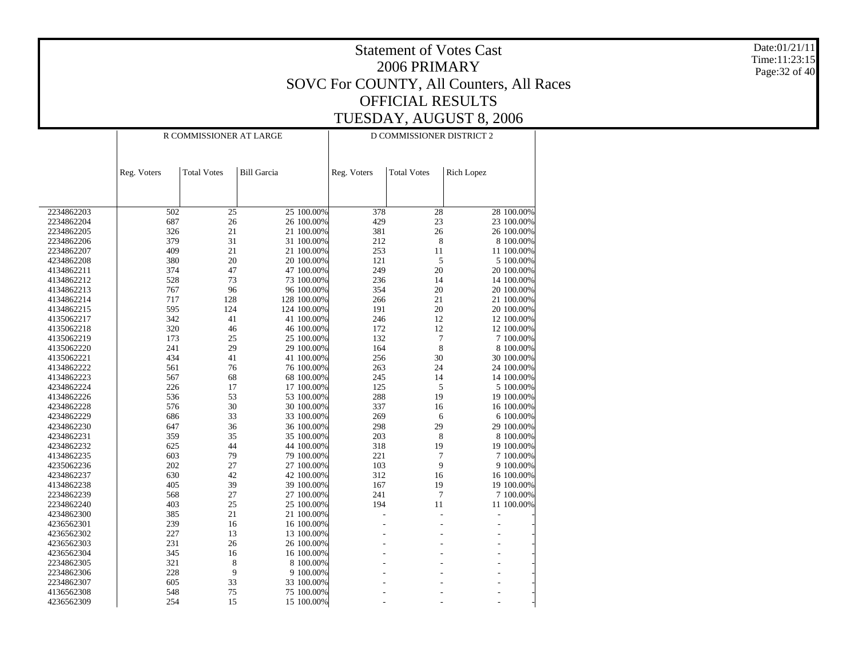|                          |             | Date:01/21/11<br>Time:11:23:15<br>Page: 32 of 40 |                          |             |                           |                                          |  |
|--------------------------|-------------|--------------------------------------------------|--------------------------|-------------|---------------------------|------------------------------------------|--|
|                          |             |                                                  |                          |             |                           | SOVC For COUNTY, All Counters, All Races |  |
|                          |             |                                                  |                          |             |                           | <b>OFFICIAL RESULTS</b>                  |  |
|                          |             |                                                  |                          |             |                           | TUESDAY, AUGUST 8, 2006                  |  |
|                          |             |                                                  |                          |             |                           |                                          |  |
|                          |             | R COMMISSIONER AT LARGE                          |                          |             | D COMMISSIONER DISTRICT 2 |                                          |  |
|                          |             |                                                  |                          |             |                           |                                          |  |
|                          | Reg. Voters | <b>Total Votes</b>                               | <b>Bill Garcia</b>       | Reg. Voters | <b>Total Votes</b>        | <b>Rich Lopez</b>                        |  |
|                          |             |                                                  |                          |             |                           |                                          |  |
|                          |             |                                                  |                          |             |                           |                                          |  |
| 2234862203               | 502         |                                                  | 25 100.00%               | 378         |                           | 28 100.00%                               |  |
| 2234862204               | 687         | 25<br>26                                         | 26 100.00%               | 429         | 28<br>23                  | 23 100.00%                               |  |
| 2234862205               | 326         | 21                                               | 21 100.00%               | 381         | 26                        | 26 100.00%                               |  |
| 2234862206               | 379         | 31                                               | 31 100.00%               | 212         | 8                         | 8 100.00%                                |  |
| 2234862207               | 409         | 21                                               | 21 100.00%               | 253         | 11                        | 11 100.00%                               |  |
| 4234862208               | 380         | 20                                               | 20 100.00%               | 121         | 5                         | 5 100.00%                                |  |
| 4134862211               | 374         | 47                                               | 47 100.00%               | 249         | 20                        | 20 100.00%                               |  |
| 4134862212               | 528         | 73                                               | 73 100.00%               | 236         | 14                        | 14 100.00%                               |  |
| 4134862213               | 767         | 96                                               | 96 100.00%               | 354         | 20                        | 20 100.00%                               |  |
| 4134862214               | 717         | 128                                              | 128 100.00%              | 266         | 21                        | 21 100.00%                               |  |
| 4134862215               | 595         | 124                                              | 124 100.00%              | 191         | 20                        | 20 100.00%                               |  |
| 4135062217               | 342         | 41                                               | 41 100.00%               | 246         | 12                        | 12 100.00%                               |  |
| 4135062218               | 320         | 46                                               | 46 100.00%               | 172         | 12                        | 12 100.00%                               |  |
| 4135062219               | 173         | 25                                               | 25 100.00%               | 132         | $\overline{7}$            | 7 100.00%                                |  |
| 4135062220               | 241         | 29                                               | 29 100.00%               | 164         | 8                         | 8 100.00%                                |  |
| 4135062221               | 434         | 41                                               | 41 100.00%               | 256         | 30                        | 30 100.00%                               |  |
| 4134862222<br>4134862223 | 561<br>567  | 76                                               | 76 100.00%<br>68 100.00% | 263<br>245  | 24                        | 24 100.00%<br>14 100.00%                 |  |
| 4234862224               | 226         | 68<br>17                                         | 17 100.00%               | 125         | 14<br>5                   | 5 100.00%                                |  |
| 4134862226               | 536         | 53                                               | 53 100.00%               | 288         | 19                        | 19 100.00%                               |  |
| 4234862228               | 576         | 30                                               | 30 100.00%               | 337         | 16                        | 16 100.00%                               |  |
| 4234862229               | 686         | 33                                               | 33 100.00%               | 269         | 6                         | 6 100.00%                                |  |
| 4234862230               | 647         | 36                                               | 36 100.00%               | 298         | 29                        | 29 100.00%                               |  |
| 4234862231               | 359         | 35                                               | 35 100.00%               | 203         | 8                         | 8 100.00%                                |  |
| 4234862232               | 625         | 44                                               | 44 100.00%               | 318         | 19                        | 19 100.00%                               |  |
| 4134862235               | 603         | 79                                               | 79 100.00%               | 221         | 7                         | 7 100.00%                                |  |
| 4235062236               | 202         | 27                                               | 27 100.00%               | 103         | 9                         | 9 100.00%                                |  |
| 4234862237               | 630         | 42                                               | 42 100.00%               | 312         | 16                        | 16 100.00%                               |  |
| 4134862238               | 405         | 39                                               | 39 100.00%               | 167         | 19                        | 19 100.00%                               |  |
| 2234862239               | 568         | 27                                               | 27 100.00%               | 241         | $\overline{7}$            | 7 100.00%                                |  |
| 2234862240               | 403         | 25                                               | 25 100.00%               | 194         | 11                        | 11 100.00%                               |  |
| 4234862300               | 385         | 21                                               | 21 100.00%               |             |                           | $\blacksquare$                           |  |
| 4236562301               | 239         | 16                                               | 16 100.00%               |             |                           |                                          |  |
| 4236562302               | 227         | 13                                               | 13 100.00%               |             |                           |                                          |  |
| 4236562303<br>4236562304 | 231         | 26                                               | 26 100.00%<br>16 100.00% |             |                           |                                          |  |
| 2234862305               | 345<br>321  | 16<br>8                                          | 8 100.00%                |             |                           |                                          |  |
| 2234862306               | 228         | 9                                                | 9 100.00%                |             |                           |                                          |  |
| 2234862307               | 605         | 33                                               | 33 100.00%               |             |                           |                                          |  |
| 4136562308               | 548         | 75                                               | 75 100.00%               |             |                           |                                          |  |
| 4236562309               | 254         | 15                                               | 15 100.00%               |             |                           |                                          |  |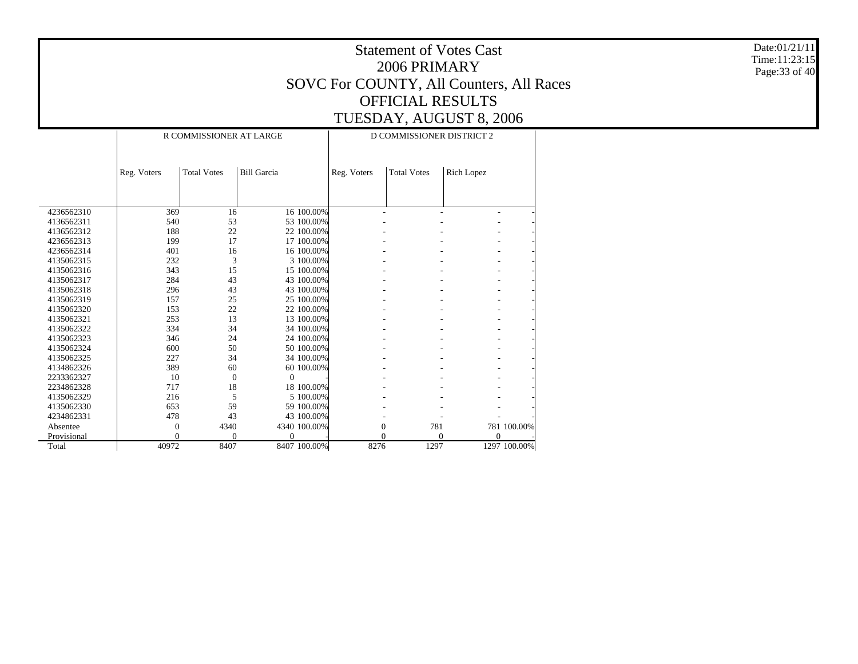|             |             | Date:01/21/11<br>Time:11:23:15<br>Page: 33 of 40 |                    |             |                                          |            |              |  |
|-------------|-------------|--------------------------------------------------|--------------------|-------------|------------------------------------------|------------|--------------|--|
|             |             |                                                  |                    |             | SOVC For COUNTY, All Counters, All Races |            |              |  |
|             |             |                                                  |                    |             | <b>OFFICIAL RESULTS</b>                  |            |              |  |
|             |             |                                                  |                    |             |                                          |            |              |  |
|             |             |                                                  |                    |             | TUESDAY, AUGUST 8, 2006                  |            |              |  |
|             |             | R COMMISSIONER AT LARGE                          |                    |             |                                          |            |              |  |
|             |             |                                                  |                    |             |                                          |            |              |  |
|             |             |                                                  |                    |             |                                          |            |              |  |
|             | Reg. Voters | <b>Total Votes</b>                               | <b>Bill Garcia</b> | Reg. Voters | <b>Total Votes</b>                       | Rich Lopez |              |  |
|             |             |                                                  |                    |             |                                          |            |              |  |
|             |             |                                                  |                    |             |                                          |            |              |  |
| 4236562310  | 369         | 16                                               | 16 100.00%         |             |                                          |            |              |  |
| 4136562311  | 540         | 53                                               | 53 100.00%         |             |                                          |            |              |  |
| 4136562312  | 188         | 22                                               | 22 100.00%         |             |                                          |            |              |  |
| 4236562313  | 199         | 17                                               | 17 100.00%         |             |                                          |            |              |  |
| 4236562314  | 401         | 16                                               | 16 100.00%         |             |                                          |            |              |  |
| 4135062315  | 232         | 3                                                | 3 100.00%          |             |                                          |            |              |  |
| 4135062316  | 343         | 15                                               | 15 100.00%         |             |                                          |            |              |  |
| 4135062317  | 284         | 43                                               | 43 100.00%         |             |                                          |            |              |  |
| 4135062318  | 296         | 43                                               | 43 100.00%         |             |                                          |            |              |  |
| 4135062319  | 157         | 25                                               | 25 100.00%         |             |                                          |            |              |  |
| 4135062320  | 153         | 22                                               | 22 100.00%         |             |                                          |            |              |  |
| 4135062321  | 253         | 13                                               | 13 100.00%         |             |                                          |            |              |  |
| 4135062322  | 334         | 34                                               | 34 100.00%         |             |                                          |            |              |  |
| 4135062323  | 346         | 24                                               | 24 100.00%         |             |                                          |            |              |  |
| 4135062324  | 600         | 50                                               | 50 100.00%         |             |                                          |            |              |  |
| 4135062325  | 227         | 34                                               | 34 100.00%         |             |                                          |            |              |  |
| 4134862326  | 389         | 60                                               | 60 100.00%         |             |                                          |            |              |  |
| 2233362327  | 10          | $\overline{0}$                                   | $\overline{0}$     |             |                                          |            |              |  |
| 2234862328  | 717         | 18                                               | 18 100.00%         |             |                                          |            |              |  |
| 4135062329  | 216         | 5                                                | 5 100.00%          |             |                                          |            |              |  |
| 4135062330  | 653         | 59                                               | 59 100.00%         |             |                                          |            |              |  |
| 4234862331  | 478         | 43                                               | 43 100.00%         |             |                                          |            |              |  |
| Absentee    |             | 4340                                             | 4340 100.00%       |             | 781<br>$\boldsymbol{0}$                  |            | 781 100.00%  |  |
| Provisional |             |                                                  | $\Omega$           |             | $\Omega$                                 | $\Omega$   | $\Omega$     |  |
| Total       | 40972       | 8407                                             | 8407 100.00%       | 8276        | 1297                                     |            | 1297 100.00% |  |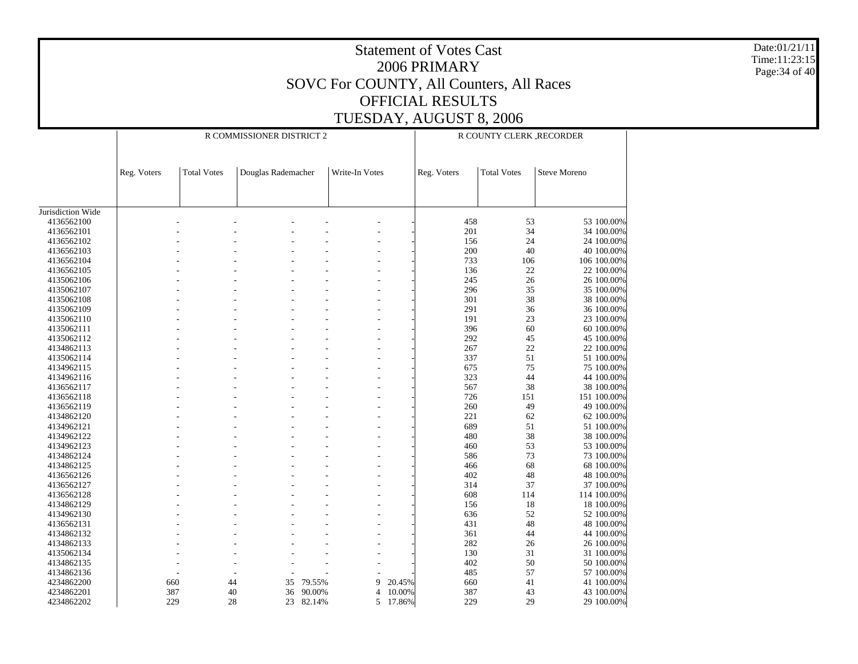Date:01/21/11 Time:11:23:15 Page:34 of 40

|                   |             |                    | R COMMISSIONER DISTRICT 2 | R COUNTY CLERK_RECORDER |                |        |             |                    |                     |
|-------------------|-------------|--------------------|---------------------------|-------------------------|----------------|--------|-------------|--------------------|---------------------|
|                   |             |                    |                           |                         |                |        |             |                    |                     |
|                   | Reg. Voters | <b>Total Votes</b> | Douglas Rademacher        |                         | Write-In Votes |        | Reg. Voters | <b>Total Votes</b> | <b>Steve Moreno</b> |
|                   |             |                    |                           |                         |                |        |             |                    |                     |
| Jurisdiction Wide |             |                    |                           |                         |                |        |             |                    |                     |
| 4136562100        |             |                    |                           |                         |                |        | 458         | 53                 | 53 100.00%          |
| 4136562101        |             |                    |                           |                         |                |        | 201         | 34                 | 34 100.00%          |
| 4136562102        |             |                    |                           |                         |                |        | 156         | 24                 | 24 100.00%          |
| 4136562103        |             |                    |                           |                         |                |        | 200         | 40                 | 40 100,00%          |
| 4136562104        |             |                    |                           |                         |                |        | 733         | 106                | 106 100.00%         |
| 4136562105        |             |                    |                           |                         |                |        | 136         | 22                 | 22 100.00%          |
| 4135062106        |             |                    |                           |                         |                |        | 245         | 26                 | 26 100.00%          |
| 4135062107        |             |                    |                           |                         |                |        | 296         | 35                 | 35 100.00%          |
| 4135062108        |             |                    |                           |                         |                |        | 301         | 38                 | 38 100.00%          |
| 4135062109        |             |                    |                           |                         |                |        | 291         | 36                 | 36 100.00%          |
| 4135062110        |             |                    |                           |                         |                |        | 191         | 23                 | 23 100.00%          |
| 4135062111        |             |                    |                           |                         |                |        | 396         | 60                 | 60 100.00%          |
| 4135062112        |             |                    |                           |                         |                |        | 292         | 45                 | 45 100.00%          |
| 4134862113        |             |                    |                           |                         |                |        | 267         | 22                 | 22 100.00%          |
| 4135062114        |             |                    |                           |                         |                |        | 337         | 51                 | 51 100,00%          |
| 4134962115        |             |                    |                           |                         |                |        | 675         | 75                 | 75 100.00%          |
| 4134962116        |             |                    |                           |                         |                |        | 323         | 44                 | 44 100,00%          |
| 4136562117        |             |                    |                           |                         |                |        | 567         | 38                 | 38 100.00%          |
| 4136562118        |             |                    |                           |                         |                |        | 726         | 151                | 151 100.00%         |
| 4136562119        |             |                    |                           |                         |                |        | 260         | 49                 | 49 100.00%          |
| 4134862120        |             |                    |                           |                         |                |        | 221         | 62                 | 62 100.00%          |
| 4134962121        |             |                    |                           |                         |                |        | 689         | 51                 | 51 100.00%          |
| 4134962122        |             |                    |                           |                         |                |        | 480         | 38                 | 38 100.00%          |
| 4134962123        |             |                    |                           |                         |                |        | 460         | 53                 | 53 100.00%          |
| 4134862124        |             |                    |                           |                         |                |        | 586         | 73                 | 73 100.00%          |
|                   |             |                    |                           |                         |                |        |             | 68                 |                     |
| 4134862125        |             |                    |                           |                         |                |        | 466         |                    | 68 100.00%          |
| 4136562126        |             |                    |                           |                         |                |        | 402         | 48                 | 48 100.00%          |
| 4136562127        |             |                    |                           |                         |                |        | 314         | 37                 | 37 100.00%          |
| 4136562128        |             |                    |                           |                         |                |        | 608         | 114                | 114 100.00%         |
| 4134862129        |             |                    |                           |                         |                |        | 156         | 18                 | 18 100.00%          |
| 4134962130        |             |                    |                           |                         |                |        | 636         | 52                 | 52 100.00%          |
| 4136562131        |             |                    |                           |                         |                |        | 431         | 48                 | 48 100.00%          |
| 4134862132        |             |                    |                           |                         |                |        | 361         | 44                 | 44 100.00%          |
| 4134862133        |             |                    |                           |                         |                |        | 282         | 26                 | 26 100.00%          |
| 4135062134        |             |                    |                           |                         |                |        | 130         | 31                 | 31 100.00%          |
| 4134862135        |             |                    |                           |                         |                |        | 402         | 50                 | 50 100.00%          |
| 4134862136        |             |                    |                           |                         |                |        | 485         | 57                 | 57 100.00%          |
| 4234862200        |             | 660<br>44          | 35                        | 79.55%                  | 9              | 20.45% | 660         | 41                 | 41 100.00%          |
| 4234862201        |             | 387<br>40          | 36                        | 90.00%                  | 4              | 10.00% | 387         | 43                 | 43 100.00%          |
| 4234862202        |             | 229<br>28          | 23                        | 82.14%                  | 5              | 17.86% | 229         | 29                 | 29 100.00%          |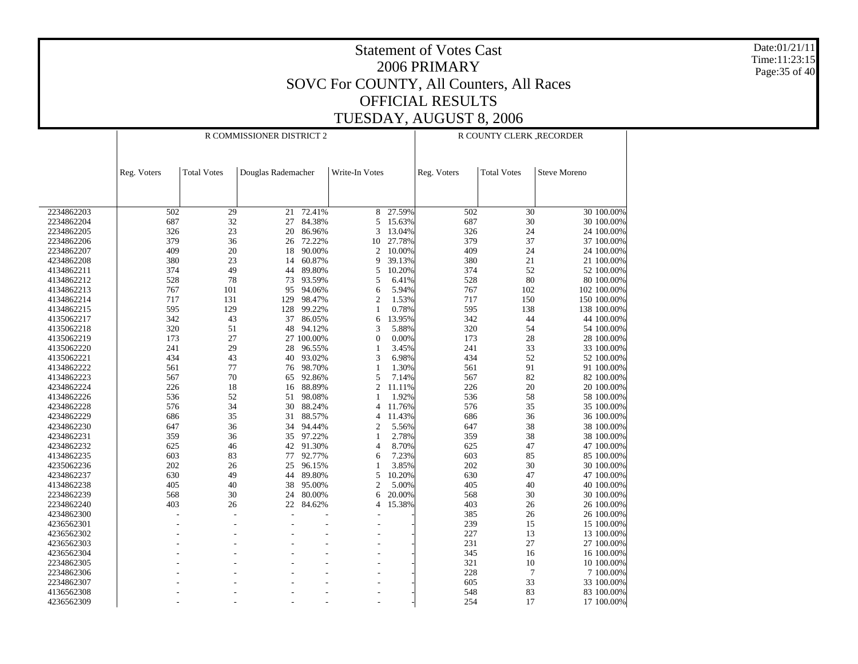Date:01/21/11 Time:11:23:15 Page:35 of 40

|            |             |                    | R COMMISSIONER DISTRICT 2 | R COUNTY CLERK RECORDER |                |        |             |                    |                     |             |
|------------|-------------|--------------------|---------------------------|-------------------------|----------------|--------|-------------|--------------------|---------------------|-------------|
|            | Reg. Voters | <b>Total Votes</b> | Douglas Rademacher        |                         | Write-In Votes |        | Reg. Voters | <b>Total Votes</b> | <b>Steve Moreno</b> |             |
|            |             |                    |                           |                         |                |        |             |                    |                     |             |
| 2234862203 | 502         | 29                 | 21                        | 72.41%                  | 8              | 27.59% | 502         | 30                 |                     | 30 100,00%  |
| 2234862204 | 687         | 32                 | 27                        | 84.38%                  | 5              | 15.63% | 687         | 30                 |                     | 30 100.00%  |
| 2234862205 | 326         | 23                 | 20                        | 86.96%                  | 3              | 13.04% | 326         | 24                 |                     | 24 100.00%  |
| 2234862206 | 379         | 36                 | 26                        | 72.22%                  | 10             | 27.78% | 379         | 37                 |                     | 37 100.00%  |
| 2234862207 | 409         | 20                 | 18                        | 90.00%                  | $\overline{c}$ | 10.00% | 409         | 24                 |                     | 24 100.00%  |
| 4234862208 | 380         | 23                 | 14                        | 60.87%                  | 9              | 39.13% | 380         | 21                 |                     | 21 100.00%  |
| 4134862211 | 374         | 49                 | 44                        | 89.80%                  | 5              | 10.20% | 374         | 52                 |                     | 52 100.00%  |
| 4134862212 | 528         | 78                 | 73                        | 93.59%                  | 5              | 6.41%  | 528         | 80                 |                     | 80 100.00%  |
| 4134862213 | 767         | 101                | 95                        | 94.06%                  | 6              | 5.94%  | 767         | 102                |                     | 102 100.00% |
| 4134862214 | 717         | 131                | 129                       | 98.47%                  | $\overline{2}$ | 1.53%  | 717         | 150                |                     | 150 100.00% |
| 4134862215 | 595         | 129                | 128                       | 99.22%                  | 1              | 0.78%  | 595         | 138                |                     | 138 100.00% |
| 4135062217 | 342         | 43                 | 37                        | 86.05%                  | 6              | 13.95% | 342         | 44                 |                     | 44 100,00%  |
| 4135062218 | 320         | 51                 | 48                        | 94.12%                  | 3              | 5.88%  | 320         | 54                 |                     | 54 100.00%  |
| 4135062219 | 173         | 27                 |                           | 27 100.00%              | $\overline{0}$ | 0.00%  | 173         | 28                 |                     | 28 100.00%  |
| 4135062220 | 241         | 29                 | 28                        | 96.55%                  | $\mathbf{1}$   | 3.45%  | 241         | 33                 |                     | 33 100.00%  |
| 4135062221 | 434         | 43                 | 40                        | 93.02%                  | 3              | 6.98%  | 434         | 52                 |                     | 52 100.00%  |
| 4134862222 | 561         | 77                 | 76                        | 98.70%                  | 1              | 1.30%  | 561         | 91                 |                     | 91 100.00%  |
| 4134862223 | 567         | 70                 | 65                        | 92.86%                  | 5              | 7.14%  | 567         | 82                 |                     | 82 100.00%  |
| 4234862224 | 226         | 18                 | 16                        | 88.89%                  | 2              | 11.11% | 226         | 20                 |                     | 20 100.00%  |
| 4134862226 | 536         | 52                 | 51                        | 98.08%                  | -1             | 1.92%  | 536         | 58                 |                     | 58 100.00%  |
| 4234862228 | 576         | 34                 | 30                        | 88.24%                  | $\overline{4}$ | 11.76% | 576         | 35                 |                     | 35 100.00%  |
| 4234862229 | 686         | 35                 | 31                        | 88.57%                  | 4              | 11.43% | 686         | 36                 |                     | 36 100.00%  |
| 4234862230 | 647         | 36                 | 34                        | 94.44%                  | $\overline{2}$ | 5.56%  | 647         | 38                 |                     | 38 100.00%  |
| 4234862231 | 359         | 36                 | 35                        | 97.22%                  | 1              | 2.78%  | 359         | 38                 |                     | 38 100.00%  |
| 4234862232 | 625         | 46                 | 42                        | 91.30%                  | $\overline{4}$ | 8.70%  | 625         | 47                 |                     | 47 100,00%  |
| 4134862235 | 603         | 83                 | 77                        | 92.77%                  | 6              | 7.23%  | 603         | 85                 |                     | 85 100.00%  |
| 4235062236 | 202         | 26                 | 25                        | 96.15%                  | 1              | 3.85%  | 202         | 30                 |                     | 30 100,00%  |
| 4234862237 | 630         | 49                 | 44                        | 89.80%                  | 5              | 10.20% | 630         | 47                 |                     | 47 100.00%  |
| 4134862238 | 405         | 40                 | 38                        | 95.00%                  | $\mathbf{2}$   | 5.00%  | 405         | 40                 |                     | 40 100.00%  |
| 2234862239 | 568         | 30                 | 24                        | 80.00%                  | 6              | 20.00% | 568         | 30                 |                     | 30 100,00%  |
| 2234862240 | 403         | 26                 | 22                        | 84.62%                  | 4              | 15.38% | 403         | 26                 |                     | 26 100.00%  |
| 4234862300 |             | $\overline{a}$     | J.                        |                         |                |        | 385         | 26                 |                     | 26 100.00%  |
| 4236562301 |             |                    |                           |                         |                |        | 239         | 15                 |                     | 15 100.00%  |
| 4236562302 |             |                    |                           |                         |                |        | 227         | 13                 |                     | 13 100.00%  |
| 4236562303 |             |                    |                           |                         |                |        | 231         | 27                 |                     | 27 100.00%  |
|            |             |                    |                           |                         |                |        | 345         | 16                 |                     | 16 100.00%  |
| 4236562304 |             |                    |                           |                         |                |        | 321         | 10                 |                     |             |
| 2234862305 |             |                    |                           |                         | ÷,             |        |             |                    |                     | 10 100.00%  |
| 2234862306 |             |                    |                           |                         |                |        | 228         | 7                  |                     | 7 100.00%   |
| 2234862307 |             |                    |                           |                         |                |        | 605         | 33                 |                     | 33 100.00%  |
| 4136562308 |             |                    |                           |                         |                |        | 548         | 83                 |                     | 83 100.00%  |
| 4236562309 |             |                    |                           |                         |                |        | 254         | 17                 |                     | 17 100.00%  |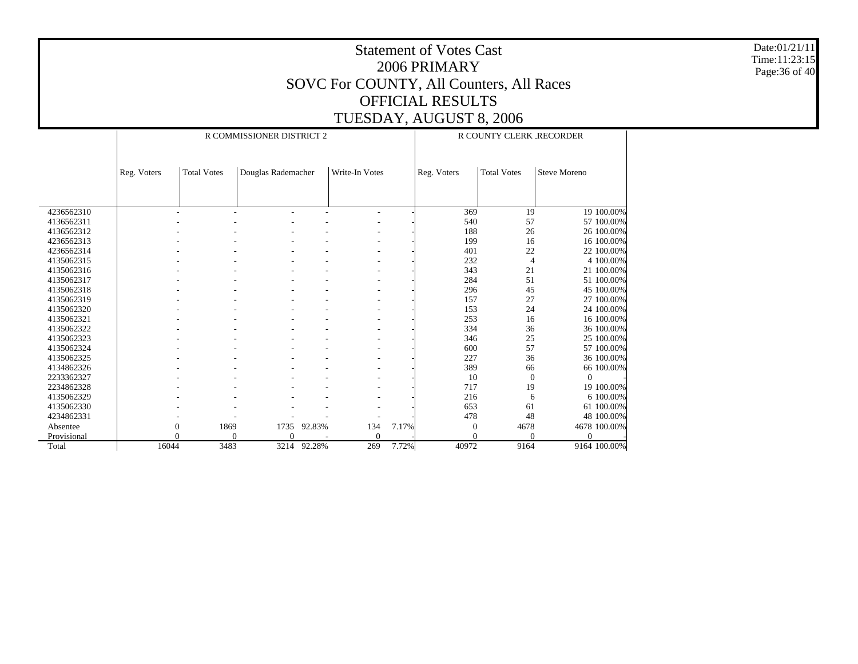Date:01/21/11 Time:11:23:15 Page:36 of 40

|             |             |                    | R COMMISSIONER DISTRICT 2 |        | R COUNTY CLERK_RECORDER  |       |             |                    |                     |
|-------------|-------------|--------------------|---------------------------|--------|--------------------------|-------|-------------|--------------------|---------------------|
|             |             |                    |                           |        |                          |       |             |                    |                     |
|             | Reg. Voters | <b>Total Votes</b> | Douglas Rademacher        |        | Write-In Votes           |       | Reg. Voters | <b>Total Votes</b> | <b>Steve Moreno</b> |
|             |             |                    |                           |        |                          |       |             |                    |                     |
|             |             |                    |                           |        |                          |       |             |                    |                     |
| 4236562310  |             | ٠                  | $\overline{\phantom{a}}$  |        | $\overline{a}$           |       | 369         | 19                 | 19 100.00%          |
| 4136562311  |             |                    |                           |        |                          |       | 540         | 57                 | 57 100.00%          |
| 4136562312  |             |                    |                           |        |                          |       | 188         | 26                 | 26 100.00%          |
| 4236562313  |             |                    |                           |        |                          |       | 199         | 16                 | 16 100.00%          |
| 4236562314  |             |                    |                           |        |                          |       | 401         | 22                 | 22 100.00%          |
| 4135062315  |             |                    |                           |        |                          |       | 232         | $\overline{4}$     | 4 100.00%           |
| 4135062316  |             |                    |                           |        |                          |       | 343         | 21                 | 21 100.00%          |
| 4135062317  |             |                    |                           |        |                          |       | 284         | 51                 | 51 100.00%          |
| 4135062318  |             |                    |                           |        |                          |       | 296         | 45                 | 45 100.00%          |
| 4135062319  |             |                    |                           |        |                          |       | 157         | 27                 | 27 100,00%          |
| 4135062320  |             |                    |                           |        |                          |       | 153         | 24                 | 24 100.00%          |
| 4135062321  |             |                    |                           |        |                          |       | 253         | 16                 | 16 100.00%          |
| 4135062322  |             |                    |                           |        |                          |       | 334         | 36                 | 36 100.00%          |
| 4135062323  |             |                    |                           |        | $\overline{\phantom{0}}$ |       | 346         | 25                 | 25 100.00%          |
| 4135062324  |             |                    |                           |        |                          |       | 600         | 57                 | 57 100.00%          |
| 4135062325  |             |                    |                           |        |                          |       | 227         | 36                 | 36 100.00%          |
| 4134862326  |             |                    |                           |        |                          |       | 389         | 66                 | 66 100.00%          |
| 2233362327  |             |                    |                           |        |                          |       | 10          | $\mathbf{0}$       | $\Omega$            |
| 2234862328  |             |                    |                           |        |                          |       | 717         | 19                 | 19 100.00%          |
| 4135062329  |             |                    |                           |        |                          |       | 216         | 6                  | 6 100.00%           |
| 4135062330  |             |                    |                           |        |                          |       | 653         | 61                 | 61 100.00%          |
| 4234862331  |             |                    |                           |        |                          |       | 478         | 48                 | 48 100.00%          |
| Absentee    |             | 1869<br>0          | 1735                      | 92.83% | 134                      | 7.17% | $\Omega$    | 4678               | 4678 100.00%        |
| Provisional |             | $\theta$           | $\Omega$<br>$\Omega$      |        | $\Omega$                 |       |             | $\Omega$           | $\Omega$            |
| Total       | 16044       | 3483               | 3214                      | 92.28% | 269                      | 7.72% | 40972       | 9164               | 9164 100.00%        |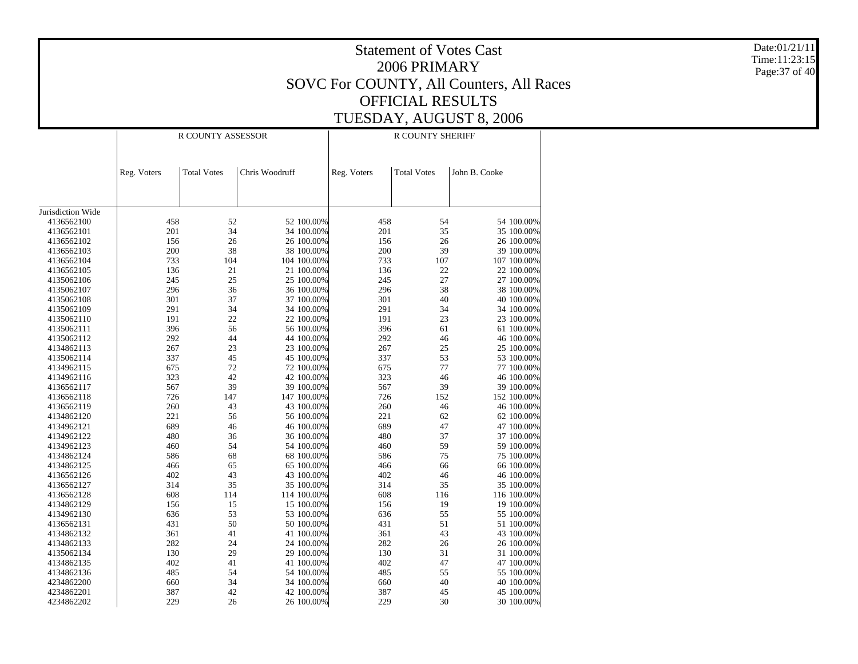Statement of Votes Cast2006 PRIMARYSOVC For COUNTY, All Counters, All Races OFFICIAL RESULTSTUESDAY, AUGUST 8, 2006 Date:01/21/11Time:11:23:15Page:37 of 40 Jurisdiction Wide 4136562100 4136562101 4136562102 4136562103 4136562104 4136562105 4135062106 4135062107 4135062108 4135062109 4135062110 4135062111 4135062112 4134862113 4135062114 4134962115 4134962116 4136562117 4136562118 4136562119 4134862120 4134962121 4134962122 4134962123 4134862124 4134862125 4136562126 4136562127 4136562128 4134862129 4134962130 4136562131 4134862132 4134862133 4135062134 4134862135 4134862136 4234862200 4234862201 4234862202 Reg. Voters | Total Votes | Chris Woodruff R COUNTY ASSESSORReg. Voters | Total Votes | John B. Cooke R COUNTY SHERIFF458 52 52 100.00% 458 54 54 100.00% 201 34 34 100.00% 201 35 35 100.00% 156 26 26 100.00% 156 26 26 100.00% 200 38 38 100.00% 200 39 39 100.00% 733 104 104 100.00%107 100.00% 136 21 21 100.00%136 22 22 100.00% 245 25 25 100.00% 245 27 27 100.00% 296 36 36 100.00% 296 38 38 100.00% 301 37 37 100.00%301 40 40 100.00%<br>291 34 34 100.00% 291 34 34 100.00% 291 34 34 100.00% 191 22 22 100.00% 191 23 23 100.00% 396 56 56 100.00% 396 61 61 100.00% 292 44 44 100.00% 292 46 46 100.00% 267 23 23 100.00% 267 25 25 100.00% 337 45 45 100.00% 337 53 53 100.00% 675 72 72 100.00% 675 77 77 100.00% 323 42 42 100.00% 323 46 46 100.00% 567 39 39 100.00% 567 39 39 100.00% 726 147 147 100.00% 726 152 152 100.00% 260 43 43 100.00% 260 46 46 100.00% 221 56 56 100.00%221 62 62 100.00%<br>689 47 47 100.00% 689 46 46 100.00% 689 47 47 100.00% 480 36 36 100.00% 480 37 37 100.00% 460 54 54 100.00%460 59 59 100.00%<br>586 75 75 100.00% 586 68 68 100.00% 586 75 75 100.00% 466 65 65 100.00% 466 66 66 100.00% 402 43 43 100.00% 402 46 46 100.00% 314 35 35 100.00% 314 35 35 100.00% 608 114 114 100.00% 608 116 116 100.00% 156 15 15 100.00% 156 19 19 100.00% 636 53 53 100.00% 636 55 55 100.00% 431 50 50 100.00% 431 51 51 100.00% 361 41 41 100.00% 361 43 43 100.00% 282 24 24 100.00% 282 26 26 100.00% 130 29 29 100.00% 130 31 31 100.00% 402 41 41 100.00% 402 47 47 100.00% 485 54 54 100.00% 485 55 55 100.00% 660 34 34 100.00% 660 40 40 100.00% 387 42 42 100.00% 387 45 45 100.00% 229 26 26 100.00%229 30 30 100.00%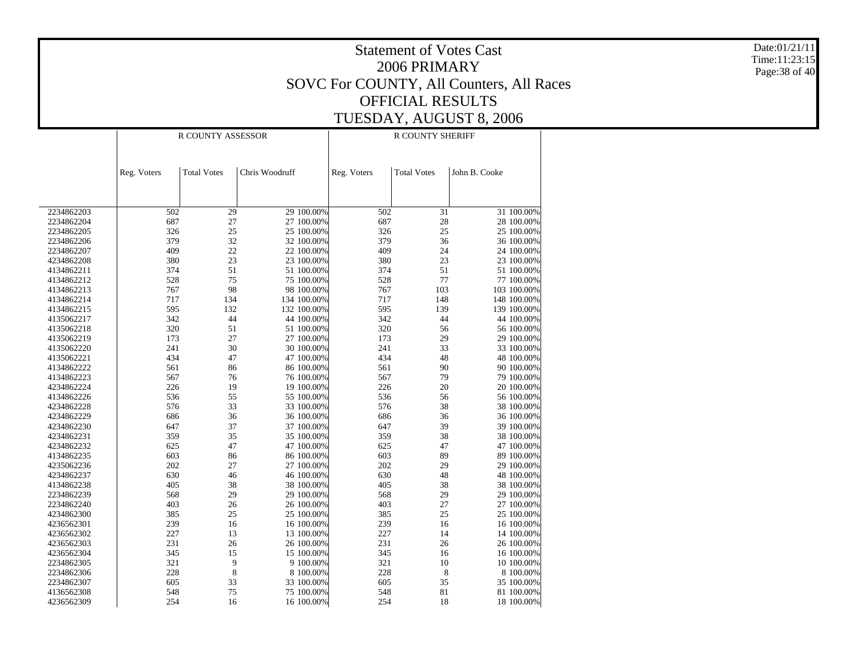Date:01/21/11 Time:11:23:15 Page:38 of 40

|                          |             | R COUNTY ASSESSOR  |                |             | <b>R COUNTY SHERIFF</b> |                    |               |             |  |  |
|--------------------------|-------------|--------------------|----------------|-------------|-------------------------|--------------------|---------------|-------------|--|--|
|                          | Reg. Voters | <b>Total Votes</b> | Chris Woodruff |             | Reg. Voters             | <b>Total Votes</b> | John B. Cooke |             |  |  |
|                          |             |                    |                |             |                         |                    |               |             |  |  |
| 2234862203               | 502         | 29                 |                | 29 100.00%  | 502                     | 31                 |               | 31 100.00%  |  |  |
| 2234862204               | 687         | 27                 |                | 27 100.00%  | 687                     | 28                 |               | 28 100.00%  |  |  |
| 2234862205               | 326         | 25                 |                | 25 100.00%  | 326                     | 25                 |               | 25 100.00%  |  |  |
| 2234862206               | 379         | 32                 |                | 32 100.00%  | 379                     | 36                 |               | 36 100.00%  |  |  |
| 2234862207               | 409         | 22                 |                | 22 100.00%  | 409                     | 24                 |               | 24 100.00%  |  |  |
| 4234862208               | 380         | 23                 |                | 23 100.00%  | 380                     | 23                 |               | 23 100.00%  |  |  |
| 4134862211               | 374         | 51                 |                | 51 100.00%  | 374                     | 51                 |               | 51 100.00%  |  |  |
| 4134862212               | 528         | 75                 |                | 75 100.00%  | 528                     | 77                 |               | 77 100.00%  |  |  |
| 4134862213               | 767         | 98                 |                | 98 100.00%  | 767                     | 103                |               | 103 100.00% |  |  |
| 4134862214               | 717         | 134                |                | 134 100.00% | 717                     | 148                |               | 148 100.00% |  |  |
| 4134862215               | 595         | 132                |                | 132 100.00% | 595                     | 139                |               | 139 100.00% |  |  |
| 4135062217               | 342         | 44                 |                | 44 100.00%  | 342                     | 44                 |               | 44 100.00%  |  |  |
| 4135062218               | 320         | 51                 |                | 51 100.00%  | 320                     | 56                 |               | 56 100.00%  |  |  |
| 4135062219               | 173         | 27                 |                | 27 100.00%  | 173                     | 29                 |               | 29 100.00%  |  |  |
| 4135062220               | 241         | 30                 |                | 30 100.00%  | 241                     | 33                 |               | 33 100.00%  |  |  |
| 4135062221               | 434         | 47                 |                | 47 100.00%  | 434                     | 48                 |               | 48 100.00%  |  |  |
| 4134862222               | 561         | 86                 |                | 86 100.00%  | 561                     | 90                 |               | 90 100.00%  |  |  |
| 4134862223               | 567         | 76                 |                | 76 100.00%  | 567                     | 79                 |               | 79 100.00%  |  |  |
| 4234862224               | 226         | 19                 |                | 19 100.00%  | 226                     | 20                 |               | 20 100.00%  |  |  |
| 4134862226               | 536         | 55                 |                | 55 100.00%  | 536                     | 56                 |               | 56 100.00%  |  |  |
| 4234862228               | 576         | 33                 |                | 33 100.00%  | 576                     | 38                 |               | 38 100.00%  |  |  |
| 4234862229               | 686         | 36                 |                | 36 100.00%  | 686                     | 36                 |               | 36 100.00%  |  |  |
| 4234862230               | 647         | 37                 |                | 37 100.00%  | 647                     | 39                 |               | 39 100.00%  |  |  |
| 4234862231               | 359         | 35                 |                | 35 100.00%  | 359                     | 38                 |               | 38 100.00%  |  |  |
| 4234862232               | 625         | 47                 |                | 47 100.00%  | 625                     | 47                 |               | 47 100.00%  |  |  |
| 4134862235               | 603         | 86                 |                | 86 100.00%  | 603                     | 89                 |               | 89 100.00%  |  |  |
| 4235062236               | 202         | 27                 |                | 27 100.00%  | 202                     | 29                 |               | 29 100.00%  |  |  |
| 4234862237               | 630         | 46                 |                | 46 100.00%  | 630                     | 48                 |               | 48 100.00%  |  |  |
| 4134862238               | 405         | 38                 |                | 38 100.00%  | 405                     | 38                 |               | 38 100.00%  |  |  |
| 2234862239               | 568         | 29                 |                | 29 100.00%  | 568                     | 29                 |               | 29 100.00%  |  |  |
| 2234862240               | 403         | 26                 |                | 26 100.00%  | 403                     | 27                 |               | 27 100.00%  |  |  |
| 4234862300               | 385         | 25                 |                | 25 100.00%  | 385                     | 25                 |               | 25 100.00%  |  |  |
| 4236562301               | 239         | 16                 |                | 16 100.00%  | 239                     | 16                 |               | 16 100.00%  |  |  |
| 4236562302               | 227         | 13                 |                | 13 100.00%  | 227                     | 14                 |               | 14 100.00%  |  |  |
|                          | 231         |                    |                | 26 100.00%  | 231                     | 26                 |               | 26 100.00%  |  |  |
| 4236562303<br>4236562304 | 345         | 26<br>15           |                | 15 100.00%  | 345                     | 16                 |               | 16 100.00%  |  |  |
|                          |             |                    |                |             |                         |                    |               |             |  |  |
| 2234862305               | 321         | 9                  |                | 9 100.00%   | 321                     | 10                 |               | 10 100.00%  |  |  |
| 2234862306               | 228         | 8                  |                | 8 100.00%   | 228                     | 8                  |               | 8 100.00%   |  |  |
| 2234862307               | 605         | 33                 |                | 33 100.00%  | 605                     | 35                 |               | 35 100.00%  |  |  |
| 4136562308               | 548         | 75                 |                | 75 100.00%  | 548                     | 81                 |               | 81 100.00%  |  |  |
| 4236562309               | 254         | 16                 |                | 16 100.00%  | 254                     | 18                 |               | 18 100.00%  |  |  |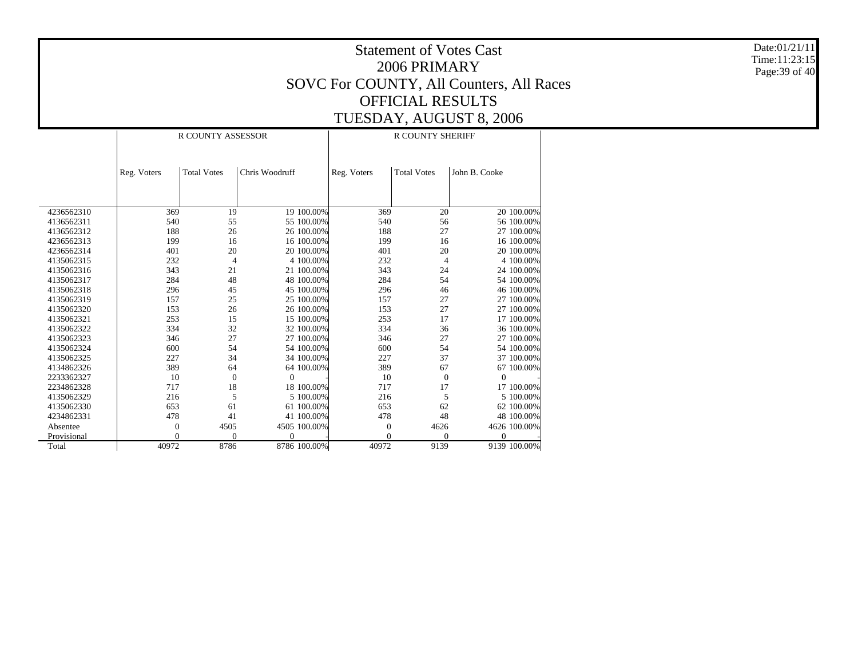Date:01/21/11 Time:11:23:15 Page:39 of 40

|             |                  | R COUNTY ASSESSOR  |                |              | R COUNTY SHERIFF |                    |                |  |  |
|-------------|------------------|--------------------|----------------|--------------|------------------|--------------------|----------------|--|--|
|             | Reg. Voters      | <b>Total Votes</b> | Chris Woodruff |              | Reg. Voters      | <b>Total Votes</b> | John B. Cooke  |  |  |
|             |                  |                    |                |              |                  |                    |                |  |  |
|             |                  |                    |                |              |                  |                    |                |  |  |
|             |                  |                    |                |              |                  |                    |                |  |  |
| 4236562310  | 369              | 19                 |                | 19 100.00%   | 369              | 20                 | 20 100.00%     |  |  |
| 4136562311  | 540              | 55                 |                | 55 100.00%   | 540              | 56                 | 56 100.00%     |  |  |
| 4136562312  | 188              | 26                 |                | 26 100.00%   | 188              | 27                 | 27 100,00%     |  |  |
| 4236562313  | 199              | 16                 |                | 16 100.00%   | 199              | 16                 | 16 100.00%     |  |  |
| 4236562314  | 401              | 20                 |                | 20 100.00%   | 401              | 20                 | 20 100.00%     |  |  |
| 4135062315  | 232              | $\overline{4}$     |                | 4 100.00%    | 232              | $\overline{4}$     | 4 100.00%      |  |  |
| 4135062316  | 343              | 21                 |                | 21 100.00%   | 343              | 24                 | 24 100.00%     |  |  |
| 4135062317  | 284              | 48                 |                | 48 100.00%   | 284              | 54                 | 54 100.00%     |  |  |
| 4135062318  | 296              | 45                 |                | 45 100.00%   | 296              | 46                 | 46 100.00%     |  |  |
| 4135062319  | 157              | 25                 |                | 25 100.00%   | 157              | 27                 | 27 100.00%     |  |  |
| 4135062320  | 153              | 26                 |                | 26 100.00%   | 153              | 27                 | 27 100.00%     |  |  |
| 4135062321  | 253              | 15                 |                | 15 100.00%   | 253              | 17                 | 17 100.00%     |  |  |
| 4135062322  | 334              | 32                 |                | 32 100.00%   | 334              | 36                 | 36 100.00%     |  |  |
| 4135062323  | 346              | 27                 |                | 27 100.00%   | 346              | 27                 | 27 100.00%     |  |  |
| 4135062324  | 600              | 54                 |                | 54 100.00%   | 600              | 54                 | 54 100.00%     |  |  |
| 4135062325  | 227              | 34                 |                | 34 100.00%   | 227              | 37                 | 37 100.00%     |  |  |
| 4134862326  | 389              | 64                 |                | 64 100.00%   | 389              | 67                 | 67 100.00%     |  |  |
| 2233362327  | 10               | $\Omega$           | $\Omega$       |              | 10               | $\overline{0}$     | $\theta$       |  |  |
| 2234862328  | 717              | 18                 |                | 18 100.00%   | 717              | 17                 | 17 100.00%     |  |  |
| 4135062329  | 216              | 5                  |                | 5 100.00%    | 216              | 5                  | 5 100.00%      |  |  |
| 4135062330  | 653              | 61                 |                | 61 100.00%   | 653              | 62                 | 62 100,00%     |  |  |
| 4234862331  | 478              | 41                 |                | 41 100.00%   | 478              | 48                 | 48 100.00%     |  |  |
| Absentee    | $\boldsymbol{0}$ | 4505               |                | 4505 100.00% | $\theta$         | 4626               | 4626 100.00%   |  |  |
| Provisional | $\mathbf{0}$     | $\Omega$           | $\overline{0}$ |              | $\theta$         | $\Omega$           | $\overline{0}$ |  |  |
| Total       | 40972            | 8786               |                | 8786 100.00% | 40972            | 9139               | 9139 100.00%   |  |  |